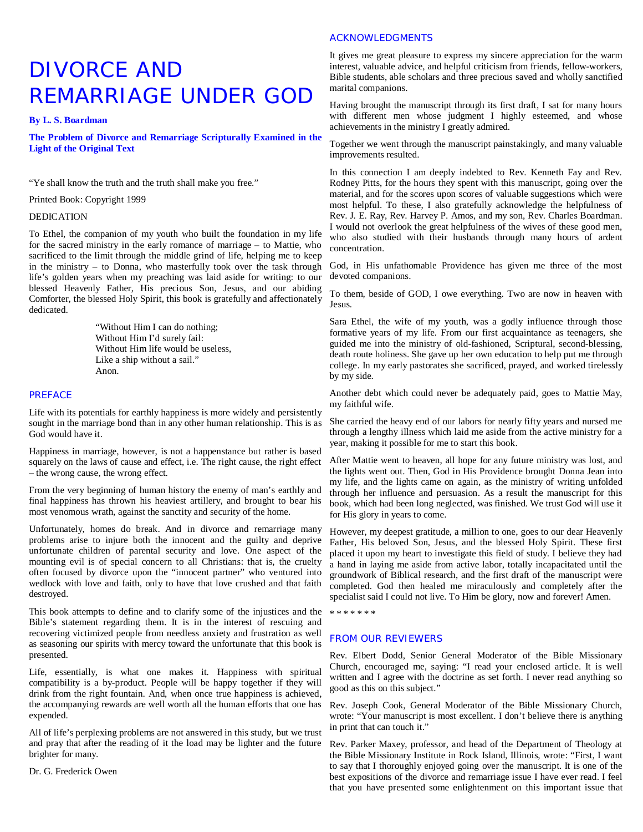# DIVORCE AND REMARRIAGE UNDER GOD

**By L. S. Boardman**

**The Problem of Divorce and Remarriage Scripturally Examined in the Light of the Original Text**

"Ye shall know the truth and the truth shall make you free."

Printed Book: Copyright 1999

# DEDICATION

To Ethel, the companion of my youth who built the foundation in my life for the sacred ministry in the early romance of marriage – to Mattie, who sacrificed to the limit through the middle grind of life, helping me to keep in the ministry – to Donna, who masterfully took over the task through life's golden years when my preaching was laid aside for writing: to our blessed Heavenly Father, His precious Son, Jesus, and our abiding Comforter, the blessed Holy Spirit, this book is gratefully and affectionately dedicated.

> "Without Him I can do nothing; Without Him I'd surely fail: Without Him life would be useless, Like a ship without a sail." Anon.

# PREFACE

Life with its potentials for earthly happiness is more widely and persistently sought in the marriage bond than in any other human relationship. This is as God would have it.

Happiness in marriage, however, is not a happenstance but rather is based squarely on the laws of cause and effect, i.e. The right cause, the right effect – the wrong cause, the wrong effect.

From the very beginning of human history the enemy of man's earthly and final happiness has thrown his heaviest artillery, and brought to bear his most venomous wrath, against the sanctity and security of the home.

Unfortunately, homes do break. And in divorce and remarriage many problems arise to injure both the innocent and the guilty and deprive unfortunate children of parental security and love. One aspect of the mounting evil is of special concern to all Christians: that is, the cruelty often focused by divorce upon the "innocent partner" who ventured into wedlock with love and faith, only to have that love crushed and that faith destroyed.

This book attempts to define and to clarify some of the injustices and the Bible's statement regarding them. It is in the interest of rescuing and recovering victimized people from needless anxiety and frustration as well as seasoning our spirits with mercy toward the unfortunate that this book is presented.

Life, essentially, is what one makes it. Happiness with spiritual compatibility is a by-product. People will be happy together if they will drink from the right fountain. And, when once true happiness is achieved, the accompanying rewards are well worth all the human efforts that one has expended.

All of life's perplexing problems are not answered in this study, but we trust and pray that after the reading of it the load may be lighter and the future brighter for many.

Dr. G. Frederick Owen

# ACKNOWLEDGMENTS

It gives me great pleasure to express my sincere appreciation for the warm interest, valuable advice, and helpful criticism from friends, fellow-workers, Bible students, able scholars and three precious saved and wholly sanctified marital companions.

Having brought the manuscript through its first draft, I sat for many hours with different men whose judgment I highly esteemed, and whose achievements in the ministry I greatly admired.

Together we went through the manuscript painstakingly, and many valuable improvements resulted.

In this connection I am deeply indebted to Rev. Kenneth Fay and Rev. Rodney Pitts, for the hours they spent with this manuscript, going over the material, and for the scores upon scores of valuable suggestions which were most helpful. To these, I also gratefully acknowledge the helpfulness of Rev. J. E. Ray, Rev. Harvey P. Amos, and my son, Rev. Charles Boardman. I would not overlook the great helpfulness of the wives of these good men, who also studied with their husbands through many hours of ardent concentration.

God, in His unfathomable Providence has given me three of the most devoted companions.

To them, beside of GOD, I owe everything. Two are now in heaven with Jesus.

Sara Ethel, the wife of my youth, was a godly influence through those formative years of my life. From our first acquaintance as teenagers, she guided me into the ministry of old-fashioned, Scriptural, second-blessing, death route holiness. She gave up her own education to help put me through college. In my early pastorates she sacrificed, prayed, and worked tirelessly by my side.

Another debt which could never be adequately paid, goes to Mattie May, my faithful wife.

She carried the heavy end of our labors for nearly fifty years and nursed me through a lengthy illness which laid me aside from the active ministry for a year, making it possible for me to start this book.

After Mattie went to heaven, all hope for any future ministry was lost, and the lights went out. Then, God in His Providence brought Donna Jean into my life, and the lights came on again, as the ministry of writing unfolded through her influence and persuasion. As a result the manuscript for this book, which had been long neglected, was finished. We trust God will use it for His glory in years to come.

However, my deepest gratitude, a million to one, goes to our dear Heavenly Father, His beloved Son, Jesus, and the blessed Holy Spirit. These first placed it upon my heart to investigate this field of study. I believe they had a hand in laying me aside from active labor, totally incapacitated until the groundwork of Biblical research, and the first draft of the manuscript were completed. God then healed me miraculously and completely after the specialist said I could not live. To Him be glory, now and forever! Amen.

\* \* \* \* \* \* \*

# FROM OUR REVIEWERS

Rev. Elbert Dodd, Senior General Moderator of the Bible Missionary Church, encouraged me, saying: "I read your enclosed article. It is well written and I agree with the doctrine as set forth. I never read anything so good as this on this subject."

Rev. Joseph Cook, General Moderator of the Bible Missionary Church, wrote: "Your manuscript is most excellent. I don't believe there is anything in print that can touch it."

Rev. Parker Maxey, professor, and head of the Department of Theology at the Bible Missionary Institute in Rock Island, Illinois, wrote: "First, I want to say that I thoroughly enjoyed going over the manuscript. It is one of the best expositions of the divorce and remarriage issue I have ever read. I feel that you have presented some enlightenment on this important issue that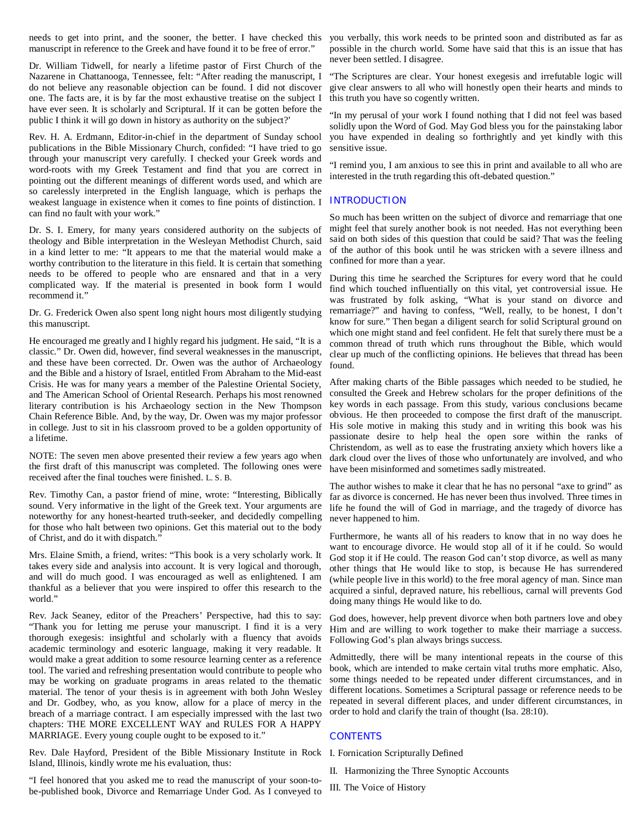needs to get into print, and the sooner, the better. I have checked this you verbally, this work needs to be printed soon and distributed as far as manuscript in reference to the Greek and have found it to be free of error."

Dr. William Tidwell, for nearly a lifetime pastor of First Church of the Nazarene in Chattanooga, Tennessee, felt: "After reading the manuscript, I do not believe any reasonable objection can be found. I did not discover one. The facts are, it is by far the most exhaustive treatise on the subject I have ever seen. It is scholarly and Scriptural. If it can be gotten before the public I think it will go down in history as authority on the subject?'

Rev. H. A. Erdmann, Editor-in-chief in the department of Sunday school publications in the Bible Missionary Church, confided: "I have tried to go through your manuscript very carefully. I checked your Greek words and word-roots with my Greek Testament and find that you are correct in pointing out the different meanings of different words used, and which are so carelessly interpreted in the English language, which is perhaps the weakest language in existence when it comes to fine points of distinction. I **INTRODUCTION** can find no fault with your work."

Dr. S. I. Emery, for many years considered authority on the subjects of theology and Bible interpretation in the Wesleyan Methodist Church, said in a kind letter to me: "It appears to me that the material would make a worthy contribution to the literature in this field. It is certain that something needs to be offered to people who are ensnared and that in a very complicated way. If the material is presented in book form I would recommend it."

Dr. G. Frederick Owen also spent long night hours most diligently studying this manuscript.

He encouraged me greatly and I highly regard his judgment. He said, "It is a classic." Dr. Owen did, however, find several weaknesses in the manuscript, and these have been corrected. Dr. Owen was the author of Archaeology and the Bible and a history of Israel, entitled From Abraham to the Mid-east Crisis. He was for many years a member of the Palestine Oriental Society, and The American School of Oriental Research. Perhaps his most renowned literary contribution is his Archaeology section in the New Thompson Chain Reference Bible. And, by the way, Dr. Owen was my major professor in college. Just to sit in his classroom proved to be a golden opportunity of a lifetime.

NOTE: The seven men above presented their review a few years ago when the first draft of this manuscript was completed. The following ones were received after the final touches were finished. L. S. B.

Rev. Timothy Can, a pastor friend of mine, wrote: "Interesting, Biblically sound. Very informative in the light of the Greek text. Your arguments are noteworthy for any honest-hearted truth-seeker, and decidedly compelling for those who halt between two opinions. Get this material out to the body of Christ, and do it with dispatch."

Mrs. Elaine Smith, a friend, writes: "This book is a very scholarly work. It takes every side and analysis into account. It is very logical and thorough, and will do much good. I was encouraged as well as enlightened. I am thankful as a believer that you were inspired to offer this research to the world."

Rev. Jack Seaney, editor of the Preachers' Perspective, had this to say: "Thank you for letting me peruse your manuscript. I find it is a very thorough exegesis: insightful and scholarly with a fluency that avoids academic terminology and esoteric language, making it very readable. It would make a great addition to some resource learning center as a reference tool. The varied and refreshing presentation would contribute to people who may be working on graduate programs in areas related to the thematic material. The tenor of your thesis is in agreement with both John Wesley and Dr. Godbey, who, as you know, allow for a place of mercy in the breach of a marriage contract. I am especially impressed with the last two chapters: THE MORE EXCELLENT WAY and RULES FOR A HAPPY MARRIAGE. Every young couple ought to be exposed to it."

Rev. Dale Hayford, President of the Bible Missionary Institute in Rock I. Fornication Scripturally Defined Island, Illinois, kindly wrote me his evaluation, thus:

"I feel honored that you asked me to read the manuscript of your soon-tobe-published book, Divorce and Remarriage Under God. As I conveyed to

possible in the church world. Some have said that this is an issue that has never been settled. I disagree.

"The Scriptures are clear. Your honest exegesis and irrefutable logic will give clear answers to all who will honestly open their hearts and minds to this truth you have so cogently written.

"In my perusal of your work I found nothing that I did not feel was based solidly upon the Word of God. May God bless you for the painstaking labor you have expended in dealing so forthrightly and yet kindly with this sensitive issue.

"I remind you, I am anxious to see this in print and available to all who are interested in the truth regarding this oft-debated question."

So much has been written on the subject of divorce and remarriage that one might feel that surely another book is not needed. Has not everything been said on both sides of this question that could be said? That was the feeling of the author of this book until he was stricken with a severe illness and confined for more than a year.

During this time he searched the Scriptures for every word that he could find which touched influentially on this vital, yet controversial issue. He was frustrated by folk asking, "What is your stand on divorce and remarriage?" and having to confess, "Well, really, to be honest, I don't know for sure." Then began a diligent search for solid Scriptural ground on which one might stand and feel confident. He felt that surely there must be a common thread of truth which runs throughout the Bible, which would clear up much of the conflicting opinions. He believes that thread has been found.

After making charts of the Bible passages which needed to be studied, he consulted the Greek and Hebrew scholars for the proper definitions of the key words in each passage. From this study, various conclusions became obvious. He then proceeded to compose the first draft of the manuscript. His sole motive in making this study and in writing this book was his passionate desire to help heal the open sore within the ranks of Christendom, as well as to ease the frustrating anxiety which hovers like a dark cloud over the lives of those who unfortunately are involved, and who have been misinformed and sometimes sadly mistreated.

The author wishes to make it clear that he has no personal "axe to grind" as far as divorce is concerned. He has never been thus involved. Three times in life he found the will of God in marriage, and the tragedy of divorce has never happened to him.

Furthermore, he wants all of his readers to know that in no way does he want to encourage divorce. He would stop all of it if he could. So would God stop it if He could. The reason God can't stop divorce, as well as many other things that He would like to stop, is because He has surrendered (while people live in this world) to the free moral agency of man. Since man acquired a sinful, depraved nature, his rebellious, carnal will prevents God doing many things He would like to do.

God does, however, help prevent divorce when both partners love and obey Him and are willing to work together to make their marriage a success. Following God's plan always brings success.

Admittedly, there will be many intentional repeats in the course of this book, which are intended to make certain vital truths more emphatic. Also, some things needed to be repeated under different circumstances, and in different locations. Sometimes a Scriptural passage or reference needs to be repeated in several different places, and under different circumstances, in order to hold and clarify the train of thought (Isa. 28:10).

# **CONTENTS**

- II. Harmonizing the Three Synoptic Accounts
- III. The Voice of History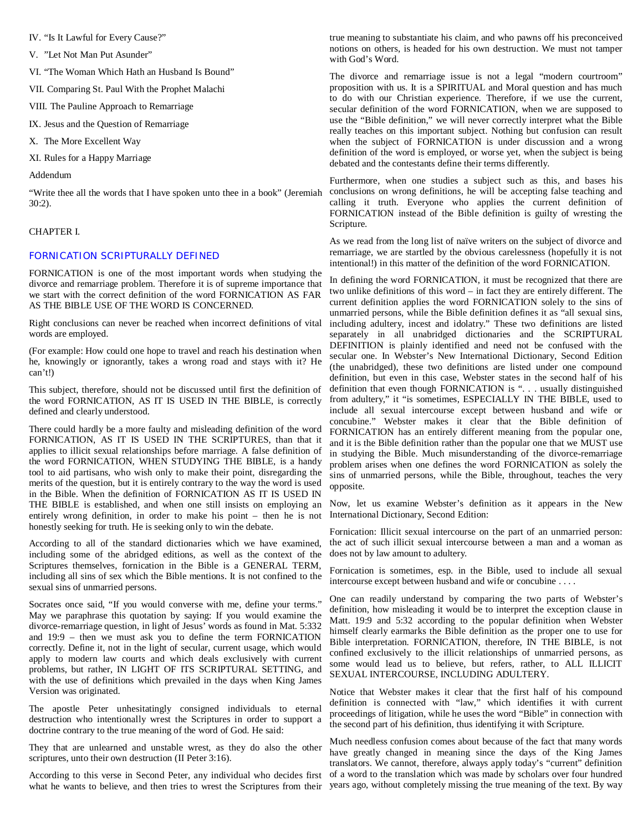IV. "Is It Lawful for Every Cause?"

V. "Let Not Man Put Asunder"

VI. "The Woman Which Hath an Husband Is Bound"

VII. Comparing St. Paul With the Prophet Malachi

VIII. The Pauline Approach to Remarriage

IX. Jesus and the Question of Remarriage

X. The More Excellent Way

XI. Rules for a Happy Marriage

Addendum

30:2).

# CHAPTER I.

# FORNICATION SCRIPTURALLY DEFINED

FORNICATION is one of the most important words when studying the divorce and remarriage problem. Therefore it is of supreme importance that we start with the correct definition of the word FORNICATION AS FAR AS THE BIBLE USE OF THE WORD IS CONCERNED.

Right conclusions can never be reached when incorrect definitions of vital words are employed.

(For example: How could one hope to travel and reach his destination when he, knowingly or ignorantly, takes a wrong road and stays with it? He can't!)

This subject, therefore, should not be discussed until first the definition of the word FORNICATION, AS IT IS USED IN THE BIBLE, is correctly defined and clearly understood.

There could hardly be a more faulty and misleading definition of the word FORNICATION, AS IT IS USED IN THE SCRIPTURES, than that it applies to illicit sexual relationships before marriage. A false definition of the word FORNICATION, WHEN STUDYING THE BIBLE, is a handy tool to aid partisans, who wish only to make their point, disregarding the merits of the question, but it is entirely contrary to the way the word is used in the Bible. When the definition of FORNICATION AS IT IS USED IN THE BIBLE is established, and when one still insists on employing an entirely wrong definition, in order to make his point – then he is not honestly seeking for truth. He is seeking only to win the debate.

According to all of the standard dictionaries which we have examined, including some of the abridged editions, as well as the context of the Scriptures themselves, fornication in the Bible is a GENERAL TERM, including all sins of sex which the Bible mentions. It is not confined to the sexual sins of unmarried persons.

Socrates once said, "If you would converse with me, define your terms." May we paraphrase this quotation by saying: If you would examine the divorce-remarriage question, in light of Jesus' words as found in Mat. 5:332 and 19:9 – then we must ask you to define the term FORNICATION correctly. Define it, not in the light of secular, current usage, which would apply to modern law courts and which deals exclusively with current problems, but rather, IN LIGHT OF ITS SCRIPTURAL SETTING, and with the use of definitions which prevailed in the days when King James Version was originated.

The apostle Peter unhesitatingly consigned individuals to eternal destruction who intentionally wrest the Scriptures in order to support a doctrine contrary to the true meaning of the word of God. He said:

They that are unlearned and unstable wrest, as they do also the other scriptures, unto their own destruction (II Peter 3:16).

what he wants to believe, and then tries to wrest the Scriptures from their years ago, without completely missing the true meaning of the text. By way

true meaning to substantiate his claim, and who pawns off his preconceived notions on others, is headed for his own destruction. We must not tamper with God's Word.

The divorce and remarriage issue is not a legal "modern courtroom" proposition with us. It is a SPIRITUAL and Moral question and has much to do with our Christian experience. Therefore, if we use the current, secular definition of the word FORNICATION, when we are supposed to use the "Bible definition," we will never correctly interpret what the Bible really teaches on this important subject. Nothing but confusion can result when the subject of FORNICATION is under discussion and a wrong definition of the word is employed, or worse yet, when the subject is being debated and the contestants define their terms differently.

"Write thee all the words that I have spoken unto thee in a book" (Jeremiah conclusions on wrong definitions, he will be accepting false teaching and Furthermore, when one studies a subject such as this, and bases his calling it truth. Everyone who applies the current definition of FORNICATION instead of the Bible definition is guilty of wresting the Scripture.

> As we read from the long list of naïve writers on the subject of divorce and remarriage, we are startled by the obvious carelessness (hopefully it is not intentional!) in this matter of the definition of the word FORNICATION.

> In defining the word FORNICATION, it must be recognized that there are two unlike definitions of this word – in fact they are entirely different. The current definition applies the word FORNICATION solely to the sins of unmarried persons, while the Bible definition defines it as "all sexual sins, including adultery, incest and idolatry." These two definitions are listed separately in all unabridged dictionaries and the SCRIPTURAL DEFINITION is plainly identified and need not be confused with the secular one. In Webster's New International Dictionary, Second Edition (the unabridged), these two definitions are listed under one compound definition, but even in this case, Webster states in the second half of his definition that even though FORNICATION is ". . . usually distinguished from adultery," it "is sometimes, ESPECIALLY IN THE BIBLE, used to include all sexual intercourse except between husband and wife or concubine." Webster makes it clear that the Bible definition of FORNICATION has an entirely different meaning from the popular one, and it is the Bible definition rather than the popular one that we MUST use in studying the Bible. Much misunderstanding of the divorce-remarriage problem arises when one defines the word FORNICATION as solely the sins of unmarried persons, while the Bible, throughout, teaches the very opposite.

> Now, let us examine Webster's definition as it appears in the New International Dictionary, Second Edition:

> Fornication: Illicit sexual intercourse on the part of an unmarried person: the act of such illicit sexual intercourse between a man and a woman as does not by law amount to adultery.

> Fornication is sometimes, esp. in the Bible, used to include all sexual intercourse except between husband and wife or concubine . . . .

> One can readily understand by comparing the two parts of Webster's definition, how misleading it would be to interpret the exception clause in Matt. 19:9 and 5:32 according to the popular definition when Webster himself clearly earmarks the Bible definition as the proper one to use for Bible interpretation. FORNICATION, therefore, IN THE BIBLE, is not confined exclusively to the illicit relationships of unmarried persons, as some would lead us to believe, but refers, rather, to ALL ILLICIT SEXUAL INTERCOURSE, INCLUDING ADULTERY.

> Notice that Webster makes it clear that the first half of his compound definition is connected with "law," which identifies it with current proceedings of litigation, while he uses the word "Bible" in connection with the second part of his definition, thus identifying it with Scripture.

According to this verse in Second Peter, any individual who decides first of a word to the translation which was made by scholars over four hundred Much needless confusion comes about because of the fact that many words have greatly changed in meaning since the days of the King James translators. We cannot, therefore, always apply today's "current" definition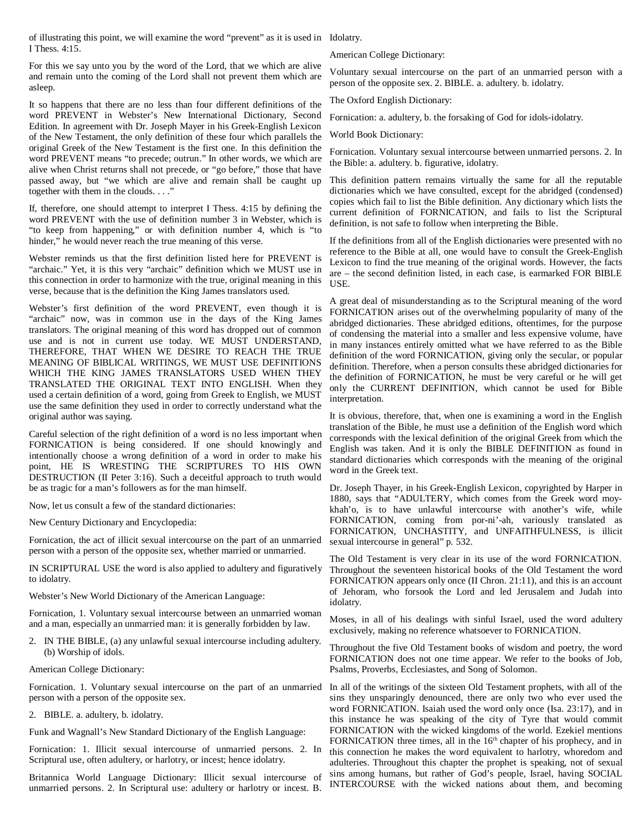of illustrating this point, we will examine the word "prevent" as it is used in Idolatry. I Thess. 4:15.

For this we say unto you by the word of the Lord, that we which are alive and remain unto the coming of the Lord shall not prevent them which are asleep.

It so happens that there are no less than four different definitions of the word PREVENT in Webster's New International Dictionary, Second Edition. In agreement with Dr. Joseph Mayer in his Greek-English Lexicon of the New Testament, the only definition of these four which parallels the original Greek of the New Testament is the first one. In this definition the word PREVENT means "to precede; outrun." In other words, we which are alive when Christ returns shall not precede, or "go before," those that have passed away, but "we which are alive and remain shall be caught up together with them in the clouds. . . ."

If, therefore, one should attempt to interpret I Thess. 4:15 by defining the word PREVENT with the use of definition number 3 in Webster, which is "to keep from happening," or with definition number 4, which is "to hinder," he would never reach the true meaning of this verse.

Webster reminds us that the first definition listed here for PREVENT is "archaic." Yet, it is this very "archaic" definition which we MUST use in this connection in order to harmonize with the true, original meaning in this verse, because that is the definition the King James translators used.

Webster's first definition of the word PREVENT, even though it is "archaic" now, was in common use in the days of the King James translators. The original meaning of this word has dropped out of common use and is not in current use today. WE MUST UNDERSTAND, THEREFORE, THAT WHEN WE DESIRE TO REACH THE TRUE MEANING OF BIBLICAL WRITINGS, WE MUST USE DEFINITIONS WHICH THE KING JAMES TRANSLATORS USED WHEN THEY TRANSLATED THE ORIGINAL TEXT INTO ENGLISH. When they used a certain definition of a word, going from Greek to English, we MUST use the same definition they used in order to correctly understand what the original author was saying.

Careful selection of the right definition of a word is no less important when FORNICATION is being considered. If one should knowingly and intentionally choose a wrong definition of a word in order to make his point, HE IS WRESTING THE SCRIPTURES TO HIS OWN DESTRUCTION (II Peter 3:16). Such a deceitful approach to truth would be as tragic for a man's followers as for the man himself.

Now, let us consult a few of the standard dictionaries:

New Century Dictionary and Encyclopedia:

Fornication, the act of illicit sexual intercourse on the part of an unmarried person with a person of the opposite sex, whether married or unmarried.

IN SCRIPTURAL USE the word is also applied to adultery and figuratively to idolatry.

Webster's New World Dictionary of the American Language:

Fornication, 1. Voluntary sexual intercourse between an unmarried woman and a man, especially an unmarried man: it is generally forbidden by law.

2. IN THE BIBLE, (a) any unlawful sexual intercourse including adultery. (b) Worship of idols.

American College Dictionary:

Fornication. 1. Voluntary sexual intercourse on the part of an unmarried person with a person of the opposite sex.

2. BIBLE. a. adultery, b. idolatry.

Funk and Wagnall's New Standard Dictionary of the English Language:

Fornication: 1. Illicit sexual intercourse of unmarried persons. 2. In Scriptural use, often adultery, or harlotry, or incest; hence idolatry.

Britannica World Language Dictionary: Illicit sexual intercourse of unmarried persons. 2. In Scriptural use: adultery or harlotry or incest. B.

American College Dictionary:

Voluntary sexual intercourse on the part of an unmarried person with a person of the opposite sex. 2. BIBLE. a. adultery. b. idolatry.

The Oxford English Dictionary:

Fornication: a. adultery, b. the forsaking of God for idols-idolatry.

World Book Dictionary:

Fornication. Voluntary sexual intercourse between unmarried persons. 2. In the Bible: a. adultery. b. figurative, idolatry.

This definition pattern remains virtually the same for all the reputable dictionaries which we have consulted, except for the abridged (condensed) copies which fail to list the Bible definition. Any dictionary which lists the current definition of FORNICATION, and fails to list the Scriptural definition, is not safe to follow when interpreting the Bible.

If the definitions from all of the English dictionaries were presented with no reference to the Bible at all, one would have to consult the Greek-English Lexicon to find the true meaning of the original words. However, the facts are – the second definition listed, in each case, is earmarked FOR BIBLE USE.

A great deal of misunderstanding as to the Scriptural meaning of the word FORNICATION arises out of the overwhelming popularity of many of the abridged dictionaries. These abridged editions, oftentimes, for the purpose of condensing the material into a smaller and less expensive volume, have in many instances entirely omitted what we have referred to as the Bible definition of the word FORNICATION, giving only the secular, or popular definition. Therefore, when a person consults these abridged dictionaries for the definition of FORNICATION, he must be very careful or he will get only the CURRENT DEFINITION, which cannot be used for Bible interpretation.

It is obvious, therefore, that, when one is examining a word in the English translation of the Bible, he must use a definition of the English word which corresponds with the lexical definition of the original Greek from which the English was taken. And it is only the BIBLE DEFINITION as found in standard dictionaries which corresponds with the meaning of the original word in the Greek text.

Dr. Joseph Thayer, in his Greek-English Lexicon, copyrighted by Harper in 1880, says that "ADULTERY, which comes from the Greek word moykhah'o, is to have unlawful intercourse with another's wife, while FORNICATION, coming from por-ni'-ah, variously translated as FORNICATION, UNCHASTITY, and UNFAITHFULNESS, is illicit sexual intercourse in general" p. 532.

The Old Testament is very clear in its use of the word FORNICATION. Throughout the seventeen historical books of the Old Testament the word FORNICATION appears only once (II Chron. 21:11), and this is an account of Jehoram, who forsook the Lord and led Jerusalem and Judah into idolatry.

Moses, in all of his dealings with sinful Israel, used the word adultery exclusively, making no reference whatsoever to FORNICATION.

Throughout the five Old Testament books of wisdom and poetry, the word FORNICATION does not one time appear. We refer to the books of Job, Psalms, Proverbs, Ecclesiastes, and Song of Solomon.

In all of the writings of the sixteen Old Testament prophets, with all of the sins they unsparingly denounced, there are only two who ever used the word FORNICATION. Isaiah used the word only once (Isa. 23:17), and in this instance he was speaking of the city of Tyre that would commit FORNICATION with the wicked kingdoms of the world. Ezekiel mentions FORNICATION three times, all in the 16<sup>th</sup> chapter of his prophecy, and in this connection he makes the word equivalent to harlotry, whoredom and adulteries. Throughout this chapter the prophet is speaking, not of sexual sins among humans, but rather of God's people, Israel, having SOCIAL INTERCOURSE with the wicked nations about them, and becoming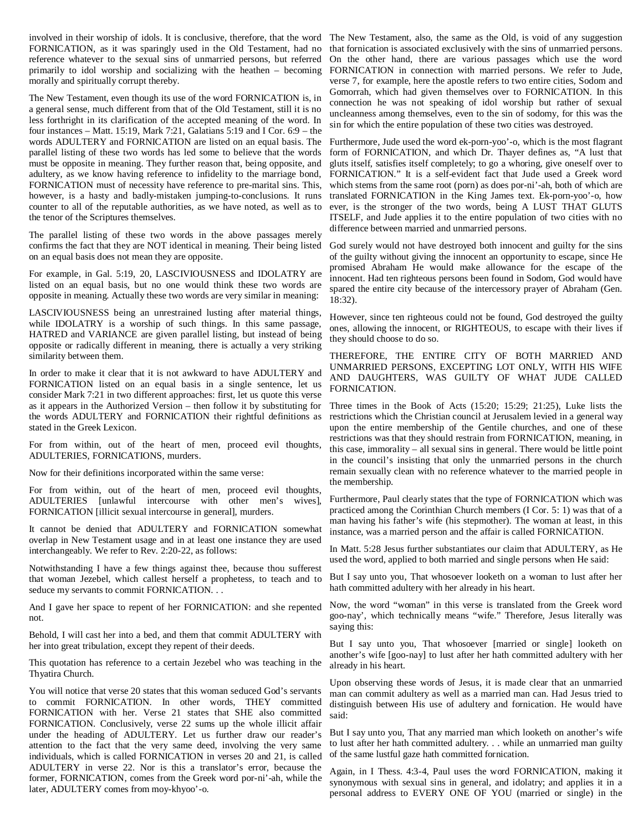involved in their worship of idols. It is conclusive, therefore, that the word The New Testament, also, the same as the Old, is void of any suggestion FORNICATION, as it was sparingly used in the Old Testament, had no reference whatever to the sexual sins of unmarried persons, but referred primarily to idol worship and socializing with the heathen – becoming FORNICATION in connection with married persons. We refer to Jude, morally and spiritually corrupt thereby.

The New Testament, even though its use of the word FORNICATION is, in a general sense, much different from that of the Old Testament, still it is no less forthright in its clarification of the accepted meaning of the word. In four instances – Matt. 15:19, Mark 7:21, Galatians 5:19 and I Cor. 6:9 – the words ADULTERY and FORNICATION are listed on an equal basis. The Furthermore, Jude used the word ek-porn-yoo'-o, which is the most flagrant parallel listing of these two words has led some to believe that the words must be opposite in meaning. They further reason that, being opposite, and adultery, as we know having reference to infidelity to the marriage bond, FORNICATION must of necessity have reference to pre-marital sins. This, however, is a hasty and badly-mistaken jumping-to-conclusions. It runs counter to all of the reputable authorities, as we have noted, as well as to the tenor of the Scriptures themselves.

The parallel listing of these two words in the above passages merely confirms the fact that they are NOT identical in meaning. Their being listed on an equal basis does not mean they are opposite.

For example, in Gal. 5:19, 20, LASCIVIOUSNESS and IDOLATRY are listed on an equal basis, but no one would think these two words are opposite in meaning. Actually these two words are very similar in meaning:

LASCIVIOUSNESS being an unrestrained lusting after material things, while IDOLATRY is a worship of such things. In this same passage, HATRED and VARIANCE are given parallel listing, but instead of being opposite or radically different in meaning, there is actually a very striking similarity between them.

In order to make it clear that it is not awkward to have ADULTERY and FORNICATION listed on an equal basis in a single sentence, let us consider Mark 7:21 in two different approaches: first, let us quote this verse as it appears in the Authorized Version – then follow it by substituting for the words ADULTERY and FORNICATION their rightful definitions as stated in the Greek Lexicon.

For from within, out of the heart of men, proceed evil thoughts, ADULTERIES, FORNICATIONS, murders.

Now for their definitions incorporated within the same verse:

For from within, out of the heart of men, proceed evil thoughts, ADULTERIES [unlawful intercourse with other men's wives], FORNICATION [illicit sexual intercourse in general], murders.

It cannot be denied that ADULTERY and FORNICATION somewhat overlap in New Testament usage and in at least one instance they are used interchangeably. We refer to Rev. 2:20-22, as follows:

Notwithstanding I have a few things against thee, because thou sufferest that woman Jezebel, which callest herself a prophetess, to teach and to seduce my servants to commit FORNICATION. . .

not.

Behold, I will cast her into a bed, and them that commit ADULTERY with her into great tribulation, except they repent of their deeds.

This quotation has reference to a certain Jezebel who was teaching in the Thyatira Church.

You will notice that verse 20 states that this woman seduced God's servants to commit FORNICATION. In other words, THEY committed FORNICATION with her. Verse 21 states that SHE also committed FORNICATION. Conclusively, verse 22 sums up the whole illicit affair under the heading of ADULTERY. Let us further draw our reader's attention to the fact that the very same deed, involving the very same individuals, which is called FORNICATION in verses 20 and 21, is called ADULTERY in verse 22. Nor is this a translator's error, because the former, FORNICATION, comes from the Greek word por-ni'-ah, while the later, ADULTERY comes from moy-khyoo'-o.

that fornication is associated exclusively with the sins of unmarried persons. On the other hand, there are various passages which use the word verse 7, for example, here the apostle refers to two entire cities, Sodom and Gomorrah, which had given themselves over to FORNICATION. In this connection he was not speaking of idol worship but rather of sexual uncleanness among themselves, even to the sin of sodomy, for this was the sin for which the entire population of these two cities was destroyed.

form of FORNICATION, and which Dr. Thayer defines as, "A lust that gluts itself, satisfies itself completely; to go a whoring, give oneself over to FORNICATION." It is a self-evident fact that Jude used a Greek word which stems from the same root (porn) as does por-ni'-ah, both of which are translated FORNICATION in the King James text. Ek-porn-yoo'-o, how ever, is the stronger of the two words, being A LUST THAT GLUTS ITSELF, and Jude applies it to the entire population of two cities with no difference between married and unmarried persons.

God surely would not have destroyed both innocent and guilty for the sins of the guilty without giving the innocent an opportunity to escape, since He promised Abraham He would make allowance for the escape of the innocent. Had ten righteous persons been found in Sodom, God would have spared the entire city because of the intercessory prayer of Abraham (Gen. 18:32).

However, since ten righteous could not be found, God destroyed the guilty ones, allowing the innocent, or RIGHTEOUS, to escape with their lives if they should choose to do so.

THEREFORE, THE ENTIRE CITY OF BOTH MARRIED AND UNMARRIED PERSONS, EXCEPTING LOT ONLY, WITH HIS WIFE AND DAUGHTERS, WAS GUILTY OF WHAT JUDE CALLED FORNICATION.

Three times in the Book of Acts (15:20; 15:29; 21:25), Luke lists the restrictions which the Christian council at Jerusalem levied in a general way upon the entire membership of the Gentile churches, and one of these restrictions was that they should restrain from FORNICATION, meaning, in this case, immorality – all sexual sins in general. There would be little point in the council's insisting that only the unmarried persons in the church remain sexually clean with no reference whatever to the married people in the membership.

Furthermore, Paul clearly states that the type of FORNICATION which was practiced among the Corinthian Church members (I Cor. 5: 1) was that of a man having his father's wife (his stepmother). The woman at least, in this instance, was a married person and the affair is called FORNICATION.

In Matt. 5:28 Jesus further substantiates our claim that ADULTERY, as He used the word, applied to both married and single persons when He said:

But I say unto you, That whosoever looketh on a woman to lust after her hath committed adultery with her already in his heart.

And I gave her space to repent of her FORNICATION: and she repented Now, the word "woman" in this verse is translated from the Greek word goo-nay', which technically means "wife." Therefore, Jesus literally was saying this:

> But I say unto you, That whosoever [married or single] looketh on another's wife [goo-nay] to lust after her hath committed adultery with her already in his heart.

> Upon observing these words of Jesus, it is made clear that an unmarried man can commit adultery as well as a married man can. Had Jesus tried to distinguish between His use of adultery and fornication. He would have said:

> But I say unto you, That any married man which looketh on another's wife to lust after her hath committed adultery. . . while an unmarried man guilty of the same lustful gaze hath committed fornication.

> Again, in I Thess. 4:3-4, Paul uses the word FORNICATION, making it synonymous with sexual sins in general, and idolatry; and applies it in a personal address to EVERY ONE OF YOU (married or single) in the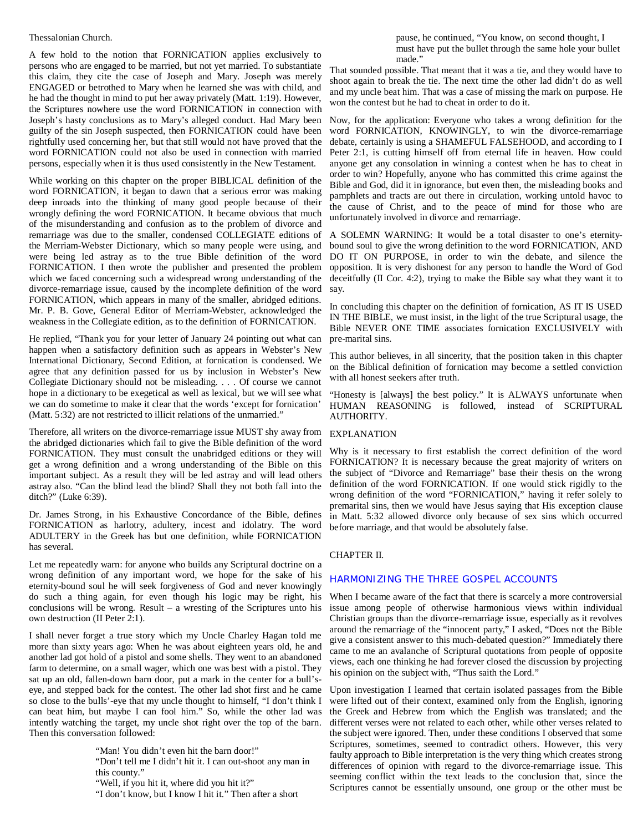#### Thessalonian Church.

A few hold to the notion that FORNICATION applies exclusively to persons who are engaged to be married, but not yet married. To substantiate this claim, they cite the case of Joseph and Mary. Joseph was merely ENGAGED or betrothed to Mary when he learned she was with child, and he had the thought in mind to put her away privately (Matt. 1:19). However, the Scriptures nowhere use the word FORNICATION in connection with Joseph's hasty conclusions as to Mary's alleged conduct. Had Mary been guilty of the sin Joseph suspected, then FORNICATION could have been rightfully used concerning her, but that still would not have proved that the word FORNICATION could not also be used in connection with married persons, especially when it is thus used consistently in the New Testament.

While working on this chapter on the proper BIBLICAL definition of the word FORNICATION, it began to dawn that a serious error was making deep inroads into the thinking of many good people because of their wrongly defining the word FORNICATION. It became obvious that much of the misunderstanding and confusion as to the problem of divorce and remarriage was due to the smaller, condensed COLLEGIATE editions of the Merriam-Webster Dictionary, which so many people were using, and were being led astray as to the true Bible definition of the word FORNICATION. I then wrote the publisher and presented the problem which we faced concerning such a widespread wrong understanding of the divorce-remarriage issue, caused by the incomplete definition of the word FORNICATION, which appears in many of the smaller, abridged editions. Mr. P. B. Gove, General Editor of Merriam-Webster, acknowledged the weakness in the Collegiate edition, as to the definition of FORNICATION.

He replied, "Thank you for your letter of January 24 pointing out what can happen when a satisfactory definition such as appears in Webster's New International Dictionary, Second Edition, at fornication is condensed. We agree that any definition passed for us by inclusion in Webster's New Collegiate Dictionary should not be misleading. . . . Of course we cannot hope in a dictionary to be exegetical as well as lexical, but we will see what we can do sometime to make it clear that the words 'except for fornication' (Matt. 5:32) are not restricted to illicit relations of the unmarried."

Therefore, all writers on the divorce-remarriage issue MUST shy away from the abridged dictionaries which fail to give the Bible definition of the word FORNICATION. They must consult the unabridged editions or they will get a wrong definition and a wrong understanding of the Bible on this important subject. As a result they will be led astray and will lead others astray also. "Can the blind lead the blind? Shall they not both fall into the ditch?" (Luke 6:39).

Dr. James Strong, in his Exhaustive Concordance of the Bible, defines FORNICATION as harlotry, adultery, incest and idolatry. The word ADULTERY in the Greek has but one definition, while FORNICATION has several.

Let me repeatedly warn: for anyone who builds any Scriptural doctrine on a wrong definition of any important word, we hope for the sake of his eternity-bound soul he will seek forgiveness of God and never knowingly do such a thing again, for even though his logic may be right, his conclusions will be wrong. Result – a wresting of the Scriptures unto his own destruction (II Peter 2:1).

I shall never forget a true story which my Uncle Charley Hagan told me more than sixty years ago: When he was about eighteen years old, he and another lad got hold of a pistol and some shells. They went to an abandoned farm to determine, on a small wager, which one was best with a pistol. They sat up an old, fallen-down barn door, put a mark in the center for a bull'seye, and stepped back for the contest. The other lad shot first and he came so close to the bulls'-eye that my uncle thought to himself, "I don't think I can beat him, but maybe I can fool him." So, while the other lad was intently watching the target, my uncle shot right over the top of the barn. Then this conversation followed:

"Man! You didn't even hit the barn door!"

"Don't tell me I didn't hit it. I can out-shoot any man in this county." "Well, if you hit it, where did you hit it?"

"I don't know, but I know I hit it." Then after a short

pause, he continued, "You know, on second thought, I must have put the bullet through the same hole your bullet made."

That sounded possible. That meant that it was a tie, and they would have to shoot again to break the tie. The next time the other lad didn't do as well and my uncle beat him. That was a case of missing the mark on purpose. He won the contest but he had to cheat in order to do it.

Now, for the application: Everyone who takes a wrong definition for the word FORNICATION, KNOWINGLY, to win the divorce-remarriage debate, certainly is using a SHAMEFUL FALSEHOOD, and according to I Peter 2:1, is cutting himself off from eternal life in heaven. How could anyone get any consolation in winning a contest when he has to cheat in order to win? Hopefully, anyone who has committed this crime against the Bible and God, did it in ignorance, but even then, the misleading books and pamphlets and tracts are out there in circulation, working untold havoc to the cause of Christ, and to the peace of mind for those who are unfortunately involved in divorce and remarriage.

A SOLEMN WARNING: It would be a total disaster to one's eternitybound soul to give the wrong definition to the word FORNICATION, AND DO IT ON PURPOSE, in order to win the debate, and silence the opposition. It is very dishonest for any person to handle the Word of God deceitfully (II Cor. 4:2), trying to make the Bible say what they want it to say.

In concluding this chapter on the definition of fornication, AS IT IS USED IN THE BIBLE, we must insist, in the light of the true Scriptural usage, the Bible NEVER ONE TIME associates fornication EXCLUSIVELY with pre-marital sins.

This author believes, in all sincerity, that the position taken in this chapter on the Biblical definition of fornication may become a settled conviction with all honest seekers after truth.

"Honesty is [always] the best policy." It is ALWAYS unfortunate when HUMAN REASONING is followed, instead of SCRIPTURAL AUTHORITY.

# EXPLANATION

Why is it necessary to first establish the correct definition of the word FORNICATION? It is necessary because the great majority of writers on the subject of "Divorce and Remarriage" base their thesis on the wrong definition of the word FORNICATION. If one would stick rigidly to the wrong definition of the word "FORNICATION," having it refer solely to premarital sins, then we would have Jesus saying that His exception clause in Matt. 5:32 allowed divorce only because of sex sins which occurred before marriage, and that would be absolutely false.

# CHAPTER II.

#### HARMONIZING THE THREE GOSPEL ACCOUNTS

When I became aware of the fact that there is scarcely a more controversial issue among people of otherwise harmonious views within individual Christian groups than the divorce-remarriage issue, especially as it revolves around the remarriage of the "innocent party," I asked, "Does not the Bible give a consistent answer to this much-debated question?" Immediately there came to me an avalanche of Scriptural quotations from people of opposite views, each one thinking he had forever closed the discussion by projecting his opinion on the subject with, "Thus saith the Lord."

Upon investigation I learned that certain isolated passages from the Bible were lifted out of their context, examined only from the English, ignoring the Greek and Hebrew from which the English was translated; and the different verses were not related to each other, while other verses related to the subject were ignored. Then, under these conditions I observed that some Scriptures, sometimes, seemed to contradict others. However, this very faulty approach to Bible interpretation is the very thing which creates strong differences of opinion with regard to the divorce-remarriage issue. This seeming conflict within the text leads to the conclusion that, since the Scriptures cannot be essentially unsound, one group or the other must be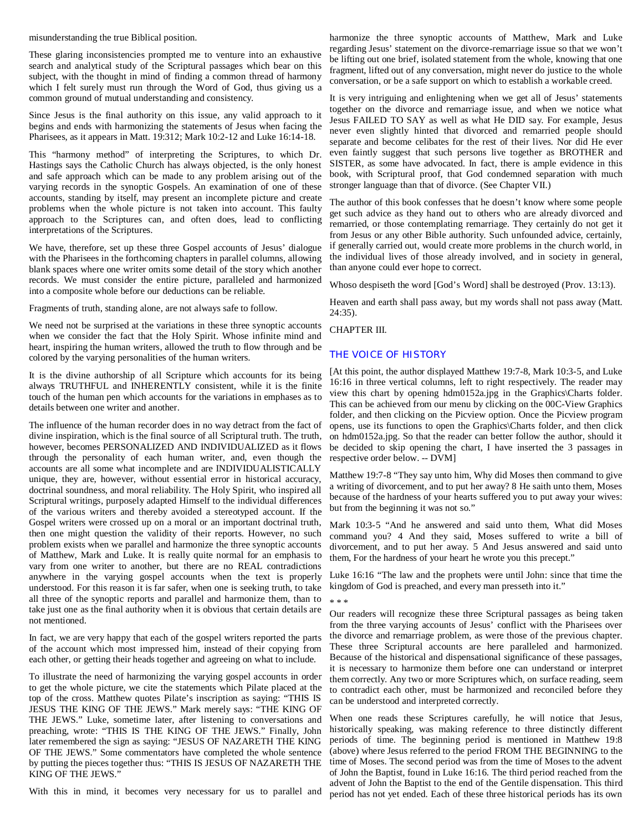misunderstanding the true Biblical position.

These glaring inconsistencies prompted me to venture into an exhaustive search and analytical study of the Scriptural passages which bear on this subject, with the thought in mind of finding a common thread of harmony which I felt surely must run through the Word of God, thus giving us a common ground of mutual understanding and consistency.

Since Jesus is the final authority on this issue, any valid approach to it begins and ends with harmonizing the statements of Jesus when facing the Pharisees, as it appears in Matt. 19:312; Mark 10:2-12 and Luke 16:14-18.

This "harmony method" of interpreting the Scriptures, to which Dr. Hastings says the Catholic Church has always objected, is the only honest and safe approach which can be made to any problem arising out of the varying records in the synoptic Gospels. An examination of one of these accounts, standing by itself, may present an incomplete picture and create problems when the whole picture is not taken into account. This faulty approach to the Scriptures can, and often does, lead to conflicting interpretations of the Scriptures.

We have, therefore, set up these three Gospel accounts of Jesus' dialogue with the Pharisees in the forthcoming chapters in parallel columns, allowing blank spaces where one writer omits some detail of the story which another records. We must consider the entire picture, paralleled and harmonized into a composite whole before our deductions can be reliable.

Fragments of truth, standing alone, are not always safe to follow.

We need not be surprised at the variations in these three synoptic accounts when we consider the fact that the Holy Spirit. Whose infinite mind and heart, inspiring the human writers, allowed the truth to flow through and be colored by the varying personalities of the human writers.

It is the divine authorship of all Scripture which accounts for its being always TRUTHFUL and INHERENTLY consistent, while it is the finite touch of the human pen which accounts for the variations in emphases as to details between one writer and another.

The influence of the human recorder does in no way detract from the fact of divine inspiration, which is the final source of all Scriptural truth. The truth, however, becomes PERSONALIZED AND INDIVIDUALIZED as it flows through the personality of each human writer, and, even though the accounts are all some what incomplete and are INDIVIDUALISTICALLY unique, they are, however, without essential error in historical accuracy, doctrinal soundness, and moral reliability. The Holy Spirit, who inspired all Scriptural writings, purposely adapted Himself to the individual differences of the various writers and thereby avoided a stereotyped account. If the Gospel writers were crossed up on a moral or an important doctrinal truth, then one might question the validity of their reports. However, no such problem exists when we parallel and harmonize the three synoptic accounts of Matthew, Mark and Luke. It is really quite normal for an emphasis to vary from one writer to another, but there are no REAL contradictions anywhere in the varying gospel accounts when the text is properly understood. For this reason it is far safer, when one is seeking truth, to take all three of the synoptic reports and parallel and harmonize them, than to take just one as the final authority when it is obvious that certain details are not mentioned.

In fact, we are very happy that each of the gospel writers reported the parts of the account which most impressed him, instead of their copying from each other, or getting their heads together and agreeing on what to include.

To illustrate the need of harmonizing the varying gospel accounts in order to get the whole picture, we cite the statements which Pilate placed at the top of the cross. Matthew quotes Pilate's inscription as saying: "THIS IS JESUS THE KING OF THE JEWS." Mark merely says: "THE KING OF THE JEWS." Luke, sometime later, after listening to conversations and preaching, wrote: "THIS IS THE KING OF THE JEWS." Finally, John later remembered the sign as saying: "JESUS OF NAZARETH THE KING OF THE JEWS." Some commentators have completed the whole sentence by putting the pieces together thus: "THIS IS JESUS OF NAZARETH THE KING OF THE JEWS."

With this in mind, it becomes very necessary for us to parallel and

harmonize the three synoptic accounts of Matthew, Mark and Luke regarding Jesus' statement on the divorce-remarriage issue so that we won't be lifting out one brief, isolated statement from the whole, knowing that one fragment, lifted out of any conversation, might never do justice to the whole conversation, or be a safe support on which to establish a workable creed.

It is very intriguing and enlightening when we get all of Jesus' statements together on the divorce and remarriage issue, and when we notice what Jesus FAILED TO SAY as well as what He DID say. For example, Jesus never even slightly hinted that divorced and remarried people should separate and become celibates for the rest of their lives. Nor did He ever even faintly suggest that such persons live together as BROTHER and SISTER, as some have advocated. In fact, there is ample evidence in this book, with Scriptural proof, that God condemned separation with much stronger language than that of divorce. (See Chapter VII.)

The author of this book confesses that he doesn't know where some people get such advice as they hand out to others who are already divorced and remarried, or those contemplating remarriage. They certainly do not get it from Jesus or any other Bible authority. Such unfounded advice, certainly, if generally carried out, would create more problems in the church world, in the individual lives of those already involved, and in society in general, than anyone could ever hope to correct.

Whoso despiseth the word [God's Word] shall be destroyed (Prov. 13:13).

Heaven and earth shall pass away, but my words shall not pass away (Matt. 24:35).

CHAPTER III.

# THE VOICE OF HISTORY

[At this point, the author displayed Matthew 19:7-8, Mark 10:3-5, and Luke 16:16 in three vertical columns, left to right respectively. The reader may view this chart by opening hdm0152a.jpg in the Graphics\Charts folder. This can be achieved from our menu by clicking on the 00C-View Graphics folder, and then clicking on the Picview option. Once the Picview program opens, use its functions to open the Graphics\Charts folder, and then click on hdm0152a.jpg. So that the reader can better follow the author, should it be decided to skip opening the chart, I have inserted the 3 passages in respective order below. -- DVM]

Matthew 19:7-8 "They say unto him, Why did Moses then command to give a writing of divorcement, and to put her away? 8 He saith unto them, Moses because of the hardness of your hearts suffered you to put away your wives: but from the beginning it was not so."

Mark 10:3-5 "And he answered and said unto them, What did Moses command you? 4 And they said, Moses suffered to write a bill of divorcement, and to put her away. 5 And Jesus answered and said unto them, For the hardness of your heart he wrote you this precept."

Luke 16:16 "The law and the prophets were until John: since that time the kingdom of God is preached, and every man presseth into it."

\* \* \*

Our readers will recognize these three Scriptural passages as being taken from the three varying accounts of Jesus' conflict with the Pharisees over the divorce and remarriage problem, as were those of the previous chapter. These three Scriptural accounts are here paralleled and harmonized. Because of the historical and dispensational significance of these passages, it is necessary to harmonize them before one can understand or interpret them correctly. Any two or more Scriptures which, on surface reading, seem to contradict each other, must be harmonized and reconciled before they can be understood and interpreted correctly.

When one reads these Scriptures carefully, he will notice that Jesus, historically speaking, was making reference to three distinctly different periods of time. The beginning period is mentioned in Matthew 19:8 (above) where Jesus referred to the period FROM THE BEGINNING to the time of Moses. The second period was from the time of Moses to the advent of John the Baptist, found in Luke 16:16. The third period reached from the advent of John the Baptist to the end of the Gentile dispensation. This third period has not yet ended. Each of these three historical periods has its own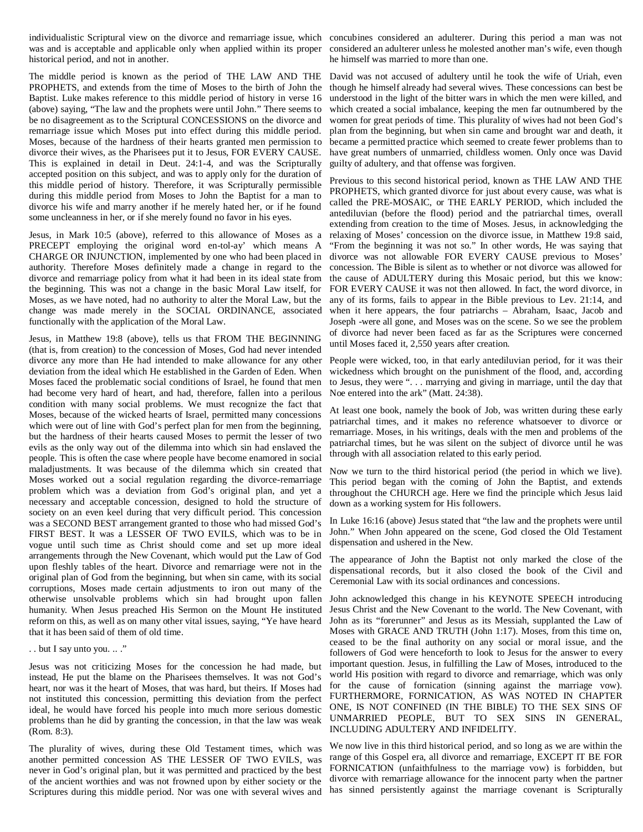individualistic Scriptural view on the divorce and remarriage issue, which concubines considered an adulterer. During this period a man was not was and is acceptable and applicable only when applied within its proper considered an adulterer unless he molested another man's wife, even though historical period, and not in another.

The middle period is known as the period of THE LAW AND THE PROPHETS, and extends from the time of Moses to the birth of John the Baptist. Luke makes reference to this middle period of history in verse 16 (above) saying, "The law and the prophets were until John." There seems to be no disagreement as to the Scriptural CONCESSIONS on the divorce and remarriage issue which Moses put into effect during this middle period. Moses, because of the hardness of their hearts granted men permission to divorce their wives, as the Pharisees put it to Jesus, FOR EVERY CAUSE. This is explained in detail in Deut. 24:1-4, and was the Scripturally accepted position on this subject, and was to apply only for the duration of this middle period of history. Therefore, it was Scripturally permissible during this middle period from Moses to John the Baptist for a man to divorce his wife and marry another if he merely hated her, or if he found some uncleanness in her, or if she merely found no favor in his eyes.

Jesus, in Mark 10:5 (above), referred to this allowance of Moses as a PRECEPT employing the original word en-tol-ay' which means A CHARGE OR INJUNCTION, implemented by one who had been placed in authority. Therefore Moses definitely made a change in regard to the divorce and remarriage policy from what it had been in its ideal state from the beginning. This was not a change in the basic Moral Law itself, for Moses, as we have noted, had no authority to alter the Moral Law, but the change was made merely in the SOCIAL ORDINANCE, associated functionally with the application of the Moral Law.

Jesus, in Matthew 19:8 (above), tells us that FROM THE BEGINNING (that is, from creation) to the concession of Moses, God had never intended divorce any more than He had intended to make allowance for any other deviation from the ideal which He established in the Garden of Eden. When Moses faced the problematic social conditions of Israel, he found that men had become very hard of heart, and had, therefore, fallen into a perilous condition with many social problems. We must recognize the fact that Moses, because of the wicked hearts of Israel, permitted many concessions which were out of line with God's perfect plan for men from the beginning, but the hardness of their hearts caused Moses to permit the lesser of two evils as the only way out of the dilemma into which sin had enslaved the people. This is often the case where people have become enamored in social maladjustments. It was because of the dilemma which sin created that Moses worked out a social regulation regarding the divorce-remarriage problem which was a deviation from God's original plan, and yet a necessary and acceptable concession, designed to hold the structure of society on an even keel during that very difficult period. This concession was a SECOND BEST arrangement granted to those who had missed God's FIRST BEST. It was a LESSER OF TWO EVILS, which was to be in vogue until such time as Christ should come and set up more ideal arrangements through the New Covenant, which would put the Law of God upon fleshly tables of the heart. Divorce and remarriage were not in the original plan of God from the beginning, but when sin came, with its social corruptions, Moses made certain adjustments to iron out many of the otherwise unsolvable problems which sin had brought upon fallen humanity. When Jesus preached His Sermon on the Mount He instituted reform on this, as well as on many other vital issues, saying, "Ye have heard that it has been said of them of old time.

#### . . but I say unto you. .. ."

Jesus was not criticizing Moses for the concession he had made, but instead, He put the blame on the Pharisees themselves. It was not God's heart, nor was it the heart of Moses, that was hard, but theirs. If Moses had not instituted this concession, permitting this deviation from the perfect ideal, he would have forced his people into much more serious domestic problems than he did by granting the concession, in that the law was weak (Rom. 8:3).

The plurality of wives, during these Old Testament times, which was another permitted concession AS THE LESSER OF TWO EVILS, was never in God's original plan, but it was permitted and practiced by the best of the ancient worthies and was not frowned upon by either society or the Scriptures during this middle period. Nor was one with several wives and

he himself was married to more than one.

David was not accused of adultery until he took the wife of Uriah, even though he himself already had several wives. These concessions can best be understood in the light of the bitter wars in which the men were killed, and which created a social imbalance, keeping the men far outnumbered by the women for great periods of time. This plurality of wives had not been God's plan from the beginning, but when sin came and brought war and death, it became a permitted practice which seemed to create fewer problems than to have great numbers of unmarried, childless women. Only once was David guilty of adultery, and that offense was forgiven.

Previous to this second historical period, known as THE LAW AND THE PROPHETS, which granted divorce for just about every cause, was what is called the PRE-MOSAIC, or THE EARLY PERIOD, which included the antediluvian (before the flood) period and the patriarchal times, overall extending from creation to the time of Moses. Jesus, in acknowledging the relaxing of Moses' concession on the divorce issue, in Matthew 19:8 said, "From the beginning it was not so." In other words, He was saying that divorce was not allowable FOR EVERY CAUSE previous to Moses' concession. The Bible is silent as to whether or not divorce was allowed for the cause of ADULTERY during this Mosaic period, but this we know: FOR EVERY CAUSE it was not then allowed. In fact, the word divorce, in any of its forms, fails to appear in the Bible previous to Lev. 21:14, and when it here appears, the four patriarchs – Abraham, Isaac, Jacob and Joseph -were all gone, and Moses was on the scene. So we see the problem of divorce had never been faced as far as the Scriptures were concerned until Moses faced it, 2,550 years after creation.

People were wicked, too, in that early antediluvian period, for it was their wickedness which brought on the punishment of the flood, and, according to Jesus, they were ". . . marrying and giving in marriage, until the day that Noe entered into the ark" (Matt. 24:38).

At least one book, namely the book of Job, was written during these early patriarchal times, and it makes no reference whatsoever to divorce or remarriage. Moses, in his writings, deals with the men and problems of the patriarchal times, but he was silent on the subject of divorce until he was through with all association related to this early period.

Now we turn to the third historical period (the period in which we live). This period began with the coming of John the Baptist, and extends throughout the CHURCH age. Here we find the principle which Jesus laid down as a working system for His followers.

In Luke 16:16 (above) Jesus stated that "the law and the prophets were until John." When John appeared on the scene, God closed the Old Testament dispensation and ushered in the New.

The appearance of John the Baptist not only marked the close of the dispensational records, but it also closed the book of the Civil and Ceremonial Law with its social ordinances and concessions.

John acknowledged this change in his KEYNOTE SPEECH introducing Jesus Christ and the New Covenant to the world. The New Covenant, with John as its "forerunner" and Jesus as its Messiah, supplanted the Law of Moses with GRACE AND TRUTH (John 1:17). Moses, from this time on, ceased to be the final authority on any social or moral issue, and the followers of God were henceforth to look to Jesus for the answer to every important question. Jesus, in fulfilling the Law of Moses, introduced to the world His position with regard to divorce and remarriage, which was only for the cause of fornication (sinning against the marriage vow). FURTHERMORE, FORNICATION, AS WAS NOTED IN CHAPTER ONE, IS NOT CONFINED (IN THE BIBLE) TO THE SEX SINS OF UNMARRIED PEOPLE, BUT TO SEX SINS IN GENERAL, INCLUDING ADULTERY AND INFIDELITY.

We now live in this third historical period, and so long as we are within the range of this Gospel era, all divorce and remarriage, EXCEPT IT BE FOR FORNICATION (unfaithfulness to the marriage vow) is forbidden, but divorce with remarriage allowance for the innocent party when the partner has sinned persistently against the marriage covenant is Scripturally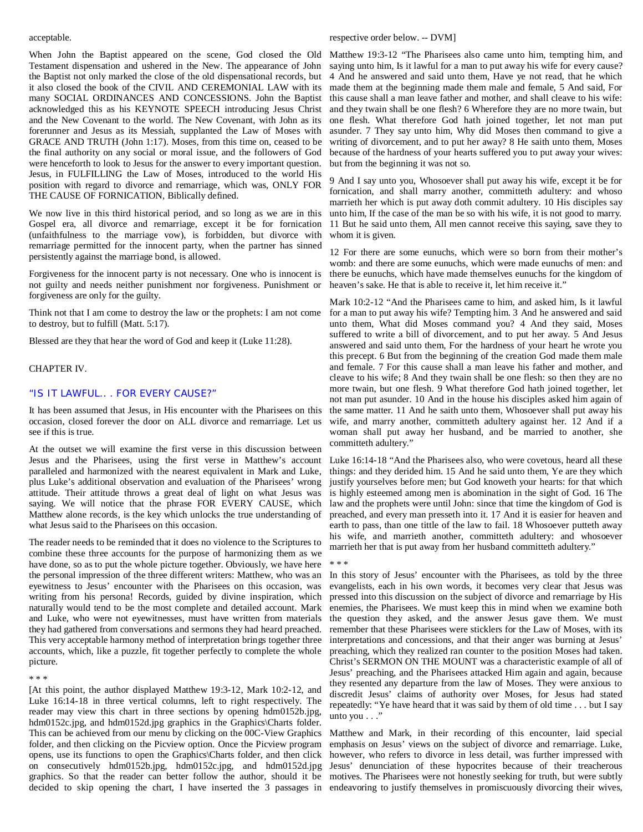#### acceptable.

When John the Baptist appeared on the scene, God closed the Old Testament dispensation and ushered in the New. The appearance of John the Baptist not only marked the close of the old dispensational records, but it also closed the book of the CIVIL AND CEREMONIAL LAW with its many SOCIAL ORDINANCES AND CONCESSIONS. John the Baptist acknowledged this as his KEYNOTE SPEECH introducing Jesus Christ and the New Covenant to the world. The New Covenant, with John as its forerunner and Jesus as its Messiah, supplanted the Law of Moses with GRACE AND TRUTH (John 1:17). Moses, from this time on, ceased to be the final authority on any social or moral issue, and the followers of God were henceforth to look to Jesus for the answer to every important question. Jesus, in FULFILLING the Law of Moses, introduced to the world His position with regard to divorce and remarriage, which was, ONLY FOR THE CAUSE OF FORNICATION, Biblically defined.

We now live in this third historical period, and so long as we are in this Gospel era, all divorce and remarriage, except it be for fornication (unfaithfulness to the marriage vow), is forbidden, but divorce with remarriage permitted for the innocent party, when the partner has sinned persistently against the marriage bond, is allowed.

Forgiveness for the innocent party is not necessary. One who is innocent is not guilty and needs neither punishment nor forgiveness. Punishment or forgiveness are only for the guilty.

Think not that I am come to destroy the law or the prophets: I am not come to destroy, but to fulfill (Matt. 5:17).

Blessed are they that hear the word of God and keep it (Luke 11:28).

# CHAPTER IV.

# "IS IT LAWFUL.. . FOR EVERY CAUSE?"

It has been assumed that Jesus, in His encounter with the Pharisees on this occasion, closed forever the door on ALL divorce and remarriage. Let us see if this is true.

At the outset we will examine the first verse in this discussion between Jesus and the Pharisees, using the first verse in Matthew's account paralleled and harmonized with the nearest equivalent in Mark and Luke, plus Luke's additional observation and evaluation of the Pharisees' wrong attitude. Their attitude throws a great deal of light on what Jesus was saying. We will notice that the phrase FOR EVERY CAUSE, which Matthew alone records, is the key which unlocks the true understanding of what Jesus said to the Pharisees on this occasion.

The reader needs to be reminded that it does no violence to the Scriptures to combine these three accounts for the purpose of harmonizing them as we have done, so as to put the whole picture together. Obviously, we have here the personal impression of the three different writers: Matthew, who was an eyewitness to Jesus' encounter with the Pharisees on this occasion, was writing from his persona! Records, guided by divine inspiration, which naturally would tend to be the most complete and detailed account. Mark and Luke, who were not eyewitnesses, must have written from materials they had gathered from conversations and sermons they had heard preached. This very acceptable harmony method of interpretation brings together three accounts, which, like a puzzle, fit together perfectly to complete the whole picture.

\* \* \*

[At this point, the author displayed Matthew 19:3-12, Mark 10:2-12, and Luke 16:14-18 in three vertical columns, left to right respectively. The reader may view this chart in three sections by opening hdm0152b.jpg, hdm0152c.jpg, and hdm0152d.jpg graphics in the Graphics\Charts folder. This can be achieved from our menu by clicking on the 00C-View Graphics folder, and then clicking on the Picview option. Once the Picview program opens, use its functions to open the Graphics\Charts folder, and then click on consecutively hdm0152b.jpg, hdm0152c.jpg, and hdm0152d.jpg Jesus' denunciation of these hypocrites because of their treacherous graphics. So that the reader can better follow the author, should it be motives. The Pharisees were not honestly seeking for truth, but were subtly decided to skip opening the chart, I have inserted the 3 passages in endeavoring to justify themselves in promiscuously divorcing their wives,

respective order below. -- DVM]

Matthew 19:3-12 "The Pharisees also came unto him, tempting him, and saying unto him, Is it lawful for a man to put away his wife for every cause? 4 And he answered and said unto them, Have ye not read, that he which made them at the beginning made them male and female, 5 And said, For this cause shall a man leave father and mother, and shall cleave to his wife: and they twain shall be one flesh? 6 Wherefore they are no more twain, but one flesh. What therefore God hath joined together, let not man put asunder. 7 They say unto him, Why did Moses then command to give a writing of divorcement, and to put her away? 8 He saith unto them, Moses because of the hardness of your hearts suffered you to put away your wives: but from the beginning it was not so.

9 And I say unto you, Whosoever shall put away his wife, except it be for fornication, and shall marry another, committeth adultery: and whoso marrieth her which is put away doth commit adultery. 10 His disciples say unto him, If the case of the man be so with his wife, it is not good to marry. 11 But he said unto them, All men cannot receive this saying, save they to whom it is given.

12 For there are some eunuchs, which were so born from their mother's womb: and there are some eunuchs, which were made eunuchs of men: and there be eunuchs, which have made themselves eunuchs for the kingdom of heaven's sake. He that is able to receive it, let him receive it."

Mark 10:2-12 "And the Pharisees came to him, and asked him, Is it lawful for a man to put away his wife? Tempting him. 3 And he answered and said unto them, What did Moses command you? 4 And they said, Moses suffered to write a bill of divorcement, and to put her away. 5 And Jesus answered and said unto them, For the hardness of your heart he wrote you this precept. 6 But from the beginning of the creation God made them male and female. 7 For this cause shall a man leave his father and mother, and cleave to his wife; 8 And they twain shall be one flesh: so then they are no more twain, but one flesh. 9 What therefore God hath joined together, let not man put asunder. 10 And in the house his disciples asked him again of the same matter. 11 And he saith unto them, Whosoever shall put away his wife, and marry another, committeth adultery against her. 12 And if a woman shall put away her husband, and be married to another, she committeth adultery."

Luke 16:14-18 "And the Pharisees also, who were covetous, heard all these things: and they derided him. 15 And he said unto them, Ye are they which justify yourselves before men; but God knoweth your hearts: for that which is highly esteemed among men is abomination in the sight of God. 16 The law and the prophets were until John: since that time the kingdom of God is preached, and every man presseth into it. 17 And it is easier for heaven and earth to pass, than one tittle of the law to fail. 18 Whosoever putteth away his wife, and marrieth another, committeth adultery: and whosoever marrieth her that is put away from her husband committeth adultery."

\* \* \*

In this story of Jesus' encounter with the Pharisees, as told by the three evangelists, each in his own words, it becomes very clear that Jesus was pressed into this discussion on the subject of divorce and remarriage by His enemies, the Pharisees. We must keep this in mind when we examine both the question they asked, and the answer Jesus gave them. We must remember that these Pharisees were sticklers for the Law of Moses, with its interpretations and concessions, and that their anger was burning at Jesus' preaching, which they realized ran counter to the position Moses had taken. Christ's SERMON ON THE MOUNT was a characteristic example of all of Jesus' preaching, and the Pharisees attacked Him again and again, because they resented any departure from the law of Moses. They were anxious to discredit Jesus' claims of authority over Moses, for Jesus had stated repeatedly: "Ye have heard that it was said by them of old time . . . but I say unto you  $\dots$ "

Matthew and Mark, in their recording of this encounter, laid special emphasis on Jesus' views on the subject of divorce and remarriage. Luke, however, who refers to divorce in less detail, was further impressed with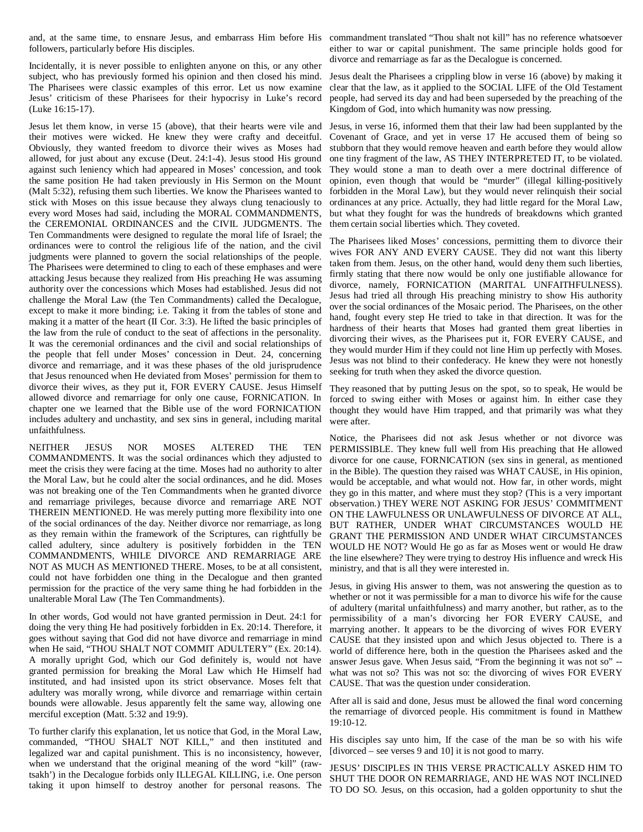and, at the same time, to ensnare Jesus, and embarrass Him before His commandment translated "Thou shalt not kill" has no reference whatsoever followers, particularly before His disciples.

Incidentally, it is never possible to enlighten anyone on this, or any other subject, who has previously formed his opinion and then closed his mind. The Pharisees were classic examples of this error. Let us now examine Jesus' criticism of these Pharisees for their hypocrisy in Luke's record (Luke 16:15-17).

Jesus let them know, in verse 15 (above), that their hearts were vile and Jesus, in verse 16, informed them that their law had been supplanted by the their motives were wicked. He knew they were crafty and deceitful. Obviously, they wanted freedom to divorce their wives as Moses had allowed, for just about any excuse (Deut. 24:1-4). Jesus stood His ground against such leniency which had appeared in Moses' concession, and took the same position He had taken previously in His Sermon on the Mount (Malt 5:32), refusing them such liberties. We know the Pharisees wanted to stick with Moses on this issue because they always clung tenaciously to every word Moses had said, including the MORAL COMMANDMENTS, the CEREMONIAL ORDINANCES and the CIVIL JUDGMENTS. The Ten Commandments were designed to regulate the moral life of Israel; the ordinances were to control the religious life of the nation, and the civil judgments were planned to govern the social relationships of the people. The Pharisees were determined to cling to each of these emphases and were attacking Jesus because they realized from His preaching He was assuming authority over the concessions which Moses had established. Jesus did not challenge the Moral Law (the Ten Commandments) called the Decalogue, except to make it more binding; i.e. Taking it from the tables of stone and making it a matter of the heart (II Cor. 3:3). He lifted the basic principles of the law from the rule of conduct to the seat of affections in the personality. It was the ceremonial ordinances and the civil and social relationships of the people that fell under Moses' concession in Deut. 24, concerning divorce and remarriage, and it was these phases of the old jurisprudence that Jesus renounced when He deviated from Moses' permission for them to divorce their wives, as they put it, FOR EVERY CAUSE. Jesus Himself allowed divorce and remarriage for only one cause, FORNICATION. In chapter one we learned that the Bible use of the word FORNICATION includes adultery and unchastity, and sex sins in general, including marital unfaithfulness.

NEITHER JESUS NOR MOSES ALTERED THE TEN COMMANDMENTS. It was the social ordinances which they adjusted to meet the crisis they were facing at the time. Moses had no authority to alter the Moral Law, but he could alter the social ordinances, and he did. Moses was not breaking one of the Ten Commandments when he granted divorce and remarriage privileges, because divorce and remarriage ARE NOT THEREIN MENTIONED. He was merely putting more flexibility into one of the social ordinances of the day. Neither divorce nor remarriage, as long as they remain within the framework of the Scriptures, can rightfully be called adultery, since adultery is positively forbidden in the TEN COMMANDMENTS, WHILE DIVORCE AND REMARRIAGE ARE NOT AS MUCH AS MENTIONED THERE. Moses, to be at all consistent, could not have forbidden one thing in the Decalogue and then granted permission for the practice of the very same thing he had forbidden in the unalterable Moral Law (The Ten Commandments).

In other words, God would not have granted permission in Deut. 24:1 for doing the very thing He had positively forbidden in Ex. 20:14. Therefore, it goes without saying that God did not have divorce and remarriage in mind when He said, "THOU SHALT NOT COMMIT ADULTERY" (Ex. 20:14). A morally upright God, which our God definitely is, would not have granted permission for breaking the Moral Law which He Himself had instituted, and had insisted upon its strict observance. Moses felt that adultery was morally wrong, while divorce and remarriage within certain bounds were allowable. Jesus apparently felt the same way, allowing one merciful exception (Matt. 5:32 and 19:9).

To further clarify this explanation, let us notice that God, in the Moral Law, commanded, "THOU SHALT NOT KILL," and then instituted and legalized war and capital punishment. This is no inconsistency, however, when we understand that the original meaning of the word "kill" (rawtsakh') in the Decalogue forbids only ILLEGAL KILLING, i.e. One person taking it upon himself to destroy another for personal reasons. The

either to war or capital punishment. The same principle holds good for divorce and remarriage as far as the Decalogue is concerned.

Jesus dealt the Pharisees a crippling blow in verse 16 (above) by making it clear that the law, as it applied to the SOCIAL LIFE of the Old Testament people, had served its day and had been superseded by the preaching of the Kingdom of God, into which humanity was now pressing.

Covenant of Grace, and yet in verse 17 He accused them of being so stubborn that they would remove heaven and earth before they would allow one tiny fragment of the law, AS THEY INTERPRETED IT, to be violated. They would stone a man to death over a mere doctrinal difference of opinion, even though that would be "murder" (illegal killing-positively forbidden in the Moral Law), but they would never relinquish their social ordinances at any price. Actually, they had little regard for the Moral Law, but what they fought for was the hundreds of breakdowns which granted them certain social liberties which. They coveted.

The Pharisees liked Moses' concessions, permitting them to divorce their wives FOR ANY AND EVERY CAUSE. They did not want this liberty taken from them. Jesus, on the other hand, would deny them such liberties, firmly stating that there now would be only one justifiable allowance for divorce, namely, FORNICATION (MARITAL UNFAITHFULNESS). Jesus had tried all through His preaching ministry to show His authority over the social ordinances of the Mosaic period. The Pharisees, on the other hand, fought every step He tried to take in that direction. It was for the hardness of their hearts that Moses had granted them great liberties in divorcing their wives, as the Pharisees put it, FOR EVERY CAUSE, and they would murder Him if they could not line Him up perfectly with Moses. Jesus was not blind to their confederacy. He knew they were not honestly seeking for truth when they asked the divorce question.

They reasoned that by putting Jesus on the spot, so to speak, He would be forced to swing either with Moses or against him. In either case they thought they would have Him trapped, and that primarily was what they were after.

Notice, the Pharisees did not ask Jesus whether or not divorce was PERMISSIBLE. They knew full well from His preaching that He allowed divorce for one cause, FORNICATION (sex sins in general, as mentioned in the Bible). The question they raised was WHAT CAUSE, in His opinion, would be acceptable, and what would not. How far, in other words, might they go in this matter, and where must they stop? (This is a very important observation.) THEY WERE NOT ASKING FOR JESUS' COMMITMENT ON THE LAWFULNESS OR UNLAWFULNESS OF DIVORCE AT ALL, BUT RATHER, UNDER WHAT CIRCUMSTANCES WOULD HE GRANT THE PERMISSION AND UNDER WHAT CIRCUMSTANCES WOULD HE NOT? Would He go as far as Moses went or would He draw the line elsewhere? They were trying to destroy His influence and wreck His ministry, and that is all they were interested in.

Jesus, in giving His answer to them, was not answering the question as to whether or not it was permissible for a man to divorce his wife for the cause of adultery (marital unfaithfulness) and marry another, but rather, as to the permissibility of a man's divorcing her FOR EVERY CAUSE, and marrying another. It appears to be the divorcing of wives FOR EVERY CAUSE that they insisted upon and which Jesus objected to. There is a world of difference here, both in the question the Pharisees asked and the answer Jesus gave. When Jesus said, "From the beginning it was not so" - what was not so? This was not so: the divorcing of wives FOR EVERY CAUSE. That was the question under consideration.

After all is said and done, Jesus must be allowed the final word concerning the remarriage of divorced people. His commitment is found in Matthew 19:10-12.

His disciples say unto him, If the case of the man be so with his wife [divorced – see verses 9 and 10] it is not good to marry.

JESUS' DISCIPLES IN THIS VERSE PRACTICALLY ASKED HIM TO SHUT THE DOOR ON REMARRIAGE, AND HE WAS NOT INCLINED TO DO SO. Jesus, on this occasion, had a golden opportunity to shut the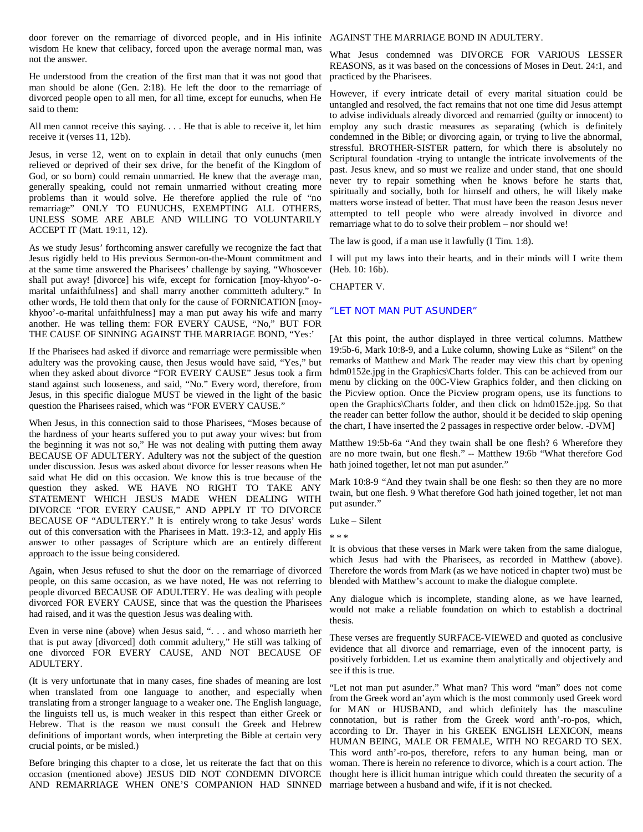door forever on the remarriage of divorced people, and in His infinite AGAINST THE MARRIAGE BOND IN ADULTERY. wisdom He knew that celibacy, forced upon the average normal man, was not the answer.

He understood from the creation of the first man that it was not good that man should be alone (Gen. 2:18). He left the door to the remarriage of divorced people open to all men, for all time, except for eunuchs, when He said to them:

receive it (verses 11, 12b).

Jesus, in verse 12, went on to explain in detail that only eunuchs (men relieved or deprived of their sex drive, for the benefit of the Kingdom of God, or so born) could remain unmarried. He knew that the average man, generally speaking, could not remain unmarried without creating more problems than it would solve. He therefore applied the rule of "no remarriage" ONLY TO EUNUCHS, EXEMPTING ALL OTHERS, UNLESS SOME ARE ABLE AND WILLING TO VOLUNTARILY ACCEPT IT (Matt. 19:11, 12).

As we study Jesus' forthcoming answer carefully we recognize the fact that Jesus rigidly held to His previous Sermon-on-the-Mount commitment and I will put my laws into their hearts, and in their minds will I write them at the same time answered the Pharisees' challenge by saying, "Whosoever shall put away! [divorce] his wife, except for fornication [moy-khyoo'-omarital unfaithfulness] and shall marry another committeth adultery." In other words, He told them that only for the cause of FORNICATION [moykhyoo'-o-marital unfaithfulness] may a man put away his wife and marry another. He was telling them: FOR EVERY CAUSE, "No," BUT FOR THE CAUSE OF SINNING AGAINST THE MARRIAGE BOND, "Yes:'

If the Pharisees had asked if divorce and remarriage were permissible when adultery was the provoking cause, then Jesus would have said, "Yes," but when they asked about divorce "FOR EVERY CAUSE" Jesus took a firm stand against such looseness, and said, "No." Every word, therefore, from Jesus, in this specific dialogue MUST be viewed in the light of the basic question the Pharisees raised, which was "FOR EVERY CAUSE."

When Jesus, in this connection said to those Pharisees, "Moses because of the hardness of your hearts suffered you to put away your wives: but from the beginning it was not so," He was not dealing with putting them away BECAUSE OF ADULTERY. Adultery was not the subject of the question under discussion. Jesus was asked about divorce for lesser reasons when He said what He did on this occasion. We know this is true because of the question they asked. WE HAVE NO RIGHT TO TAKE ANY STATEMENT WHICH JESUS MADE WHEN DEALING WITH DIVORCE "FOR EVERY CAUSE," AND APPLY IT TO DIVORCE BECAUSE OF "ADULTERY." It is entirely wrong to take Jesus' words out of this conversation with the Pharisees in Matt. 19:3-12, and apply His answer to other passages of Scripture which are an entirely different approach to the issue being considered.

Again, when Jesus refused to shut the door on the remarriage of divorced Therefore the words from Mark (as we have noticed in chapter two) must be people, on this same occasion, as we have noted, He was not referring to people divorced BECAUSE OF ADULTERY. He was dealing with people divorced FOR EVERY CAUSE, since that was the question the Pharisees had raised, and it was the question Jesus was dealing with.

Even in verse nine (above) when Jesus said, ". . . and whoso marrieth her that is put away [divorced] doth commit adultery," He still was talking of one divorced FOR EVERY CAUSE, AND NOT BECAUSE OF ADULTERY.

(It is very unfortunate that in many cases, fine shades of meaning are lost when translated from one language to another, and especially when translating from a stronger language to a weaker one. The English language, the linguists tell us, is much weaker in this respect than either Greek or Hebrew. That is the reason we must consult the Greek and Hebrew definitions of important words, when interpreting the Bible at certain very crucial points, or be misled.)

Before bringing this chapter to a close, let us reiterate the fact that on this occasion (mentioned above) JESUS DID NOT CONDEMN DIVORCE AND REMARRIAGE WHEN ONE'S COMPANION HAD SINNED

What Jesus condemned was DIVORCE FOR VARIOUS LESSER REASONS, as it was based on the concessions of Moses in Deut. 24:1, and practiced by the Pharisees.

All men cannot receive this saying. . . . He that is able to receive it, let him employ any such drastic measures as separating (which is definitely However, if every intricate detail of every marital situation could be untangled and resolved, the fact remains that not one time did Jesus attempt to advise individuals already divorced and remarried (guilty or innocent) to condemned in the Bible; or divorcing again, or trying to live the abnormal, stressful. BROTHER-SISTER pattern, for which there is absolutely no Scriptural foundation -trying to untangle the intricate involvements of the past. Jesus knew, and so must we realize and under stand, that one should never try to repair something when he knows before he starts that, spiritually and socially, both for himself and others, he will likely make matters worse instead of better. That must have been the reason Jesus never attempted to tell people who were already involved in divorce and remarriage what to do to solve their problem – nor should we!

The law is good, if a man use it lawfully (I Tim. 1:8).

(Heb. 10: 16b).

CHAPTER V.

# "LET NOT MAN PUT ASUNDER"

[At this point, the author displayed in three vertical columns. Matthew 19:5b-6, Mark 10:8-9, and a Luke column, showing Luke as "Silent" on the remarks of Matthew and Mark The reader may view this chart by opening hdm0152e.jpg in the Graphics\Charts folder. This can be achieved from our menu by clicking on the 00C-View Graphics folder, and then clicking on the Picview option. Once the Picview program opens, use its functions to open the Graphics\Charts folder, and then click on hdm0152e.jpg. So that the reader can better follow the author, should it be decided to skip opening the chart, I have inserted the 2 passages in respective order below. -DVM]

Matthew 19:5b-6a "And they twain shall be one flesh? 6 Wherefore they are no more twain, but one flesh." -- Matthew 19:6b "What therefore God hath joined together, let not man put asunder."

Mark 10:8-9 "And they twain shall be one flesh: so then they are no more twain, but one flesh. 9 What therefore God hath joined together, let not man put asunder."

Luke – Silent

\* \* \*

It is obvious that these verses in Mark were taken from the same dialogue, which Jesus had with the Pharisees, as recorded in Matthew (above). blended with Matthew's account to make the dialogue complete.

Any dialogue which is incomplete, standing alone, as we have learned, would not make a reliable foundation on which to establish a doctrinal thesis.

These verses are frequently SURFACE-VIEWED and quoted as conclusive evidence that all divorce and remarriage, even of the innocent party, is positively forbidden. Let us examine them analytically and objectively and see if this is true.

"Let not man put asunder." What man? This word "man" does not come from the Greek word an'aym which is the most commonly used Greek word for MAN or HUSBAND, and which definitely has the masculine connotation, but is rather from the Greek word anth'-ro-pos, which, according to Dr. Thayer in his GREEK ENGLISH LEXICON, means HUMAN BEING, MALE OR FEMALE, WITH NO REGARD TO SEX. This word anth'-ro-pos, therefore, refers to any human being, man or woman. There is herein no reference to divorce, which is a court action. The thought here is illicit human intrigue which could threaten the security of a marriage between a husband and wife, if it is not checked.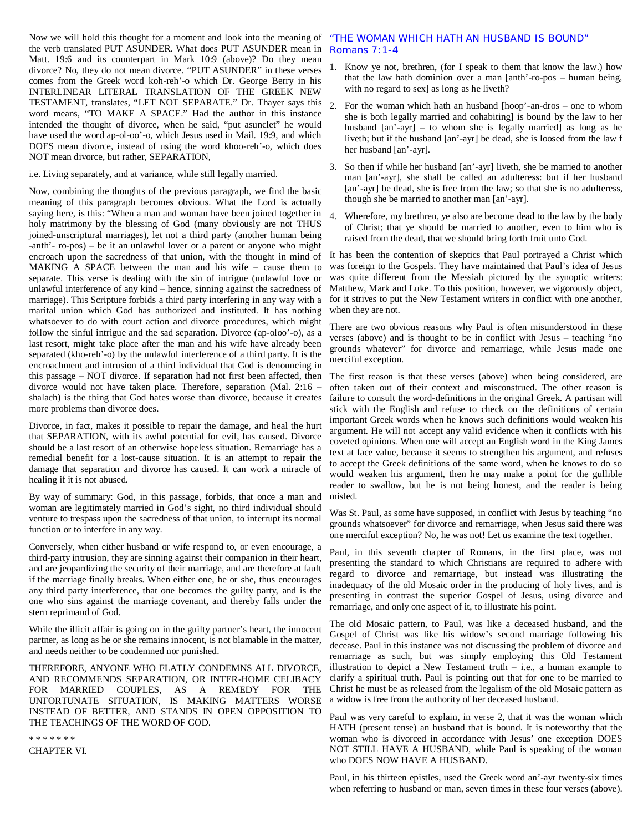the verb translated PUT ASUNDER. What does PUT ASUNDER mean in Matt. 19:6 and its counterpart in Mark 10:9 (above)? Do they mean divorce? No, they do not mean divorce. "PUT ASUNDER" in these verses comes from the Greek word koh-reh'-o which Dr. George Berry in his INTERLINEAR LITERAL TRANSLATION OF THE GREEK NEW TESTAMENT, translates, "LET NOT SEPARATE." Dr. Thayer says this 2. word means, "TO MAKE A SPACE." Had the author in this instance intended the thought of divorce, when he said, "put asunclet" he would have used the word ap-ol-oo'-o, which Jesus used in Mail. 19:9, and which DOES mean divorce, instead of using the word khoo-reh'-o, which does NOT mean divorce, but rather, SEPARATION,

i.e. Living separately, and at variance, while still legally married.

Now, combining the thoughts of the previous paragraph, we find the basic meaning of this paragraph becomes obvious. What the Lord is actually saying here, is this: "When a man and woman have been joined together in  $\overline{4}$ . holy matrimony by the blessing of God (many obviously are not THUS joined-unscriptural marriages), let not a third party (another human being -anth'- ro-pos) – be it an unlawful lover or a parent or anyone who might encroach upon the sacredness of that union, with the thought in mind of MAKING A SPACE between the man and his wife – cause them to separate. This verse is dealing with the sin of intrigue (unlawful love or unlawful interference of any kind – hence, sinning against the sacredness of marriage). This Scripture forbids a third party interfering in any way with a marital union which God has authorized and instituted. It has nothing whatsoever to do with court action and divorce procedures, which might follow the sinful intrigue and the sad separation. Divorce (ap-oloo'-o), as a last resort, might take place after the man and his wife have already been separated (kho-reh'-o) by the unlawful interference of a third party. It is the encroachment and intrusion of a third individual that God is denouncing in this passage – NOT divorce. If separation had not first been affected, then The first reason is that these verses (above) when being considered, are divorce would not have taken place. Therefore, separation (Mal. 2:16 – shalach) is the thing that God hates worse than divorce, because it creates more problems than divorce does.

Divorce, in fact, makes it possible to repair the damage, and heal the hurt that SEPARATION, with its awful potential for evil, has caused. Divorce should be a last resort of an otherwise hopeless situation. Remarriage has a remedial benefit for a lost-cause situation. It is an attempt to repair the damage that separation and divorce has caused. It can work a miracle of healing if it is not abused.

By way of summary: God, in this passage, forbids, that once a man and misled. woman are legitimately married in God's sight, no third individual should venture to trespass upon the sacredness of that union, to interrupt its normal function or to interfere in any way.

Conversely, when either husband or wife respond to, or even encourage, a third-party intrusion, they are sinning against their companion in their heart, and are jeopardizing the security of their marriage, and are therefore at fault if the marriage finally breaks. When either one, he or she, thus encourages any third party interference, that one becomes the guilty party, and is the one who sins against the marriage covenant, and thereby falls under the stern reprimand of God.

While the illicit affair is going on in the guilty partner's heart, the innocent partner, as long as he or she remains innocent, is not blamable in the matter, and needs neither to be condemned nor punished.

THEREFORE, ANYONE WHO FLATLY CONDEMNS ALL DIVORCE, AND RECOMMENDS SEPARATION, OR INTER-HOME CELIBACY FOR MARRIED COUPLES, AS A REMEDY FOR THE UNFORTUNATE SITUATION, IS MAKING MATTERS WORSE INSTEAD OF BETTER, AND STANDS IN OPEN OPPOSITION TO THE TEACHINGS OF THE WORD OF GOD.

\* \* \* \* \* \* \*

CHAPTER VI.

# Now we will hold this thought for a moment and look into the meaning of "THE WOMAN WHICH HATH AN HUSBAND IS BOUND" Romans 7:1-4

- 1. Know ye not, brethren, (for I speak to them that know the law.) how that the law hath dominion over a man [anth'-ro-pos – human being, with no regard to sex] as long as he liveth?
- 2. For the woman which hath an husband [hoop'-an-dros one to whom she is both legally married and cohabiting] is bound by the law to her husband [an'-ayr] – to whom she is legally married] as long as he liveth; but if the husband [an'-ayr] be dead, she is loosed from the law f her husband [an'-ayr].
- 3. So then if while her husband [an'-ayr] liveth, she be married to another man [an'-ayr], she shall be called an adulteress: but if her husband [an'-ayr] be dead, she is free from the law; so that she is no adulteress, though she be married to another man [an'-ayr].
- Wherefore, my brethren, ye also are become dead to the law by the body of Christ; that ye should be married to another, even to him who is raised from the dead, that we should bring forth fruit unto God.

It has been the contention of skeptics that Paul portrayed a Christ which was foreign to the Gospels. They have maintained that Paul's idea of Jesus was quite different from the Messiah pictured by the synoptic writers: Matthew, Mark and Luke. To this position, however, we vigorously object, for it strives to put the New Testament writers in conflict with one another, when they are not.

There are two obvious reasons why Paul is often misunderstood in these verses (above) and is thought to be in conflict with Jesus – teaching "no grounds whatever" for divorce and remarriage, while Jesus made one merciful exception.

often taken out of their context and misconstrued. The other reason is failure to consult the word-definitions in the original Greek. A partisan will stick with the English and refuse to check on the definitions of certain important Greek words when he knows such definitions would weaken his argument. He will not accept any valid evidence when it conflicts with his coveted opinions. When one will accept an English word in the King James text at face value, because it seems to strengthen his argument, and refuses to accept the Greek definitions of the same word, when he knows to do so would weaken his argument, then he may make a point for the gullible reader to swallow, but he is not being honest, and the reader is being

Was St. Paul, as some have supposed, in conflict with Jesus by teaching "no grounds whatsoever" for divorce and remarriage, when Jesus said there was one merciful exception? No, he was not! Let us examine the text together.

Paul, in this seventh chapter of Romans, in the first place, was not presenting the standard to which Christians are required to adhere with regard to divorce and remarriage, but instead was illustrating the inadequacy of the old Mosaic order in the producing of holy lives, and is presenting in contrast the superior Gospel of Jesus, using divorce and remarriage, and only one aspect of it, to illustrate his point.

The old Mosaic pattern, to Paul, was like a deceased husband, and the Gospel of Christ was like his widow's second marriage following his decease. Paul in this instance was not discussing the problem of divorce and remarriage as such, but was simply employing this Old Testament illustration to depict a New Testament truth  $-$  i.e., a human example to clarify a spiritual truth. Paul is pointing out that for one to be married to Christ he must be as released from the legalism of the old Mosaic pattern as a widow is free from the authority of her deceased husband.

Paul was very careful to explain, in verse 2, that it was the woman which HATH (present tense) an husband that is bound. It is noteworthy that the woman who is divorced in accordance with Jesus' one exception DOES NOT STILL HAVE A HUSBAND, while Paul is speaking of the woman who DOES NOW HAVE A HUSBAND.

Paul, in his thirteen epistles, used the Greek word an'-ayr twenty-six times when referring to husband or man, seven times in these four verses (above).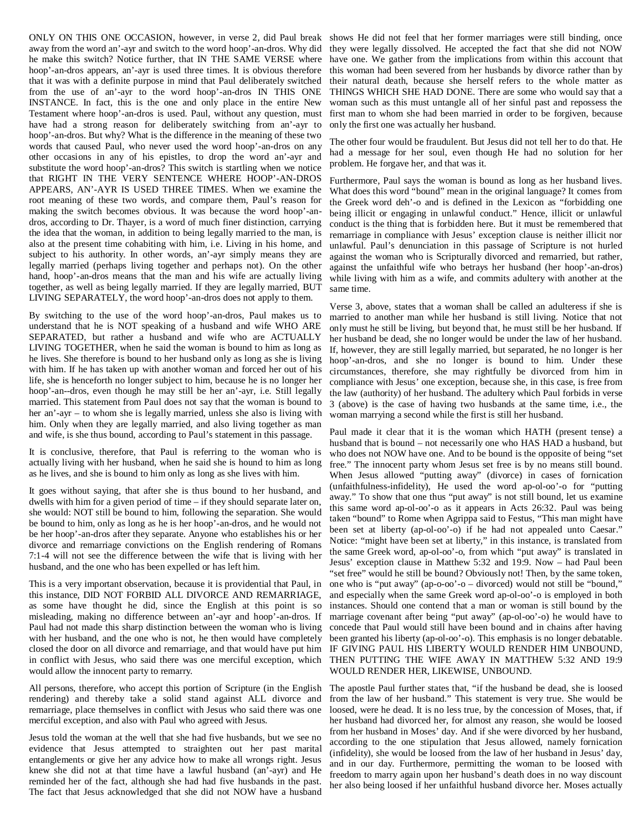ONLY ON THIS ONE OCCASION, however, in verse 2, did Paul break shows He did not feel that her former marriages were still binding, once away from the word an'-ayr and switch to the word hoop'-an-dros. Why did he make this switch? Notice further, that IN THE SAME VERSE where hoop'-an-dros appears, an'-ayr is used three times. It is obvious therefore that it was with a definite purpose in mind that Paul deliberately switched from the use of an'-ayr to the word hoop'-an-dros IN THIS ONE INSTANCE. In fact, this is the one and only place in the entire New Testament where hoop'-an-dros is used. Paul, without any question, must have had a strong reason for deliberately switching from an'-ayr to hoop'-an-dros. But why? What is the difference in the meaning of these two words that caused Paul, who never used the word hoop'-an-dros on any other occasions in any of his epistles, to drop the word an'-ayr and substitute the word hoop'-an-dros? This switch is startling when we notice that RIGHT IN THE VERY SENTENCE WHERE HOOP'-AN-DROS APPEARS, AN'-AYR IS USED THREE TIMES. When we examine the root meaning of these two words, and compare them, Paul's reason for making the switch becomes obvious. It was because the word hoop'-andros, according to Dr. Thayer, is a word of much finer distinction, carrying the idea that the woman, in addition to being legally married to the man, is also at the present time cohabiting with him, i.e. Living in his home, and subject to his authority. In other words, an'-ayr simply means they are legally married (perhaps living together and perhaps not). On the other hand, hoop'-an-dros means that the man and his wife are actually living together, as well as being legally married. If they are legally married, BUT LIVING SEPARATELY, the word hoop'-an-dros does not apply to them.

By switching to the use of the word hoop'-an-dros, Paul makes us to understand that he is NOT speaking of a husband and wife WHO ARE SEPARATED, but rather a husband and wife who are ACTUALLY LIVING TOGETHER, when he said the woman is bound to him as long as he lives. She therefore is bound to her husband only as long as she is living with him. If he has taken up with another woman and forced her out of his life, she is henceforth no longer subject to him, because he is no longer her hoop'-an--dros, even though he may still be her an'-ayr, i.e. Still legally married. This statement from Paul does not say that the woman is bound to her an'-ayr – to whom she is legally married, unless she also is living with him. Only when they are legally married, and also living together as man and wife, is she thus bound, according to Paul's statement in this passage.

It is conclusive, therefore, that Paul is referring to the woman who is actually living with her husband, when he said she is hound to him as long as he lives, and she is bound to him only as long as she lives with him.

It goes without saying, that after she is thus bound to her husband, and dwells with him for a given period of time – if they should separate later on, she would: NOT still be bound to him, following the separation. She would be bound to him, only as long as he is her hoop'-an-dros, and he would not be her hoop'-an-dros after they separate. Anyone who establishes his or her divorce and remarriage convictions on the English rendering of Romans 7:1-4 will not see the difference between the wife that is living with her husband, and the one who has been expelled or has left him.

This is a very important observation, because it is providential that Paul, in this instance, DID NOT FORBID ALL DIVORCE AND REMARRIAGE, as some have thought he did, since the English at this point is so misleading, making no difference between an'-ayr and hoop'-an-dros. If Paul had not made this sharp distinction between the woman who is living with her husband, and the one who is not, he then would have completely closed the door on all divorce and remarriage, and that would have put him in conflict with Jesus, who said there was one merciful exception, which would allow the innocent party to remarry.

All persons, therefore, who accept this portion of Scripture (in the English rendering) and thereby take a solid stand against ALL divorce and remarriage, place themselves in conflict with Jesus who said there was one merciful exception, and also with Paul who agreed with Jesus.

Jesus told the woman at the well that she had five husbands, but we see no evidence that Jesus attempted to straighten out her past marital entanglements or give her any advice how to make all wrongs right. Jesus knew she did not at that time have a lawful husband (an'-ayr) and He reminded her of the fact, although she had had five husbands in the past. The fact that Jesus acknowledged that she did not NOW have a husband

they were legally dissolved. He accepted the fact that she did not NOW have one. We gather from the implications from within this account that this woman had been severed from her husbands by divorce rather than by their natural death, because she herself refers to the whole matter as THINGS WHICH SHE HAD DONE. There are some who would say that a woman such as this must untangle all of her sinful past and repossess the first man to whom she had been married in order to be forgiven, because only the first one was actually her husband.

The other four would be fraudulent. But Jesus did not tell her to do that. He had a message for her soul, even though He had no solution for her problem. He forgave her, and that was it.

Furthermore, Paul says the woman is bound as long as her husband lives. What does this word "bound" mean in the original language? It comes from the Greek word deh'-o and is defined in the Lexicon as "forbidding one being illicit or engaging in unlawful conduct." Hence, illicit or unlawful conduct is the thing that is forbidden here. But it must be remembered that remarriage in compliance with Jesus' exception clause is neither illicit nor unlawful. Paul's denunciation in this passage of Scripture is not hurled against the woman who is Scripturally divorced and remarried, but rather, against the unfaithful wife who betrays her husband (her hoop'-an-dros) while living with him as a wife, and commits adultery with another at the same time.

Verse 3, above, states that a woman shall be called an adulteress if she is married to another man while her husband is still living. Notice that not only must he still be living, but beyond that, he must still be her husband. If her husband be dead, she no longer would be under the law of her husband. If, however, they are still legally married, but separated, he no longer is her hoop'-an-dros, and she no longer is bound to him. Under these circumstances, therefore, she may rightfully be divorced from him in compliance with Jesus' one exception, because she, in this case, is free from the law (authority) of her husband. The adultery which Paul forbids in verse 3 (above) is the case of having two husbands at the same time, i.e., the woman marrying a second while the first is still her husband.

Paul made it clear that it is the woman which HATH (present tense) a husband that is bound – not necessarily one who HAS HAD a husband, but who does not NOW have one. And to be bound is the opposite of being "set free." The innocent party whom Jesus set free is by no means still bound. When Jesus allowed "putting away" (divorce) in cases of fornication (unfaithfulness-infidelity), He used the word ap-ol-oo'-o for "putting away." To show that one thus "put away" is not still bound, let us examine this same word ap-ol-oo'-o as it appears in Acts 26:32. Paul was being taken "bound" to Rome when Agrippa said to Festus, "This man might have been set at liberty (ap-ol-oo'-o) if he had not appealed unto Caesar." Notice: "might have been set at liberty," in this instance, is translated from the same Greek word, ap-ol-oo'-o, from which "put away" is translated in Jesus' exception clause in Matthew 5:32 and 19:9. Now – had Paul been "set free" would he still be bound? Obviously not! Then, by the same token, one who is "put away" (ap-o-oo'-o – divorced) would not still be "bound," and especially when the same Greek word ap-ol-oo'-o is employed in both instances. Should one contend that a man or woman is still bound by the marriage covenant after being "put away" (ap-ol-oo'-o) he would have to concede that Paul would still have been bound and in chains after having been granted his liberty (ap-ol-oo'-o). This emphasis is no longer debatable. IF GIVING PAUL HIS LIBERTY WOULD RENDER HIM UNBOUND, THEN PUTTING THE WIFE AWAY IN MATTHEW 5:32 AND 19:9 WOULD RENDER HER, LIKEWISE, UNBOUND.

The apostle Paul further states that, "if the husband be dead, she is loosed from the law of her husband." This statement is very true. She would be loosed, were he dead. It is no less true, by the concession of Moses, that, if her husband had divorced her, for almost any reason, she would be loosed from her husband in Moses' day. And if she were divorced by her husband, according to the one stipulation that Jesus allowed, namely fornication (infidelity), she would be loosed from the law of her husband in Jesus' day, and in our day. Furthermore, permitting the woman to be loosed with freedom to marry again upon her husband's death does in no way discount her also being loosed if her unfaithful husband divorce her. Moses actually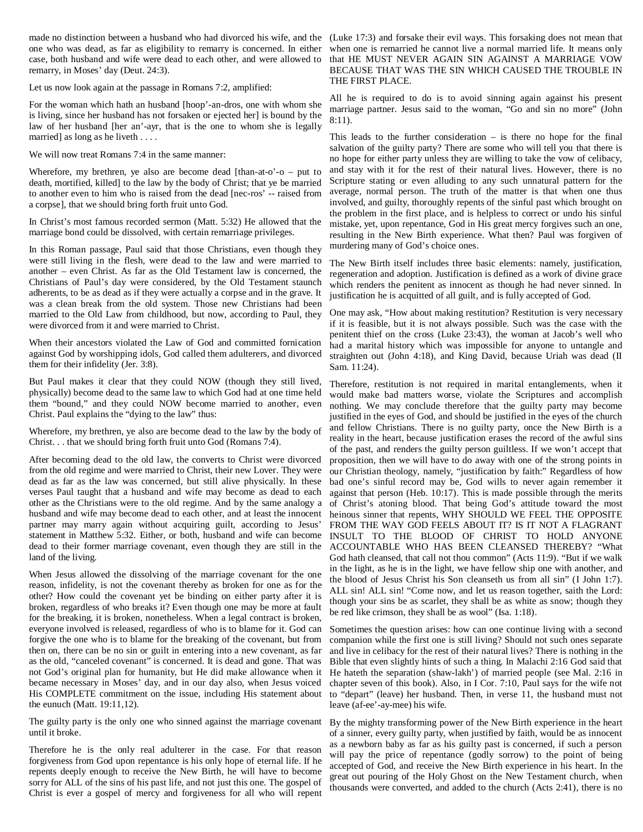made no distinction between a husband who had divorced his wife, and the (Luke 17:3) and forsake their evil ways. This forsaking does not mean that one who was dead, as far as eligibility to remarry is concerned. In either when one is remarried he cannot live a normal married life. It means only case, both husband and wife were dead to each other, and were allowed to that HE MUST NEVER AGAIN SIN AGAINST A MARRIAGE VOW remarry, in Moses' day (Deut. 24:3).

Let us now look again at the passage in Romans 7:2, amplified:

For the woman which hath an husband [hoop'-an-dros, one with whom she is living, since her husband has not forsaken or ejected her] is bound by the law of her husband [her an'-ayr, that is the one to whom she is legally married] as long as he liveth . . . .

We will now treat Romans 7:4 in the same manner:

Wherefore, my brethren, ye also are become dead  $[than-at-o'-o - put to]$ death, mortified, killed] to the law by the body of Christ; that ye be married to another even to him who is raised from the dead [nec-ros' -- raised from a corpse], that we should bring forth fruit unto God.

In Christ's most famous recorded sermon (Matt. 5:32) He allowed that the marriage bond could be dissolved, with certain remarriage privileges.

In this Roman passage, Paul said that those Christians, even though they were still living in the flesh, were dead to the law and were married to another – even Christ. As far as the Old Testament law is concerned, the Christians of Paul's day were considered, by the Old Testament staunch adherents, to be as dead as if they were actually a corpse and in the grave. It was a clean break from the old system. Those new Christians had been married to the Old Law from childhood, but now, according to Paul, they were divorced from it and were married to Christ.

When their ancestors violated the Law of God and committed fornication against God by worshipping idols, God called them adulterers, and divorced them for their infidelity (Jer. 3:8).

But Paul makes it clear that they could NOW (though they still lived, physically) become dead to the same law to which God had at one time held them "bound," and they could NOW become married to another, even Christ. Paul explains the "dying to the law" thus:

Wherefore, my brethren, ye also are become dead to the law by the body of Christ. . . that we should bring forth fruit unto God (Romans 7:4).

After becoming dead to the old law, the converts to Christ were divorced from the old regime and were married to Christ, their new Lover. They were dead as far as the law was concerned, but still alive physically. In these verses Paul taught that a husband and wife may become as dead to each other as the Christians were to the old regime. And by the same analogy a husband and wife may become dead to each other, and at least the innocent partner may marry again without acquiring guilt, according to Jesus' statement in Matthew 5:32. Either, or both, husband and wife can become INSULT TO THE BLOOD OF CHRIST TO HOLD ANYONE dead to their former marriage covenant, even though they are still in the ACCOUNTABLE WHO HAS BEEN CLEANSED THEREBY? "What land of the living.

When Jesus allowed the dissolving of the marriage covenant for the one reason, infidelity, is not the covenant thereby as broken for one as for the other? How could the covenant yet be binding on either party after it is broken, regardless of who breaks it? Even though one may be more at fault for the breaking, it is broken, nonetheless. When a legal contract is broken, everyone involved is released, regardless of who is to blame for it. God can forgive the one who is to blame for the breaking of the covenant, but from then on, there can be no sin or guilt in entering into a new covenant, as far as the old, "canceled covenant" is concerned. It is dead and gone. That was not God's original plan for humanity, but He did make allowance when it became necessary in Moses' day, and in our day also, when Jesus voiced His COMPLETE commitment on the issue, including His statement about the eunuch (Matt. 19:11,12).

The guilty party is the only one who sinned against the marriage covenant By the mighty transforming power of the New Birth experience in the heart until it broke.

Therefore he is the only real adulterer in the case. For that reason forgiveness from God upon repentance is his only hope of eternal life. If he repents deeply enough to receive the New Birth, he will have to become sorry for ALL of the sins of his past life, and not just this one. The gospel of Christ is ever a gospel of mercy and forgiveness for all who will repent

BECAUSE THAT WAS THE SIN WHICH CAUSED THE TROUBLE IN THE FIRST PLACE.

All he is required to do is to avoid sinning again against his present marriage partner. Jesus said to the woman, "Go and sin no more" (John 8:11).

This leads to the further consideration  $-$  is there no hope for the final salvation of the guilty party? There are some who will tell you that there is no hope for either party unless they are willing to take the vow of celibacy, and stay with it for the rest of their natural lives. However, there is no Scripture stating or even alluding to any such unnatural pattern for the average, normal person. The truth of the matter is that when one thus involved, and guilty, thoroughly repents of the sinful past which brought on the problem in the first place, and is helpless to correct or undo his sinful mistake, yet, upon repentance, God in His great mercy forgives such an one, resulting in the New Birth experience. What then? Paul was forgiven of murdering many of God's choice ones.

The New Birth itself includes three basic elements: namely, justification, regeneration and adoption. Justification is defined as a work of divine grace which renders the penitent as innocent as though he had never sinned. In justification he is acquitted of all guilt, and is fully accepted of God.

One may ask, "How about making restitution? Restitution is very necessary if it is feasible, but it is not always possible. Such was the case with the penitent thief on the cross (Luke 23:43), the woman at Jacob's well who had a marital history which was impossible for anyone to untangle and straighten out (John 4:18), and King David, because Uriah was dead (II Sam. 11:24).

Therefore, restitution is not required in marital entanglements, when it would make bad matters worse, violate the Scriptures and accomplish nothing. We may conclude therefore that the guilty party may become justified in the eyes of God, and should be justified in the eyes of the church and fellow Christians. There is no guilty party, once the New Birth is a reality in the heart, because justification erases the record of the awful sins of the past, and renders the guilty person guiltless. If we won't accept that proposition, then we will have to do away with one of the strong points in our Christian theology, namely, "justification by faith:" Regardless of how bad one's sinful record may be, God wills to never again remember it against that person (Heb. 10:17). This is made possible through the merits of Christ's atoning blood. That being God's attitude toward the most heinous sinner that repents, WHY SHOULD WE FEEL THE OPPOSITE FROM THE WAY GOD FEELS ABOUT IT? IS IT NOT A FLAGRANT God hath cleansed, that call not thou common" (Acts 11:9). "But if we walk in the light, as he is in the light, we have fellow ship one with another, and the blood of Jesus Christ his Son cleanseth us from all sin" (I John 1:7). ALL sin! ALL sin! "Come now, and let us reason together, saith the Lord: though your sins be as scarlet, they shall be as white as snow; though they be red like crimson, they shall be as wool" (Isa. 1:18).

Sometimes the question arises: how can one continue living with a second companion while the first one is still living? Should not such ones separate and live in celibacy for the rest of their natural lives? There is nothing in the Bible that even slightly hints of such a thing. In Malachi 2:16 God said that He hateth the separation (shaw-lakh') of married people (see Mal. 2:16 in chapter seven of this book). Also, in I Cor. 7:10, Paul says for the wife not to "depart" (leave) her husband. Then, in verse 11, the husband must not leave (af-ee'-ay-mee) his wife.

of a sinner, every guilty party, when justified by faith, would be as innocent as a newborn baby as far as his guilty past is concerned, if such a person will pay the price of repentance (godly sorrow) to the point of being accepted of God, and receive the New Birth experience in his heart. In the great out pouring of the Holy Ghost on the New Testament church, when thousands were converted, and added to the church (Acts 2:41), there is no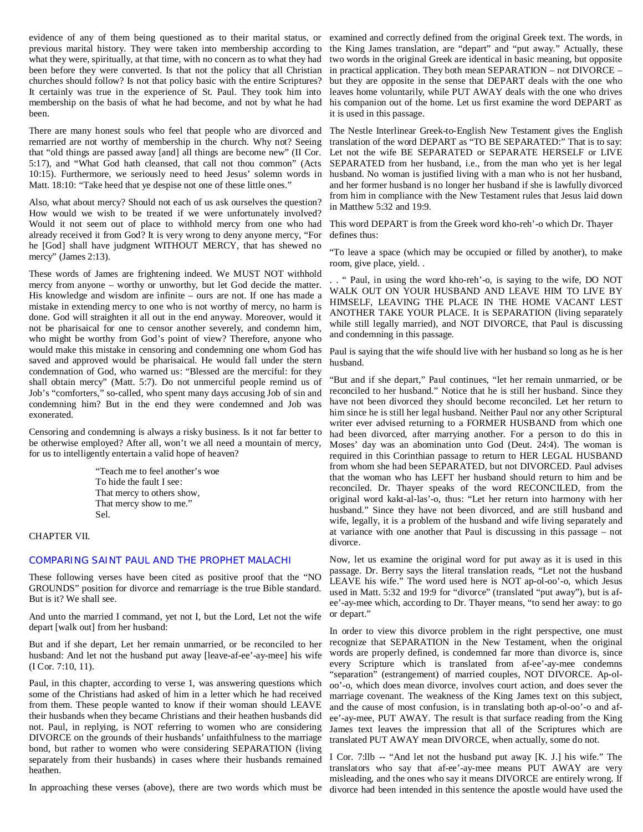evidence of any of them being questioned as to their marital status, or examined and correctly defined from the original Greek text. The words, in previous marital history. They were taken into membership according to the King James translation, are "depart" and "put away." Actually, these what they were, spiritually, at that time, with no concern as to what they had been before they were converted. Is that not the policy that all Christian churches should follow? Is not that policy basic with the entire Scriptures? It certainly was true in the experience of St. Paul. They took him into membership on the basis of what he had become, and not by what he had been.

There are many honest souls who feel that people who are divorced and The Nestle Interlinear Greek-to-English New Testament gives the English remarried are not worthy of membership in the church. Why not? Seeing that "old things are passed away [and] all things are become new" (II Cor. 5:17), and "What God hath cleansed, that call not thou common" (Acts SEPARATED from her husband, i.e., from the man who yet is her legal 10:15). Furthermore, we seriously need to heed Jesus' solemn words in husband. No woman is justified living with a man who is not her husband, Matt. 18:10: "Take heed that ye despise not one of these little ones."

Also, what about mercy? Should not each of us ask ourselves the question? How would we wish to be treated if we were unfortunately involved? Would it not seem out of place to withhold mercy from one who had already received it from God? It is very wrong to deny anyone mercy, "For defines thus: he [God] shall have judgment WITHOUT MERCY, that has shewed no mercy" (James 2:13).

These words of James are frightening indeed. We MUST NOT withhold mercy from anyone – worthy or unworthy, but let God decide the matter. His knowledge and wisdom are infinite – ours are not. If one has made a mistake in extending mercy to one who is not worthy of mercy, no harm is done. God will straighten it all out in the end anyway. Moreover, would it not be pharisaical for one to censor another severely, and condemn him, who might be worthy from God's point of view? Therefore, anyone who would make this mistake in censoring and condemning one whom God has saved and approved would be pharisaical. He would fall under the stern condemnation of God, who warned us: "Blessed are the merciful: for they shall obtain mercy" (Matt. 5:7). Do not unmerciful people remind us of Job's "comforters," so-called, who spent many days accusing Job of sin and condemning him? But in the end they were condemned and Job was exonerated.

Censoring and condemning is always a risky business. Is it not far better to be otherwise employed? After all, won't we all need a mountain of mercy, for us to intelligently entertain a valid hope of heaven?

> "Teach me to feel another's woe To hide the fault I see: That mercy to others show, That mercy show to me." Sel.

# CHAPTER VII.

#### COMPARING SAINT PAUL AND THE PROPHET MALACHI

These following verses have been cited as positive proof that the "NO GROUNDS" position for divorce and remarriage is the true Bible standard. But is it? We shall see.

And unto the married I command, yet not I, but the Lord, Let not the wife depart [walk out] from her husband:

But and if she depart, Let her remain unmarried, or be reconciled to her husband: And let not the husband put away [leave-af-ee'-ay-mee] his wife (I Cor. 7:10, 11).

Paul, in this chapter, according to verse 1, was answering questions which some of the Christians had asked of him in a letter which he had received from them. These people wanted to know if their woman should LEAVE their husbands when they became Christians and their heathen husbands did not. Paul, in replying, is NOT referring to women who are considering DIVORCE on the grounds of their husbands' unfaithfulness to the marriage bond, but rather to women who were considering SEPARATION (living separately from their husbands) in cases where their husbands remained I Cor. 7:llb -- "And let not the husband put away [K. J.] his wife." The heathen.

two words in the original Greek are identical in basic meaning, but opposite in practical application. They both mean SEPARATION – not DIVORCE – but they are opposite in the sense that DEPART deals with the one who leaves home voluntarily, while PUT AWAY deals with the one who drives his companion out of the home. Let us first examine the word DEPART as it is used in this passage.

translation of the word DEPART as "TO BE SEPARATED:" That is to say: Let not the wife BE SEPARATED or SEPARATE HERSELF or LIVE and her former husband is no longer her husband if she is lawfully divorced from him in compliance with the New Testament rules that Jesus laid down in Matthew 5:32 and 19:9.

This word DEPART is from the Greek word kho-reh'-o which Dr. Thayer

"To leave a space (which may be occupied or filled by another), to make room, give place, yield. .

. . " Paul, in using the word kho-reh'-o, is saying to the wife, DO NOT WALK OUT ON YOUR HUSBAND AND LEAVE HIM TO LIVE BY HIMSELF, LEAVING THE PLACE IN THE HOME VACANT LEST ANOTHER TAKE YOUR PLACE. It is SEPARATION (living separately while still legally married), and NOT DIVORCE, that Paul is discussing and condemning in this passage.

Paul is saying that the wife should live with her husband so long as he is her husband.

"But and if she depart," Paul continues, "let her remain unmarried, or be reconciled to her husband." Notice that he is still her husband. Since they have not been divorced they should become reconciled. Let her return to him since he is still her legal husband. Neither Paul nor any other Scriptural writer ever advised returning to a FORMER HUSBAND from which one had been divorced, after marrying another. For a person to do this in Moses' day was an abomination unto God (Deut. 24:4). The woman is required in this Corinthian passage to return to HER LEGAL HUSBAND from whom she had been SEPARATED, but not DIVORCED. Paul advises that the woman who has LEFT her husband should return to him and be reconciled. Dr. Thayer speaks of the word RECONCILED, from the original word kakt-al-las'-o, thus: "Let her return into harmony with her husband." Since they have not been divorced, and are still husband and wife, legally, it is a problem of the husband and wife living separately and at variance with one another that Paul is discussing in this passage – not divorce.

Now, let us examine the original word for put away as it is used in this passage. Dr. Berry says the literal translation reads, "Let not the husband LEAVE his wife." The word used here is NOT ap-ol-oo'-o, which Jesus used in Matt. 5:32 and 19:9 for "divorce" (translated "put away"), but is afee'-ay-mee which, according to Dr. Thayer means, "to send her away: to go or depart."

In order to view this divorce problem in the right perspective, one must recognize that SEPARATION in the New Testament, when the original words are properly defined, is condemned far more than divorce is, since every Scripture which is translated from af-ee'-ay-mee condemns "separation" (estrangement) of married couples, NOT DIVORCE. Ap-oloo'-o, which does mean divorce, involves court action, and does sever the marriage covenant. The weakness of the King James text on this subject, and the cause of most confusion, is in translating both ap-ol-oo'-o and afee'-ay-mee, PUT AWAY. The result is that surface reading from the King James text leaves the impression that all of the Scriptures which are translated PUT AWAY mean DIVORCE, when actually, some do not.

In approaching these verses (above), there are two words which must be divorce had been intended in this sentence the apostle would have used thetranslators who say that af-ee'-ay-mee means PUT AWAY are very misleading, and the ones who say it means DIVORCE are entirely wrong. If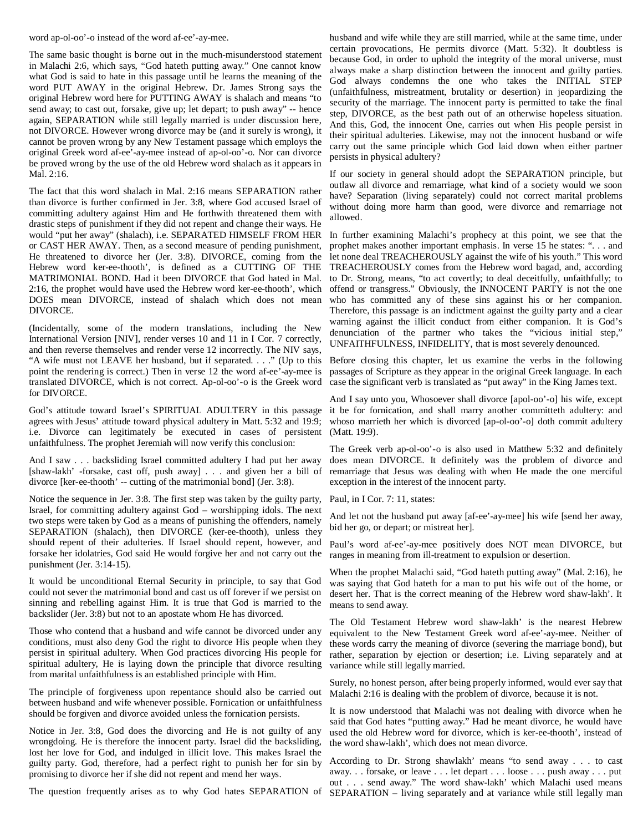word ap-ol-oo'-o instead of the word af-ee'-ay-mee.

The same basic thought is borne out in the much-misunderstood statement in Malachi 2:6, which says, "God hateth putting away." One cannot know what God is said to hate in this passage until he learns the meaning of the word PUT AWAY in the original Hebrew. Dr. James Strong says the original Hebrew word here for PUTTING AWAY is shalach and means "to send away; to cast out, forsake, give up; let depart; to push away" -- hence again, SEPARATION while still legally married is under discussion here, not DIVORCE. However wrong divorce may be (and it surely is wrong), it cannot be proven wrong by any New Testament passage which employs the original Greek word af-ee'-ay-mee instead of ap-ol-oo'-o. Nor can divorce be proved wrong by the use of the old Hebrew word shalach as it appears in Mal. 2:16.

The fact that this word shalach in Mal. 2:16 means SEPARATION rather than divorce is further confirmed in Jer. 3:8, where God accused Israel of committing adultery against Him and He forthwith threatened them with drastic steps of punishment if they did not repent and change their ways. He would "put her away" (shalach), i.e. SEPARATED HIMSELF FROM HER In further examining Malachi's prophecy at this point, we see that the or CAST HER AWAY. Then, as a second measure of pending punishment, He threatened to divorce her (Jer. 3:8). DIVORCE, coming from the Hebrew word ker-ee-thooth', is defined as a CUTTING OF THE MATRIMONIAL BOND. Had it been DIVORCE that God hated in Mal. 2:16, the prophet would have used the Hebrew word ker-ee-thooth', which DOES mean DIVORCE, instead of shalach which does not mean DIVORCE.

(Incidentally, some of the modern translations, including the New International Version [NIV], render verses 10 and 11 in I Cor. 7 correctly, and then reverse themselves and render verse 12 incorrectly. The NIV says, "A wife must not LEAVE her husband, but if separated. . . ." (Up to this Before closing this chapter, let us examine the verbs in the following point the rendering is correct.) Then in verse 12 the word af-ee'-ay-mee is translated DIVORCE, which is not correct. Ap-ol-oo'-o is the Greek word for DIVORCE.

God's attitude toward Israel's SPIRITUAL ADULTERY in this passage agrees with Jesus' attitude toward physical adultery in Matt. 5:32 and 19:9; i.e. Divorce can legitimately be executed in cases of persistent unfaithfulness. The prophet Jeremiah will now verify this conclusion:

And I saw . . . backsliding Israel committed adultery I had put her away [shaw-lakh' -forsake, cast off, push away] . . . and given her a bill of divorce [ker-ee-thooth' -- cutting of the matrimonial bond] (Jer. 3:8).

Notice the sequence in Jer. 3:8. The first step was taken by the guilty party, Israel, for committing adultery against God – worshipping idols. The next two steps were taken by God as a means of punishing the offenders, namely SEPARATION (shalach), then DIVORCE (ker-ee-thooth), unless they should repent of their adulteries. If Israel should repent, however, and forsake her idolatries, God said He would forgive her and not carry out the punishment (Jer. 3:14-15).

It would be unconditional Eternal Security in principle, to say that God could not sever the matrimonial bond and cast us off forever if we persist on sinning and rebelling against Him. It is true that God is married to the backslider (Jer. 3:8) but not to an apostate whom He has divorced.

Those who contend that a husband and wife cannot be divorced under any conditions, must also deny God the right to divorce His people when they persist in spiritual adultery. When God practices divorcing His people for spiritual adultery, He is laying down the principle that divorce resulting from marital unfaithfulness is an established principle with Him.

The principle of forgiveness upon repentance should also be carried out between husband and wife whenever possible. Fornication or unfaithfulness should be forgiven and divorce avoided unless the fornication persists.

Notice in Jer. 3:8, God does the divorcing and He is not guilty of any wrongdoing. He is therefore the innocent party. Israel did the backsliding, lost her love for God, and indulged in illicit love. This makes Israel the guilty party. God, therefore, had a perfect right to punish her for sin by promising to divorce her if she did not repent and mend her ways.

husband and wife while they are still married, while at the same time, under certain provocations, He permits divorce (Matt. 5:32). It doubtless is because God, in order to uphold the integrity of the moral universe, must always make a sharp distinction between the innocent and guilty parties. God always condemns the one who takes the INITIAL STEP (unfaithfulness, mistreatment, brutality or desertion) in jeopardizing the security of the marriage. The innocent party is permitted to take the final step, DIVORCE, as the best path out of an otherwise hopeless situation. And this, God, the innocent One, carries out when His people persist in their spiritual adulteries. Likewise, may not the innocent husband or wife carry out the same principle which God laid down when either partner persists in physical adultery?

If our society in general should adopt the SEPARATION principle, but outlaw all divorce and remarriage, what kind of a society would we soon have? Separation (living separately) could not correct marital problems without doing more harm than good, were divorce and remarriage not allowed.

prophet makes another important emphasis. In verse 15 he states: ". . . and let none deal TREACHEROUSLY against the wife of his youth." This word TREACHEROUSLY comes from the Hebrew word bagad, and, according to Dr. Strong, means, "to act covertly; to deal deceitfully, unfaithfully; to offend or transgress." Obviously, the INNOCENT PARTY is not the one who has committed any of these sins against his or her companion. Therefore, this passage is an indictment against the guilty party and a clear warning against the illicit conduct from either companion. It is God's denunciation of the partner who takes the "vicious initial step," UNFAITHFULNESS, INFIDELITY, that is most severely denounced.

passages of Scripture as they appear in the original Greek language. In each case the significant verb is translated as "put away" in the King James text.

And I say unto you, Whosoever shall divorce [apol-oo'-o] his wife, except it be for fornication, and shall marry another committeth adultery: and whoso marrieth her which is divorced [ap-ol-oo'-o] doth commit adultery (Matt. 19:9).

The Greek verb ap-ol-oo'-o is also used in Matthew 5:32 and definitely does mean DIVORCE. It definitely was the problem of divorce and remarriage that Jesus was dealing with when He made the one merciful exception in the interest of the innocent party.

Paul, in I Cor. 7: 11, states:

And let not the husband put away [af-ee'-ay-mee] his wife [send her away, bid her go, or depart; or mistreat her].

Paul's word af-ee'-ay-mee positively does NOT mean DIVORCE, but ranges in meaning from ill-treatment to expulsion or desertion.

When the prophet Malachi said, "God hateth putting away" (Mal. 2:16), he was saying that God hateth for a man to put his wife out of the home, or desert her. That is the correct meaning of the Hebrew word shaw-lakh'. It means to send away.

The Old Testament Hebrew word shaw-lakh' is the nearest Hebrew equivalent to the New Testament Greek word af-ee'-ay-mee. Neither of these words carry the meaning of divorce (severing the marriage bond), but rather, separation by ejection or desertion; i.e. Living separately and at variance while still legally married.

Surely, no honest person, after being properly informed, would ever say that Malachi 2:16 is dealing with the problem of divorce, because it is not.

It is now understood that Malachi was not dealing with divorce when he said that God hates "putting away." Had he meant divorce, he would have used the old Hebrew word for divorce, which is ker-ee-thooth', instead of the word shaw-lakh', which does not mean divorce.

The question frequently arises as to why God hates SEPARATION of SEPARATION – living separately and at variance while still legally man According to Dr. Strong shawlakh' means "to send away . . . to cast away. . . forsake, or leave . . . let depart . . . loose . . . push away . . . put out . . . send away." The word shaw-lakh' which Malachi used means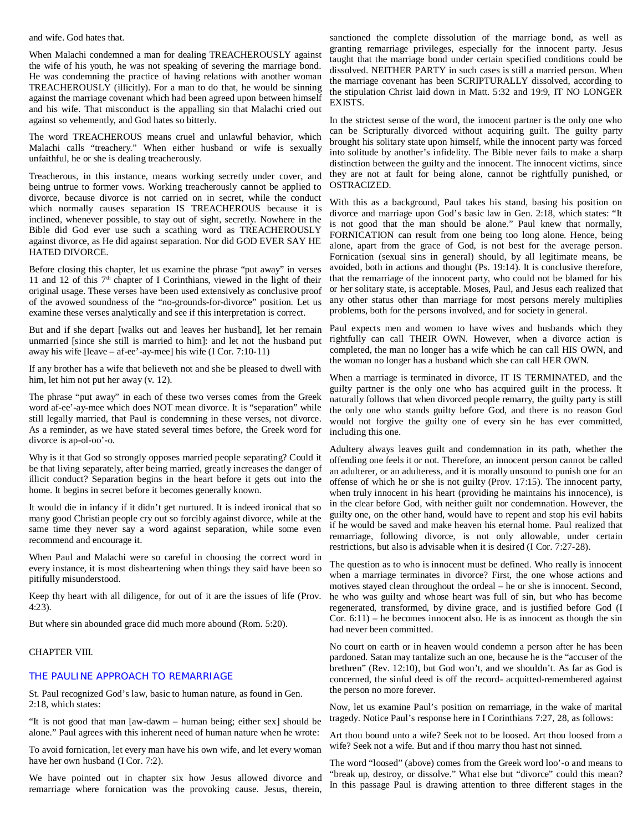and wife. God hates that.

When Malachi condemned a man for dealing TREACHEROUSLY against the wife of his youth, he was not speaking of severing the marriage bond. He was condemning the practice of having relations with another woman TREACHEROUSLY (illicitly). For a man to do that, he would be sinning against the marriage covenant which had been agreed upon between himself and his wife. That misconduct is the appalling sin that Malachi cried out against so vehemently, and God hates so bitterly.

The word TREACHEROUS means cruel and unlawful behavior, which Malachi calls "treachery." When either husband or wife is sexually unfaithful, he or she is dealing treacherously.

Treacherous, in this instance, means working secretly under cover, and being untrue to former vows. Working treacherously cannot be applied to divorce, because divorce is not carried on in secret, while the conduct which normally causes separation IS TREACHEROUS because it is inclined, whenever possible, to stay out of sight, secretly. Nowhere in the Bible did God ever use such a scathing word as TREACHEROUSLY against divorce, as He did against separation. Nor did GOD EVER SAY HE HATED DIVORCE.

Before closing this chapter, let us examine the phrase "put away" in verses 11 and 12 of this  $7<sup>th</sup>$  chapter of I Corinthians, viewed in the light of their original usage. These verses have been used extensively as conclusive proof of the avowed soundness of the "no-grounds-for-divorce" position. Let us examine these verses analytically and see if this interpretation is correct.

But and if she depart [walks out and leaves her husband], let her remain unmarried [since she still is married to him]: and let not the husband put away his wife [leave – af-ee'-ay-mee] his wife (I Cor. 7:10-11)

If any brother has a wife that believeth not and she be pleased to dwell with him, let him not put her away (v. 12).

The phrase "put away" in each of these two verses comes from the Greek word af-ee'-ay-mee which does NOT mean divorce. It is "separation" while still legally married, that Paul is condemning in these verses, not divorce. As a reminder, as we have stated several times before, the Greek word for divorce is ap-ol-oo'-o.

Why is it that God so strongly opposes married people separating? Could it be that living separately, after being married, greatly increases the danger of illicit conduct? Separation begins in the heart before it gets out into the home. It begins in secret before it becomes generally known.

It would die in infancy if it didn't get nurtured. It is indeed ironical that so many good Christian people cry out so forcibly against divorce, while at the same time they never say a word against separation, while some even recommend and encourage it.

When Paul and Malachi were so careful in choosing the correct word in every instance, it is most disheartening when things they said have been so pitifully misunderstood.

Keep thy heart with all diligence, for out of it are the issues of life (Prov. 4:23).

But where sin abounded grace did much more abound (Rom. 5:20).

# CHAPTER VIII.

# THE PAULINE APPROACH TO REMARRIAGE

St. Paul recognized God's law, basic to human nature, as found in Gen. 2:18, which states:

"It is not good that man [aw-dawm – human being; either sex] should be alone." Paul agrees with this inherent need of human nature when he wrote:

To avoid fornication, let every man have his own wife, and let every woman have her own husband (I Cor. 7:2).

We have pointed out in chapter six how Jesus allowed divorce and remarriage where fornication was the provoking cause. Jesus, therein,

sanctioned the complete dissolution of the marriage bond, as well as granting remarriage privileges, especially for the innocent party. Jesus taught that the marriage bond under certain specified conditions could be dissolved. NEITHER PARTY in such cases is still a married person. When the marriage covenant has been SCRIPTURALLY dissolved, according to the stipulation Christ laid down in Matt. 5:32 and 19:9, IT NO LONGER EXISTS.

In the strictest sense of the word, the innocent partner is the only one who can be Scripturally divorced without acquiring guilt. The guilty party brought his solitary state upon himself, while the innocent party was forced into solitude by another's infidelity. The Bible never fails to make a sharp distinction between the guilty and the innocent. The innocent victims, since they are not at fault for being alone, cannot be rightfully punished, or OSTRACIZED.

With this as a background, Paul takes his stand, basing his position on divorce and marriage upon God's basic law in Gen. 2:18, which states: "It is not good that the man should be alone." Paul knew that normally, FORNICATION can result from one being too long alone. Hence, being alone, apart from the grace of God, is not best for the average person. Fornication (sexual sins in general) should, by all legitimate means, be avoided, both in actions and thought (Ps. 19:14). It is conclusive therefore, that the remarriage of the innocent party, who could not be blamed for his or her solitary state, is acceptable. Moses, Paul, and Jesus each realized that any other status other than marriage for most persons merely multiplies problems, both for the persons involved, and for society in general.

Paul expects men and women to have wives and husbands which they rightfully can call THEIR OWN. However, when a divorce action is completed, the man no longer has a wife which he can call HIS OWN, and the woman no longer has a husband which she can call HER OWN.

When a marriage is terminated in divorce, IT IS TERMINATED, and the guilty partner is the only one who has acquired guilt in the process. It naturally follows that when divorced people remarry, the guilty party is still the only one who stands guilty before God, and there is no reason God would not forgive the guilty one of every sin he has ever committed, including this one.

Adultery always leaves guilt and condemnation in its path, whether the offending one feels it or not. Therefore, an innocent person cannot be called an adulterer, or an adulteress, and it is morally unsound to punish one for an offense of which he or she is not guilty (Prov. 17:15). The innocent party, when truly innocent in his heart (providing he maintains his innocence), is in the clear before God, with neither guilt nor condemnation. However, the guilty one, on the other hand, would have to repent and stop his evil habits if he would be saved and make heaven his eternal home. Paul realized that remarriage, following divorce, is not only allowable, under certain restrictions, but also is advisable when it is desired (I Cor. 7:27-28).

The question as to who is innocent must be defined. Who really is innocent when a marriage terminates in divorce? First, the one whose actions and motives stayed clean throughout the ordeal – he or she is innocent. Second, he who was guilty and whose heart was full of sin, but who has become regenerated, transformed, by divine grace, and is justified before God (I Cor.  $6:11$ ) – he becomes innocent also. He is as innocent as though the sin had never been committed.

No court on earth or in heaven would condemn a person after he has been pardoned. Satan may tantalize such an one, because he is the "accuser of the brethren" (Rev. 12:10), but God won't, and we shouldn't. As far as God is concerned, the sinful deed is off the record- acquitted-remembered against the person no more forever.

Now, let us examine Paul's position on remarriage, in the wake of marital tragedy. Notice Paul's response here in I Corinthians 7:27, 28, as follows:

Art thou bound unto a wife? Seek not to be loosed. Art thou loosed from a wife? Seek not a wife. But and if thou marry thou hast not sinned.

The word "loosed" (above) comes from the Greek word loo'-o and means to "break up, destroy, or dissolve." What else but "divorce" could this mean? In this passage Paul is drawing attention to three different stages in the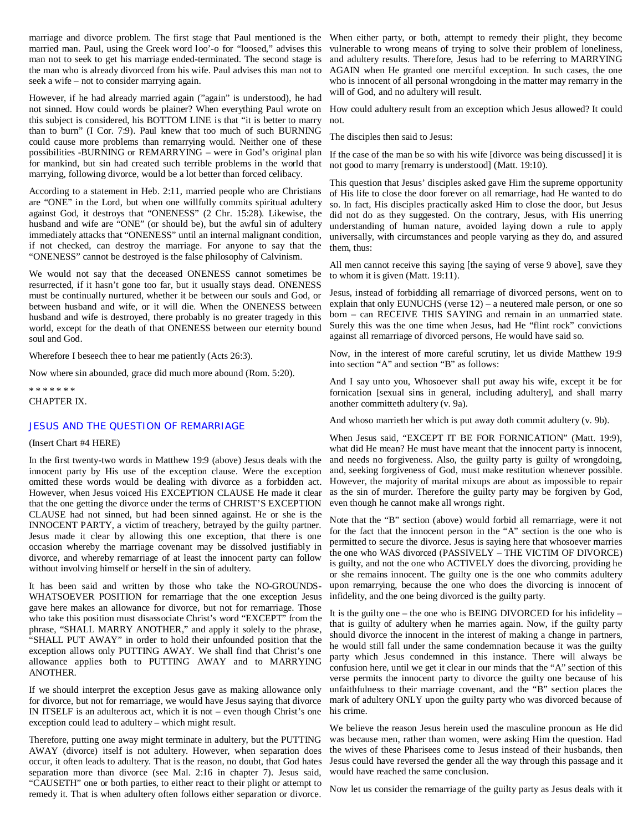marriage and divorce problem. The first stage that Paul mentioned is the When either party, or both, attempt to remedy their plight, they become married man. Paul, using the Greek word loo'-o for "loosed," advises this man not to seek to get his marriage ended-terminated. The second stage is the man who is already divorced from his wife. Paul advises this man not to seek a wife – not to consider marrying again.

However, if he had already married again ("again" is understood), he had not sinned. How could words be plainer? When everything Paul wrote on How could adultery result from an exception which Jesus allowed? It could this subject is considered, his BOTTOM LINE is that "it is better to marry than to burn" (I Cor. 7:9). Paul knew that too much of such BURNING could cause more problems than remarrying would. Neither one of these possibilities -BURNING or REMARRYING – were in God's original plan If the case of the man be so with his wife [divorce was being discussed] it is for mankind, but sin had created such terrible problems in the world that marrying, following divorce, would be a lot better than forced celibacy.

According to a statement in Heb. 2:11, married people who are Christians are "ONE" in the Lord, but when one willfully commits spiritual adultery against God, it destroys that "ONENESS" (2 Chr. 15:28). Likewise, the husband and wife are "ONE" (or should be), but the awful sin of adultery immediately attacks that "ONENESS" until an internal malignant condition, if not checked, can destroy the marriage. For anyone to say that the "ONENESS" cannot be destroyed is the false philosophy of Calvinism.

We would not say that the deceased ONENESS cannot sometimes be resurrected, if it hasn't gone too far, but it usually stays dead. ONENESS must be continually nurtured, whether it be between our souls and God, or between husband and wife, or it will die. When the ONENESS between husband and wife is destroyed, there probably is no greater tragedy in this world, except for the death of that ONENESS between our eternity bound soul and God.

Wherefore I beseech thee to hear me patiently (Acts 26:3).

Now where sin abounded, grace did much more abound (Rom. 5:20).

\* \* \* \* \* \* \* CHAPTER IX.

# JESUS AND THE QUESTION OF REMARRIAGE

#### (Insert Chart #4 HERE)

In the first twenty-two words in Matthew 19:9 (above) Jesus deals with the innocent party by His use of the exception clause. Were the exception omitted these words would be dealing with divorce as a forbidden act. However, when Jesus voiced His EXCEPTION CLAUSE He made it clear that the one getting the divorce under the terms of CHRIST'S EXCEPTION CLAUSE had not sinned, but had been sinned against. He or she is the INNOCENT PARTY, a victim of treachery, betrayed by the guilty partner. Jesus made it clear by allowing this one exception, that there is one occasion whereby the marriage covenant may be dissolved justifiably in divorce, and whereby remarriage of at least the innocent party can follow without involving himself or herself in the sin of adultery.

It has been said and written by those who take the NO-GROUNDS-WHATSOEVER POSITION for remarriage that the one exception Jesus gave here makes an allowance for divorce, but not for remarriage. Those who take this position must disassociate Christ's word "EXCEPT" from the phrase, "SHALL MARRY ANOTHER," and apply it solely to the phrase, "SHALL PUT AWAY" in order to hold their unfounded position that the exception allows only PUTTING AWAY. We shall find that Christ's one allowance applies both to PUTTING AWAY and to MARRYING ANOTHER.

If we should interpret the exception Jesus gave as making allowance only for divorce, but not for remarriage, we would have Jesus saying that divorce IN ITSELF is an adulterous act, which it is not – even though Christ's one his crime. exception could lead to adultery – which might result.

Therefore, putting one away might terminate in adultery, but the PUTTING AWAY (divorce) itself is not adultery. However, when separation does occur, it often leads to adultery. That is the reason, no doubt, that God hates separation more than divorce (see Mal. 2:16 in chapter 7). Jesus said, "CAUSETH" one or both parties, to either react to their plight or attempt to remedy it. That is when adultery often follows either separation or divorce.

vulnerable to wrong means of trying to solve their problem of loneliness, and adultery results. Therefore, Jesus had to be referring to MARRYING AGAIN when He granted one merciful exception. In such cases, the one who is innocent of all personal wrongdoing in the matter may remarry in the will of God, and no adultery will result.

not.

The disciples then said to Jesus:

not good to marry [remarry is understood] (Matt. 19:10).

This question that Jesus' disciples asked gave Him the supreme opportunity of His life to close the door forever on all remarriage, had He wanted to do so. In fact, His disciples practically asked Him to close the door, but Jesus did not do as they suggested. On the contrary, Jesus, with His unerring understanding of human nature, avoided laying down a rule to apply universally, with circumstances and people varying as they do, and assured them, thus:

All men cannot receive this saying [the saying of verse 9 above], save they to whom it is given (Matt. 19:11).

Jesus, instead of forbidding all remarriage of divorced persons, went on to explain that only EUNUCHS (verse 12) – a neutered male person, or one so born – can RECEIVE THIS SAYING and remain in an unmarried state. Surely this was the one time when Jesus, had He "flint rock" convictions against all remarriage of divorced persons, He would have said so.

Now, in the interest of more careful scrutiny, let us divide Matthew 19:9 into section "A" and section "B" as follows:

And I say unto you, Whosoever shall put away his wife, except it be for fornication [sexual sins in general, including adultery], and shall marry another committeth adultery (v. 9a).

And whoso marrieth her which is put away doth commit adultery (v. 9b).

When Jesus said, "EXCEPT IT BE FOR FORNICATION" (Matt. 19:9), what did He mean? He must have meant that the innocent party is innocent, and needs no forgiveness. Also, the guilty party is guilty of wrongdoing, and, seeking forgiveness of God, must make restitution whenever possible. However, the majority of marital mixups are about as impossible to repair as the sin of murder. Therefore the guilty party may be forgiven by God, even though he cannot make all wrongs right.

Note that the "B" section (above) would forbid all remarriage, were it not for the fact that the innocent person in the "A" section is the one who is permitted to secure the divorce. Jesus is saying here that whosoever marries the one who WAS divorced (PASSIVELY – THE VICTIM OF DIVORCE) is guilty, and not the one who ACTIVELY does the divorcing, providing he or she remains innocent. The guilty one is the one who commits adultery upon remarrying, because the one who does the divorcing is innocent of infidelity, and the one being divorced is the guilty party.

It is the guilty one – the one who is BEING DIVORCED for his infidelity – that is guilty of adultery when he marries again. Now, if the guilty party should divorce the innocent in the interest of making a change in partners, he would still fall under the same condemnation because it was the guilty party which Jesus condemned in this instance. There will always be confusion here, until we get it clear in our minds that the "A" section of this verse permits the innocent party to divorce the guilty one because of his unfaithfulness to their marriage covenant, and the "B" section places the mark of adultery ONLY upon the guilty party who was divorced because of

We believe the reason Jesus herein used the masculine pronoun as He did was because men, rather than women, were asking Him the question. Had the wives of these Pharisees come to Jesus instead of their husbands, then Jesus could have reversed the gender all the way through this passage and it would have reached the same conclusion.

Now let us consider the remarriage of the guilty party as Jesus deals with it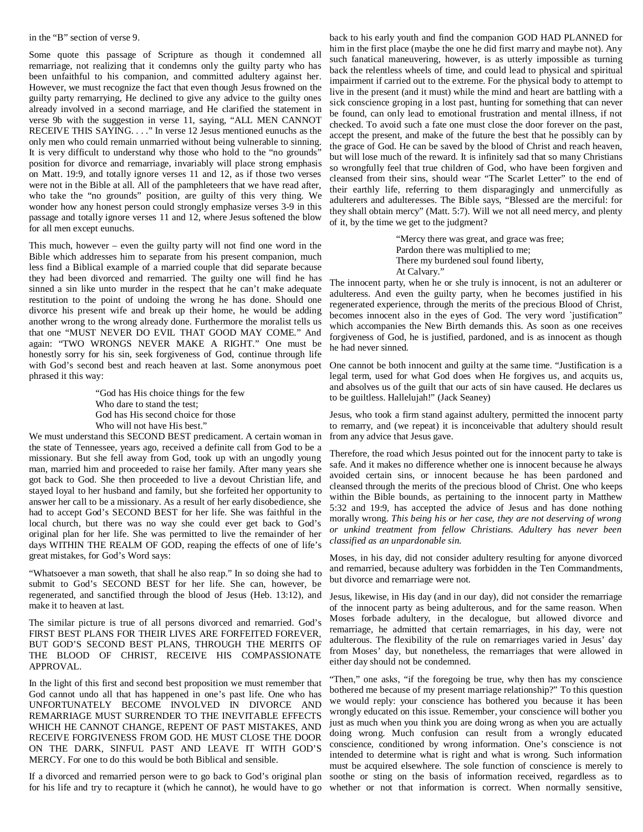in the "B" section of verse 9.

Some quote this passage of Scripture as though it condemned all remarriage, not realizing that it condemns only the guilty party who has been unfaithful to his companion, and committed adultery against her. However, we must recognize the fact that even though Jesus frowned on the guilty party remarrying, He declined to give any advice to the guilty ones already involved in a second marriage, and He clarified the statement in verse 9b with the suggestion in verse 11, saying, "ALL MEN CANNOT RECEIVE THIS SAYING. . . ." In verse 12 Jesus mentioned eunuchs as the only men who could remain unmarried without being vulnerable to sinning. It is very difficult to understand why those who hold to the "no grounds" position for divorce and remarriage, invariably will place strong emphasis on Matt. 19:9, and totally ignore verses 11 and 12, as if those two verses were not in the Bible at all. All of the pamphleteers that we have read after, who take the "no grounds" position, are guilty of this very thing. We wonder how any honest person could strongly emphasize verses 3-9 in this passage and totally ignore verses 11 and 12, where Jesus softened the blow for all men except eunuchs.

This much, however – even the guilty party will not find one word in the Bible which addresses him to separate from his present companion, much less find a Biblical example of a married couple that did separate because they had been divorced and remarried. The guilty one will find he has sinned a sin like unto murder in the respect that he can't make adequate restitution to the point of undoing the wrong he has done. Should one divorce his present wife and break up their home, he would be adding another wrong to the wrong already done. Furthermore the moralist tells us that one "MUST NEVER DO EVIL THAT GOOD MAY COME." And again: "TWO WRONGS NEVER MAKE A RIGHT." One must be honestly sorry for his sin, seek forgiveness of God, continue through life with God's second best and reach heaven at last. Some anonymous poet phrased it this way:

> "God has His choice things for the few Who dare to stand the test; God has His second choice for those Who will not have His best."

We must understand this SECOND BEST predicament. A certain woman in the state of Tennessee, years ago, received a definite call from God to be a missionary. But she fell away from God, took up with an ungodly young man, married him and proceeded to raise her family. After many years she got back to God. She then proceeded to live a devout Christian life, and stayed loyal to her husband and family, but she forfeited her opportunity to answer her call to be a missionary. As a result of her early disobedience, she had to accept God's SECOND BEST for her life. She was faithful in the local church, but there was no way she could ever get back to God's original plan for her life. She was permitted to live the remainder of her days WITHIN THE REALM OF GOD, reaping the effects of one of life's great mistakes, for God's Word says:

"Whatsoever a man soweth, that shall he also reap." In so doing she had to submit to God's SECOND BEST for her life. She can, however, be regenerated, and sanctified through the blood of Jesus (Heb. 13:12), and make it to heaven at last.

The similar picture is true of all persons divorced and remarried. God's FIRST BEST PLANS FOR THEIR LIVES ARE FORFEITED FOREVER, BUT GOD'S SECOND BEST PLANS, THROUGH THE MERITS OF THE BLOOD OF CHRIST, RECEIVE HIS COMPASSIONATE APPROVAL.

In the light of this first and second best proposition we must remember that God cannot undo all that has happened in one's past life. One who has UNFORTUNATELY BECOME INVOLVED IN DIVORCE AND REMARRIAGE MUST SURRENDER TO THE INEVITABLE EFFECTS WHICH HE CANNOT CHANGE, REPENT OF PAST MISTAKES, AND RECEIVE FORGIVENESS FROM GOD. HE MUST CLOSE THE DOOR ON THE DARK, SINFUL PAST AND LEAVE IT WITH GOD'S MERCY. For one to do this would be both Biblical and sensible.

If a divorced and remarried person were to go back to God's original plan for his life and try to recapture it (which he cannot), he would have to go

back to his early youth and find the companion GOD HAD PLANNED for him in the first place (maybe the one he did first marry and maybe not). Any such fanatical maneuvering, however, is as utterly impossible as turning back the relentless wheels of time, and could lead to physical and spiritual impairment if carried out to the extreme. For the physical body to attempt to live in the present (and it must) while the mind and heart are battling with a sick conscience groping in a lost past, hunting for something that can never be found, can only lead to emotional frustration and mental illness, if not checked. To avoid such a fate one must close the door forever on the past, accept the present, and make of the future the best that he possibly can by the grace of God. He can be saved by the blood of Christ and reach heaven, but will lose much of the reward. It is infinitely sad that so many Christians so wrongfully feel that true children of God, who have been forgiven and cleansed from their sins, should wear "The Scarlet Letter" to the end of their earthly life, referring to them disparagingly and unmercifully as adulterers and adulteresses. The Bible says, "Blessed are the merciful: for they shall obtain mercy" (Matt. 5:7). Will we not all need mercy, and plenty of it, by the time we get to the judgment?

> "Mercy there was great, and grace was free; Pardon there was multiplied to me; There my burdened soul found liberty, At Calvary."

The innocent party, when he or she truly is innocent, is not an adulterer or adulteress. And even the guilty party, when he becomes justified in his regenerated experience, through the merits of the precious Blood of Christ, becomes innocent also in the eyes of God. The very word `justification" which accompanies the New Birth demands this. As soon as one receives forgiveness of God, he is justified, pardoned, and is as innocent as though he had never sinned.

One cannot be both innocent and guilty at the same time. "Justification is a legal term, used for what God does when He forgives us, and acquits us, and absolves us of the guilt that our acts of sin have caused. He declares us to be guiltless. Hallelujah!" (Jack Seaney)

Jesus, who took a firm stand against adultery, permitted the innocent party to remarry, and (we repeat) it is inconceivable that adultery should result from any advice that Jesus gave.

Therefore, the road which Jesus pointed out for the innocent party to take is safe. And it makes no difference whether one is innocent because he always avoided certain sins, or innocent because he has been pardoned and cleansed through the merits of the precious blood of Christ. One who keeps within the Bible bounds, as pertaining to the innocent party in Matthew 5:32 and 19:9, has accepted the advice of Jesus and has done nothing morally wrong. *This being his or her case, they are not deserving of wrong or unkind treatment from fellow Christians. Adultery has never been classified as an unpardonable sin.*

Moses, in his day, did not consider adultery resulting for anyone divorced and remarried, because adultery was forbidden in the Ten Commandments, but divorce and remarriage were not.

Jesus, likewise, in His day (and in our day), did not consider the remarriage of the innocent party as being adulterous, and for the same reason. When Moses forbade adultery, in the decalogue, but allowed divorce and remarriage, he admitted that certain remarriages, in his day, were not adulterous. The flexibility of the rule on remarriages varied in Jesus' day from Moses' day, but nonetheless, the remarriages that were allowed in either day should not be condemned.

"Then," one asks, "if the foregoing be true, why then has my conscience bothered me because of my present marriage relationship?" To this question we would reply: your conscience has bothered you because it has been wrongly educated on this issue. Remember, your conscience will bother you just as much when you think you are doing wrong as when you are actually doing wrong. Much confusion can result from a wrongly educated conscience, conditioned by wrong information. One's conscience is not intended to determine what is right and what is wrong. Such information must be acquired elsewhere. The sole function of conscience is merely to soothe or sting on the basis of information received, regardless as to whether or not that information is correct. When normally sensitive,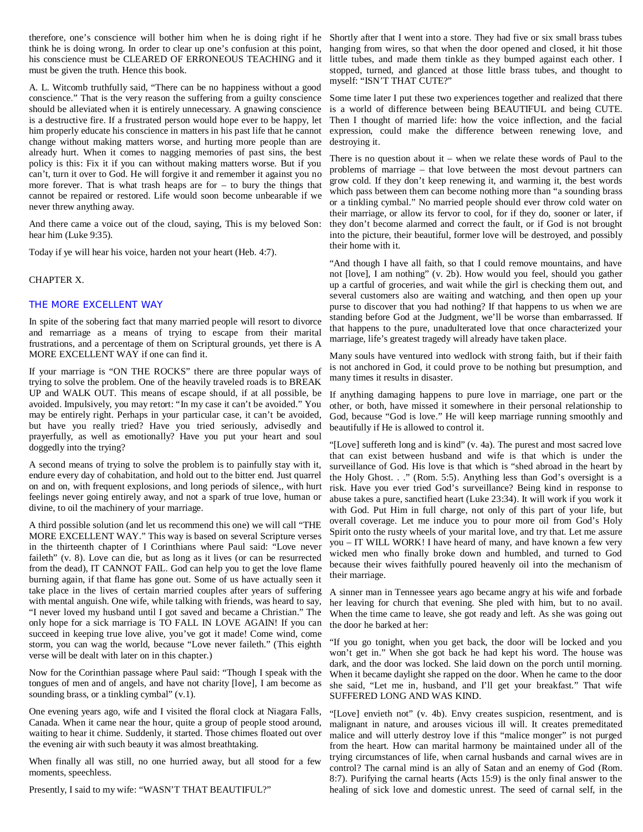therefore, one's conscience will bother him when he is doing right if he Shortly after that I went into a store. They had five or six small brass tubes think he is doing wrong. In order to clear up one's confusion at this point, his conscience must be CLEARED OF ERRONEOUS TEACHING and it little tubes, and made them tinkle as they bumped against each other. I must be given the truth. Hence this book.

A. L. Witcomb truthfully said, "There can be no happiness without a good conscience." That is the very reason the suffering from a guilty conscience should be alleviated when it is entirely unnecessary. A gnawing conscience is a destructive fire. If a frustrated person would hope ever to be happy, let him properly educate his conscience in matters in his past life that he cannot change without making matters worse, and hurting more people than are already hurt. When it comes to nagging memories of past sins, the best policy is this: Fix it if you can without making matters worse. But if you can't, turn it over to God. He will forgive it and remember it against you no more forever. That is what trash heaps are for  $-$  to bury the things that cannot be repaired or restored. Life would soon become unbearable if we never threw anything away.

And there came a voice out of the cloud, saying, This is my beloved Son: hear him (Luke 9:35).

Today if ye will hear his voice, harden not your heart (Heb. 4:7).

#### CHAPTER X.

# THE MORE EXCELLENT WAY

In spite of the sobering fact that many married people will resort to divorce and remarriage as a means of trying to escape from their marital frustrations, and a percentage of them on Scriptural grounds, yet there is A MORE EXCELLENT WAY if one can find it.

If your marriage is "ON THE ROCKS" there are three popular ways of trying to solve the problem. One of the heavily traveled roads is to BREAK UP and WALK OUT. This means of escape should, if at all possible, be avoided. Impulsively, you may retort: "In my case it can't be avoided." You may be entirely right. Perhaps in your particular case, it can't be avoided, but have you really tried? Have you tried seriously, advisedly and prayerfully, as well as emotionally? Have you put your heart and soul doggedly into the trying?

A second means of trying to solve the problem is to painfully stay with it, endure every day of cohabitation, and hold out to the bitter end. Just quarrel on and on, with frequent explosions, and long periods of silence,, with hurt feelings never going entirely away, and not a spark of true love, human or divine, to oil the machinery of your marriage.

A third possible solution (and let us recommend this one) we will call "THE MORE EXCELLENT WAY." This way is based on several Scripture verses in the thirteenth chapter of I Corinthians where Paul said: "Love never faileth" (v. 8). Love can die, but as long as it lives (or can be resurrected from the dead), IT CANNOT FAIL. God can help you to get the love flame burning again, if that flame has gone out. Some of us have actually seen it take place in the lives of certain married couples after years of suffering with mental anguish. One wife, while talking with friends, was heard to say, "I never loved my husband until I got saved and became a Christian." The only hope for a sick marriage is TO FALL IN LOVE AGAIN! If you can succeed in keeping true love alive, you've got it made! Come wind, come storm, you can wag the world, because "Love never faileth." (This eighth verse will be dealt with later on in this chapter.)

Now for the Corinthian passage where Paul said: "Though I speak with the tongues of men and of angels, and have not charity [love], I am become as sounding brass, or a tinkling cymbal" (v.1).

One evening years ago, wife and I visited the floral clock at Niagara Falls, Canada. When it came near the hour, quite a group of people stood around, waiting to hear it chime. Suddenly, it started. Those chimes floated out over the evening air with such beauty it was almost breathtaking.

When finally all was still, no one hurried away, but all stood for a few moments, speechless.

Presently, I said to my wife: "WASN'T THAT BEAUTIFUL?"

hanging from wires, so that when the door opened and closed, it hit those stopped, turned, and glanced at those little brass tubes, and thought to myself: "ISN'T THAT CUTE?"

Some time later I put these two experiences together and realized that there is a world of difference between being BEAUTIFUL and being CUTE. Then I thought of married life: how the voice inflection, and the facial expression, could make the difference between renewing love, and destroying it.

There is no question about it – when we relate these words of Paul to the problems of marriage – that love between the most devout partners can grow cold. If they don't keep renewing it, and warming it, the best words which pass between them can become nothing more than "a sounding brass or a tinkling cymbal." No married people should ever throw cold water on their marriage, or allow its fervor to cool, for if they do, sooner or later, if they don't become alarmed and correct the fault, or if God is not brought into the picture, their beautiful, former love will be destroyed, and possibly their home with it.

"And though I have all faith, so that I could remove mountains, and have not [love], I am nothing" (v. 2b). How would you feel, should you gather up a cartful of groceries, and wait while the girl is checking them out, and several customers also are waiting and watching, and then open up your purse to discover that you had nothing? If that happens to us when we are standing before God at the Judgment, we'll be worse than embarrassed. If that happens to the pure, unadulterated love that once characterized your marriage, life's greatest tragedy will already have taken place.

Many souls have ventured into wedlock with strong faith, but if their faith is not anchored in God, it could prove to be nothing but presumption, and many times it results in disaster.

If anything damaging happens to pure love in marriage, one part or the other, or both, have missed it somewhere in their personal relationship to God, because "God is love." He will keep marriage running smoothly and beautifully if He is allowed to control it.

"[Love] suffereth long and is kind" (v. 4a). The purest and most sacred love that can exist between husband and wife is that which is under the surveillance of God. His love is that which is "shed abroad in the heart by the Holy Ghost. . ." (Rom. 5:5). Anything less than God's oversight is a risk. Have you ever tried God's surveillance? Being kind in response to abuse takes a pure, sanctified heart (Luke 23:34). It will work if you work it with God. Put Him in full charge, not only of this part of your life, but overall coverage. Let me induce you to pour more oil from God's Holy Spirit onto the rusty wheels of your marital love, and try that. Let me assure you – IT WILL WORK! I have heard of many, and have known a few very wicked men who finally broke down and humbled, and turned to God because their wives faithfully poured heavenly oil into the mechanism of their marriage.

A sinner man in Tennessee years ago became angry at his wife and forbade her leaving for church that evening. She pled with him, but to no avail. When the time came to leave, she got ready and left. As she was going out the door he barked at her:

"If you go tonight, when you get back, the door will be locked and you won't get in." When she got back he had kept his word. The house was dark, and the door was locked. She laid down on the porch until morning. When it became daylight she rapped on the door. When he came to the door she said, "Let me in, husband, and I'll get your breakfast." That wife SUFFERED LONG AND WAS KIND.

"[Love] envieth not" (v. 4b). Envy creates suspicion, resentment, and is malignant in nature, and arouses vicious ill will. It creates premeditated malice and will utterly destroy love if this "malice monger" is not purged from the heart. How can marital harmony be maintained under all of the trying circumstances of life, when carnal husbands and carnal wives are in control? The carnal mind is an ally of Satan and an enemy of God (Rom. 8:7). Purifying the carnal hearts (Acts 15:9) is the only final answer to the healing of sick love and domestic unrest. The seed of carnal self, in the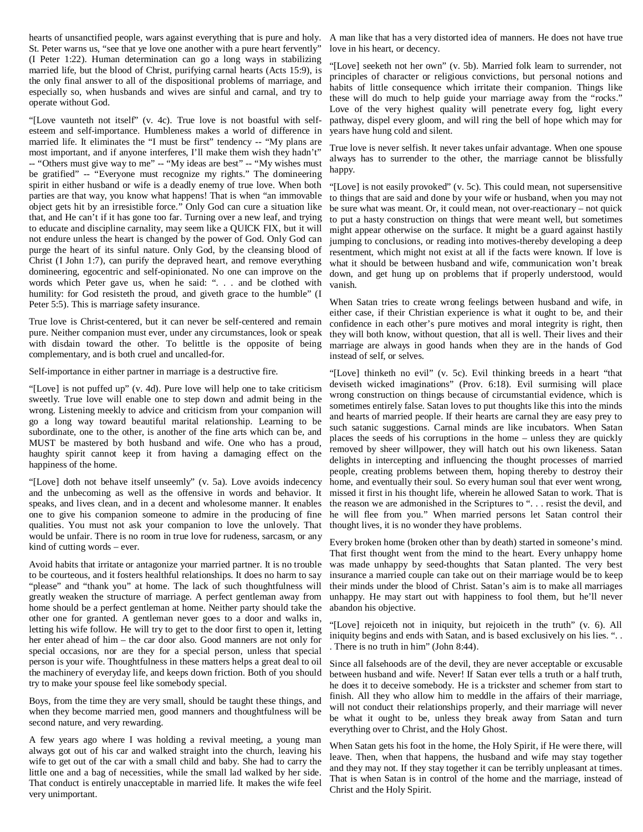hearts of unsanctified people, wars against everything that is pure and holy. St. Peter warns us, "see that ye love one another with a pure heart fervently" (I Peter 1:22). Human determination can go a long ways in stabilizing married life, but the blood of Christ, purifying carnal hearts (Acts 15:9), is the only final answer to all of the dispositional problems of marriage, and especially so, when husbands and wives are sinful and carnal, and try to operate without God.

"[Love vaunteth not itself" (v. 4c). True love is not boastful with selfesteem and self-importance. Humbleness makes a world of difference in married life. It eliminates the "I must be first" tendency -- "My plans are most important, and if anyone interferes, I'll make them wish they hadn't" -- "Others must give way to me" -- "My ideas are best" -- "My wishes must be gratified" -- "Everyone must recognize my rights." The domineering spirit in either husband or wife is a deadly enemy of true love. When both parties are that way, you know what happens! That is when "an immovable object gets hit by an irresistible force." Only God can cure a situation like that, and He can't if it has gone too far. Turning over a new leaf, and trying to educate and discipline carnality, may seem like a QUICK FIX, but it will not endure unless the heart is changed by the power of God. Only God can purge the heart of its sinful nature. Only God, by the cleansing blood of Christ (I John 1:7), can purify the depraved heart, and remove everything domineering, egocentric and self-opinionated. No one can improve on the words which Peter gave us, when he said: ". . . and be clothed with humility: for God resisteth the proud, and giveth grace to the humble" (I Peter 5:5). This is marriage safety insurance.

True love is Christ-centered, but it can never be self-centered and remain pure. Neither companion must ever, under any circumstances, look or speak with disdain toward the other. To belittle is the opposite of being complementary, and is both cruel and uncalled-for.

Self-importance in either partner in marriage is a destructive fire.

"[Love] is not puffed up" (v. 4d). Pure love will help one to take criticism sweetly. True love will enable one to step down and admit being in the wrong. Listening meekly to advice and criticism from your companion will go a long way toward beautiful marital relationship. Learning to be subordinate, one to the other, is another of the fine arts which can be, and MUST be mastered by both husband and wife. One who has a proud, haughty spirit cannot keep it from having a damaging effect on the happiness of the home.

"[Love] doth not behave itself unseemly" (v. 5a). Love avoids indecency and the unbecoming as well as the offensive in words and behavior. It speaks, and lives clean, and in a decent and wholesome manner. It enables one to give his companion someone to admire in the producing of fine qualities. You must not ask your companion to love the unlovely. That would be unfair. There is no room in true love for rudeness, sarcasm, or any kind of cutting words – ever.

Avoid habits that irritate or antagonize your married partner. It is no trouble to be courteous, and it fosters healthful relationships. It does no harm to say "please" and "thank you" at home. The lack of such thoughtfulness will greatly weaken the structure of marriage. A perfect gentleman away from home should be a perfect gentleman at home. Neither party should take the other one for granted. A gentleman never goes to a door and walks in, letting his wife follow. He will try to get to the door first to open it, letting her enter ahead of him – the car door also. Good manners are not only for special occasions, nor are they for a special person, unless that special person is your wife. Thoughtfulness in these matters helps a great deal to oil the machinery of everyday life, and keeps down friction. Both of you should try to make your spouse feel like somebody special.

Boys, from the time they are very small, should be taught these things, and when they become married men, good manners and thoughtfulness will be second nature, and very rewarding.

A few years ago where I was holding a revival meeting, a young man always got out of his car and walked straight into the church, leaving his wife to get out of the car with a small child and baby. She had to carry the little one and a bag of necessities, while the small lad walked by her side. That conduct is entirely unacceptable in married life. It makes the wife feel very unimportant.

A man like that has a very distorted idea of manners. He does not have true love in his heart, or decency.

"[Love] seeketh not her own" (v. 5b). Married folk learn to surrender, not principles of character or religious convictions, but personal notions and habits of little consequence which irritate their companion. Things like these will do much to help guide your marriage away from the "rocks." Love of the very highest quality will penetrate every fog, light every pathway, dispel every gloom, and will ring the bell of hope which may for years have hung cold and silent.

True love is never selfish. It never takes unfair advantage. When one spouse always has to surrender to the other, the marriage cannot be blissfully happy.

"[Love] is not easily provoked" (v. 5c). This could mean, not supersensitive to things that are said and done by your wife or husband, when you may not be sure what was meant. Or, it could mean, not over-reactionary – not quick to put a hasty construction on things that were meant well, but sometimes might appear otherwise on the surface. It might be a guard against hastily jumping to conclusions, or reading into motives-thereby developing a deep resentment, which might not exist at all if the facts were known. If love is what it should be between husband and wife, communication won't break down, and get hung up on problems that if properly understood, would vanish.

When Satan tries to create wrong feelings between husband and wife, in either case, if their Christian experience is what it ought to be, and their confidence in each other's pure motives and moral integrity is right, then they will both know, without question, that all is well. Their lives and their marriage are always in good hands when they are in the hands of God instead of self, or selves.

"[Love] thinketh no evil" (v. 5c). Evil thinking breeds in a heart "that deviseth wicked imaginations" (Prov. 6:18). Evil surmising will place wrong construction on things because of circumstantial evidence, which is sometimes entirely false. Satan loves to put thoughts like this into the minds and hearts of married people. If their hearts are carnal they are easy prey to such satanic suggestions. Carnal minds are like incubators. When Satan places the seeds of his corruptions in the home – unless they are quickly removed by sheer willpower, they will hatch out his own likeness. Satan delights in intercepting and influencing the thought processes of married people, creating problems between them, hoping thereby to destroy their home, and eventually their soul. So every human soul that ever went wrong, missed it first in his thought life, wherein he allowed Satan to work. That is the reason we are admonished in the Scriptures to ". . . resist the devil, and he will flee from you." When married persons let Satan control their thought lives, it is no wonder they have problems.

Every broken home (broken other than by death) started in someone's mind. That first thought went from the mind to the heart. Every unhappy home was made unhappy by seed-thoughts that Satan planted. The very best insurance a married couple can take out on their marriage would be to keep their minds under the blood of Christ. Satan's aim is to make all marriages unhappy. He may start out with happiness to fool them, but he'll never abandon his objective.

"[Love] rejoiceth not in iniquity, but rejoiceth in the truth" (v. 6). All iniquity begins and ends with Satan, and is based exclusively on his lies. "... . There is no truth in him" (John 8:44).

Since all falsehoods are of the devil, they are never acceptable or excusable between husband and wife. Never! If Satan ever tells a truth or a half truth, he does it to deceive somebody. He is a trickster and schemer from start to finish. All they who allow him to meddle in the affairs of their marriage, will not conduct their relationships properly, and their marriage will never be what it ought to be, unless they break away from Satan and turn everything over to Christ, and the Holy Ghost.

When Satan gets his foot in the home, the Holy Spirit, if He were there, will leave. Then, when that happens, the husband and wife may stay together and they may not. If they stay together it can be terribly unpleasant at times. That is when Satan is in control of the home and the marriage, instead of Christ and the Holy Spirit.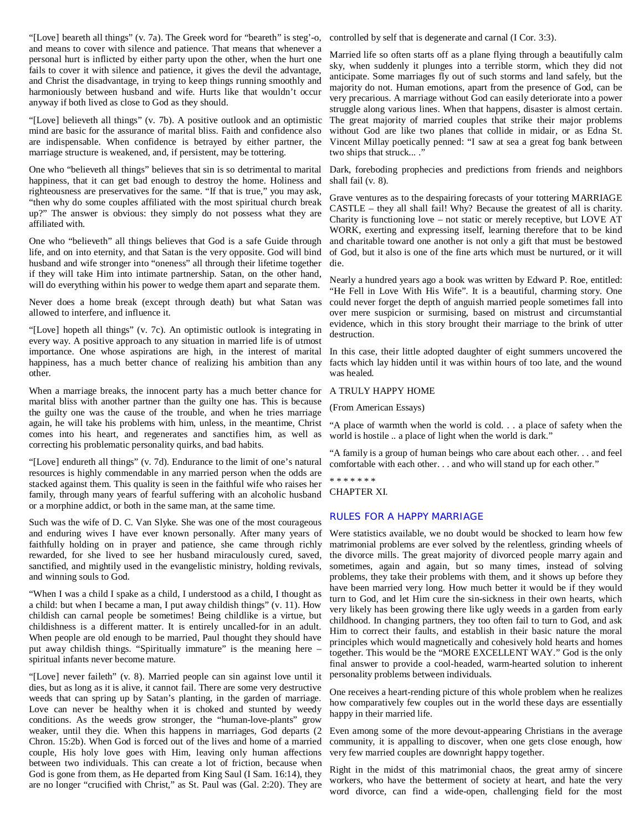"[Love] beareth all things" (v. 7a). The Greek word for "beareth" is steg'-o, controlled by self that is degenerate and carnal (I Cor. 3:3). and means to cover with silence and patience. That means that whenever a personal hurt is inflicted by either party upon the other, when the hurt one fails to cover it with silence and patience, it gives the devil the advantage, and Christ the disadvantage, in trying to keep things running smoothly and harmoniously between husband and wife. Hurts like that wouldn't occur anyway if both lived as close to God as they should.

"[Love] believeth all things" (v. 7b). A positive outlook and an optimistic mind are basic for the assurance of marital bliss. Faith and confidence also are indispensable. When confidence is betrayed by either partner, the marriage structure is weakened, and, if persistent, may be tottering.

One who "believeth all things" believes that sin is so detrimental to marital happiness, that it can get bad enough to destroy the home. Holiness and righteousness are preservatives for the same. "If that is true," you may ask, "then why do some couples affiliated with the most spiritual church break up?" The answer is obvious: they simply do not possess what they are affiliated with.

One who "believeth" all things believes that God is a safe Guide through life, and on into eternity, and that Satan is the very opposite. God will bind husband and wife stronger into "oneness" all through their lifetime together if they will take Him into intimate partnership. Satan, on the other hand, will do everything within his power to wedge them apart and separate them.

Never does a home break (except through death) but what Satan was allowed to interfere, and influence it.

"[Love] hopeth all things" (v. 7c). An optimistic outlook is integrating in every way. A positive approach to any situation in married life is of utmost importance. One whose aspirations are high, in the interest of marital happiness, has a much better chance of realizing his ambition than any other.

When a marriage breaks, the innocent party has a much better chance for marital bliss with another partner than the guilty one has. This is because the guilty one was the cause of the trouble, and when he tries marriage again, he will take his problems with him, unless, in the meantime, Christ "A place of warmth when the world is cold. . . a place of safety when the comes into his heart, and regenerates and sanctifies him, as well as correcting his problematic personality quirks, and bad habits.

"[Love] endureth all things" (v. 7d). Endurance to the limit of one's natural resources is highly commendable in any married person when the odds are stacked against them. This quality is seen in the faithful wife who raises her family, through many years of fearful suffering with an alcoholic husband or a morphine addict, or both in the same man, at the same time.

Such was the wife of D. C. Van Slyke. She was one of the most courageous and enduring wives I have ever known personally. After many years of faithfully holding on in prayer and patience, she came through richly rewarded, for she lived to see her husband miraculously cured, saved, sanctified, and mightily used in the evangelistic ministry, holding revivals, and winning souls to God.

"When I was a child I spake as a child, I understood as a child, I thought as a child: but when I became a man, I put away childish things" (v. 11). How childish can carnal people be sometimes! Being childlike is a virtue, but childishness is a different matter. It is entirely uncalled-for in an adult. When people are old enough to be married, Paul thought they should have put away childish things. "Spiritually immature" is the meaning here – spiritual infants never become mature.

"[Love] never faileth" (v. 8). Married people can sin against love until it dies, but as long as it is alive, it cannot fail. There are some very destructive weeds that can spring up by Satan's planting, in the garden of marriage. Love can never be healthy when it is choked and stunted by weedy conditions. As the weeds grow stronger, the "human-love-plants" grow weaker, until they die. When this happens in marriages, God departs (2 Chron. 15:2b). When God is forced out of the lives and home of a married couple, His holy love goes with Him, leaving only human affections between two individuals. This can create a lot of friction, because when God is gone from them, as He departed from King Saul (I Sam. 16:14), they are no longer "crucified with Christ," as St. Paul was (Gal. 2:20). They are

Married life so often starts off as a plane flying through a beautifully calm sky, when suddenly it plunges into a terrible storm, which they did not anticipate. Some marriages fly out of such storms and land safely, but the majority do not. Human emotions, apart from the presence of God, can be very precarious. A marriage without God can easily deteriorate into a power struggle along various lines. When that happens, disaster is almost certain. The great majority of married couples that strike their major problems without God are like two planes that collide in midair, or as Edna St. Vincent Millay poetically penned: "I saw at sea a great fog bank between two ships that struck... ."

Dark, foreboding prophecies and predictions from friends and neighbors shall fail (v. 8).

Grave ventures as to the despairing forecasts of your tottering MARRIAGE CASTLE – they all shall fail! Why? Because the greatest of all is charity. Charity is functioning love – not static or merely receptive, but LOVE AT WORK, exerting and expressing itself, learning therefore that to be kind and charitable toward one another is not only a gift that must be bestowed of God, but it also is one of the fine arts which must be nurtured, or it will die.

Nearly a hundred years ago a book was written by Edward P. Roe, entitled: "He Fell in Love With His Wife". It is a beautiful, charming story. One could never forget the depth of anguish married people sometimes fall into over mere suspicion or surmising, based on mistrust and circumstantial evidence, which in this story brought their marriage to the brink of utter destruction.

In this case, their little adopted daughter of eight summers uncovered the facts which lay hidden until it was within hours of too late, and the wound was healed.

#### A TRULY HAPPY HOME

(From American Essays)

world is hostile .. a place of light when the world is dark."

"A family is a group of human beings who care about each other. . . and feel comfortable with each other. . . and who will stand up for each other."

\* \* \* \* \* \* \* CHAPTER XI.

#### RULES FOR A HAPPY MARRIAGE

Were statistics available, we no doubt would be shocked to learn how few matrimonial problems are ever solved by the relentless, grinding wheels of the divorce mills. The great majority of divorced people marry again and sometimes, again and again, but so many times, instead of solving problems, they take their problems with them, and it shows up before they have been married very long. How much better it would be if they would turn to God, and let Him cure the sin-sickness in their own hearts, which very likely has been growing there like ugly weeds in a garden from early childhood. In changing partners, they too often fail to turn to God, and ask Him to correct their faults, and establish in their basic nature the moral principles which would magnetically and cohesively hold hearts and homes together. This would be the "MORE EXCELLENT WAY." God is the only final answer to provide a cool-headed, warm-hearted solution to inherent personality problems between individuals.

One receives a heart-rending picture of this whole problem when he realizes how comparatively few couples out in the world these days are essentially happy in their married life.

Even among some of the more devout-appearing Christians in the average community, it is appalling to discover, when one gets close enough, how very few married couples are downright happy together.

Right in the midst of this matrimonial chaos, the great army of sincere workers, who have the betterment of society at heart, and hate the very word divorce, can find a wide-open, challenging field for the most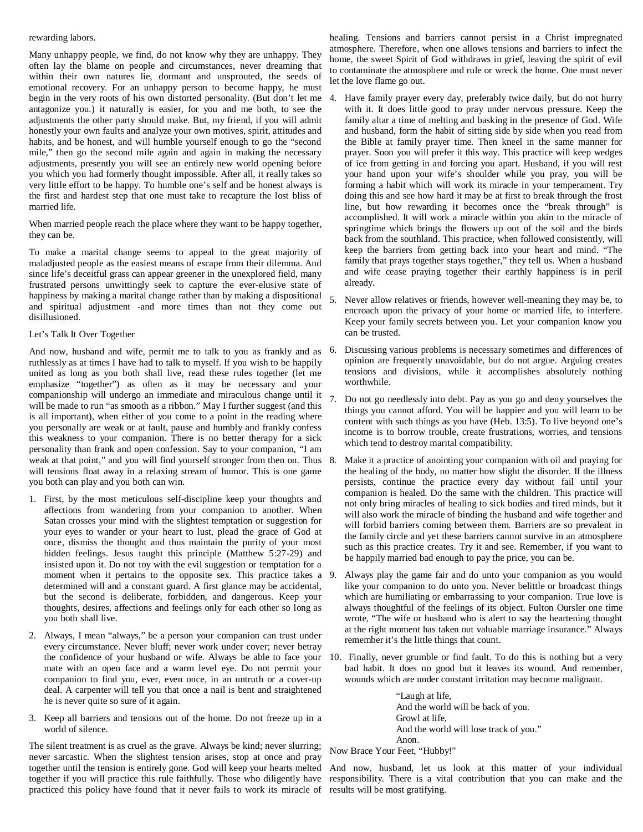#### rewarding labors.

Many unhappy people, we find, do not know why they are unhappy. They often lay the blame on people and circumstances, never dreaming that within their own natures lie, dormant and unsprouted, the seeds of emotional recovery. For an unhappy person to become happy, he must begin in the very roots of his own distorted personality. (But don't let me antagonize you.) it naturally is easier, for you and me both, to see the adjustments the other party should make. But, my friend, if you will admit honestly your own faults and analyze your own motives, spirit, attitudes and habits, and be honest, and will humble yourself enough to go the "second mile," then go the second mile again and again in making the necessary adjustments, presently you will see an entirely new world opening before you which you had formerly thought impossible. After all, it really takes so very little effort to be happy. To humble one's self and be honest always is the first and hardest step that one must take to recapture the lost bliss of married life.

When married people reach the place where they want to be happy together, they can be.

To make a marital change seems to appeal to the great majority of maladjusted people as the easiest means of escape from their dilemma. And since life's deceitful grass can appear greener in the unexplored field, many frustrated persons unwittingly seek to capture the ever-elusive state of happiness by making a marital change rather than by making a dispositional and spiritual adjustment -and more times than not they come out disillusioned.

# Let's Talk It Over Together

And now, husband and wife, permit me to talk to you as frankly and as 6. ruthlessly as at times I have had to talk to myself. If you wish to be happily united as long as you both shall live, read these rules together (let me emphasize "together") as often as it may be necessary and your companionship will undergo an immediate and miraculous change until it will be made to run "as smooth as a ribbon." May I further suggest (and this is all important), when either of you come to a point in the reading where you personally are weak or at fault, pause and humbly and frankly confess this weakness to your companion. There is no better therapy for a sick personality than frank and open confession. Say to your companion, "I am weak at that point," and you will find yourself stronger from then on. Thus 8. will tensions float away in a relaxing stream of humor. This is one game you both can play and you both can win.

- 1. First, by the most meticulous self-discipline keep your thoughts and affections from wandering from your companion to another. When Satan crosses your mind with the slightest temptation or suggestion for your eyes to wander or your heart to lust, plead the grace of God at once, dismiss the thought and thus maintain the purity of your most hidden feelings. Jesus taught this principle (Matthew 5:27-29) and insisted upon it. Do not toy with the evil suggestion or temptation for a moment when it pertains to the opposite sex. This practice takes a 9. determined will and a constant guard. A first glance may be accidental, but the second is deliberate, forbidden, and dangerous. Keep your thoughts, desires, affections and feelings only for each other so long as you both shall live.
- 2. Always, I mean "always," be a person your companion can trust under every circumstance. Never bluff; never work under cover; never betray the confidence of your husband or wife. Always be able to face your 10. mate with an open face and a warm level eye. Do not permit your companion to find you, ever, even once, in an untruth or a cover-up deal. A carpenter will tell you that once a nail is bent and straightened he is never quite so sure of it again.
- 3. Keep all barriers and tensions out of the home. Do not freeze up in a world of silence.

The silent treatment is as cruel as the grave. Always be kind; never slurring; never sarcastic. When the slightest tension arises, stop at once and pray together until the tension is entirely gone. God will keep your hearts melted together if you will practice this rule faithfully. Those who diligently have responsibility. There is a vital contribution that you can make and the practiced this policy have found that it never fails to work its miracle of results will be most gratifying.

healing. Tensions and barriers cannot persist in a Christ impregnated atmosphere. Therefore, when one allows tensions and barriers to infect the home, the sweet Spirit of God withdraws in grief, leaving the spirit of evil to contaminate the atmosphere and rule or wreck the home. One must never let the love flame go out.

- Have family prayer every day, preferably twice daily, but do not hurry with it. It does little good to pray under nervous pressure. Keep the family altar a time of melting and basking in the presence of God. Wife and husband, form the habit of sitting side by side when you read from the Bible at family prayer time. Then kneel in the same manner for prayer. Soon you will prefer it this way. This practice will keep wedges of ice from getting in and forcing you apart. Husband, if you will rest your hand upon your wife's shoulder while you pray, you will be forming a habit which will work its miracle in your temperament. Try doing this and see how hard it may be at first to break through the frost line, but how rewarding it becomes once the "break through" is accomplished. It will work a miracle within you akin to the miracle of springtime which brings the flowers up out of the soil and the birds back from the southland. This practice, when followed consistently, will keep the barriers from getting back into your heart and mind. "The family that prays together stays together," they tell us. When a husband and wife cease praying together their earthly happiness is in peril already.
- 5. Never allow relatives or friends, however well-meaning they may be, to encroach upon the privacy of your home or married life, to interfere. Keep your family secrets between you. Let your companion know you can be trusted.
- 6. Discussing various problems is necessary sometimes and differences of opinion are frequently unavoidable, but do not argue. Arguing creates tensions and divisions, while it accomplishes absolutely nothing worthwhile.
- 7. Do not go needlessly into debt. Pay as you go and deny yourselves the things you cannot afford. You will be happier and you will learn to be content with such things as you have (Heb. 13:5). To live beyond one's income is to borrow trouble, create frustrations, worries, and tensions which tend to destroy marital compatibility.
- Make it a practice of anointing your companion with oil and praying for the healing of the body, no matter how slight the disorder. If the illness persists, continue the practice every day without fail until your companion is healed. Do the same with the children. This practice will not only bring miracles of healing to sick bodies and tired minds, but it will also work the miracle of binding the husband and wife together and will forbid barriers coming between them. Barriers are so prevalent in the family circle and yet these barriers cannot survive in an atmosphere such as this practice creates. Try it and see. Remember, if you want to be happily married bad enough to pay the price, you can be.
- Always play the game fair and do unto your companion as you would like your companion to do unto you. Never belittle or broadcast things which are humiliating or embarrassing to your companion. True love is always thoughtful of the feelings of its object. Fulton Oursler one time wrote, "The wife or husband who is alert to say the heartening thought at the right moment has taken out valuable marriage insurance." Always remember it's the little things that count.
- Finally, never grumble or find fault. To do this is nothing but a very bad habit. It does no good but it leaves its wound. And remember, wounds which are under constant irritation may become malignant.

"Laugh at life, And the world will be back of you. Growl at life, And the world will lose track of you." Anon.

Now Brace Your Feet, "Hubby!"

And now, husband, let us look at this matter of your individual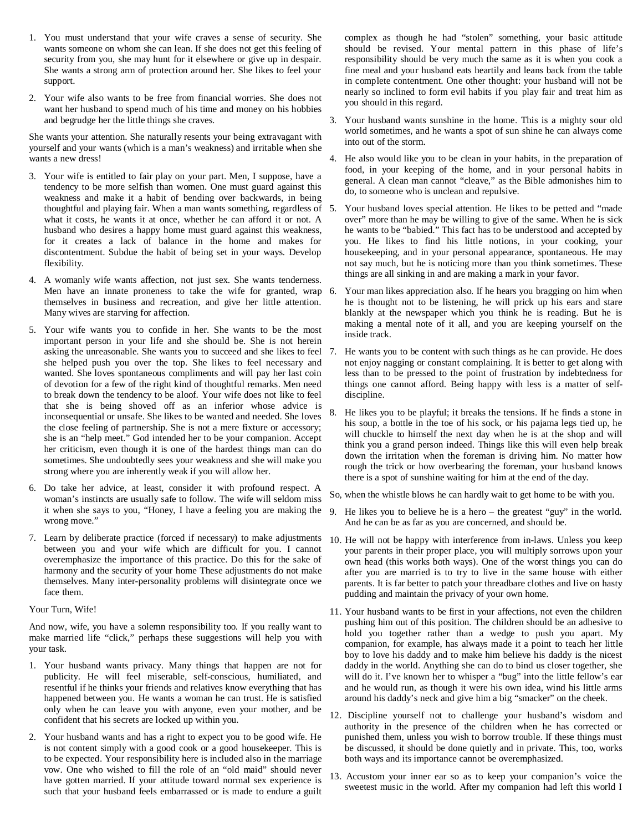- 1. You must understand that your wife craves a sense of security. She wants someone on whom she can lean. If she does not get this feeling of security from you, she may hunt for it elsewhere or give up in despair. She wants a strong arm of protection around her. She likes to feel your support.
- 2. Your wife also wants to be free from financial worries. She does not want her husband to spend much of his time and money on his hobbies and begrudge her the little things she craves.

She wants your attention. She naturally resents your being extravagant with yourself and your wants (which is a man's weakness) and irritable when she wants a new dress!

- 3. Your wife is entitled to fair play on your part. Men, I suppose, have a tendency to be more selfish than women. One must guard against this weakness and make it a habit of bending over backwards, in being thoughtful and playing fair. When a man wants something, regardless of what it costs, he wants it at once, whether he can afford it or not. A husband who desires a happy home must guard against this weakness, for it creates a lack of balance in the home and makes for discontentment. Subdue the habit of being set in your ways. Develop flexibility.
- 4. A womanly wife wants affection, not just sex. She wants tenderness. Men have an innate proneness to take the wife for granted, wrap 6. themselves in business and recreation, and give her little attention. Many wives are starving for affection.
- 5. Your wife wants you to confide in her. She wants to be the most important person in your life and she should be. She is not herein asking the unreasonable. She wants you to succeed and she likes to feel 7. she helped push you over the top. She likes to feel necessary and wanted. She loves spontaneous compliments and will pay her last coin of devotion for a few of the right kind of thoughtful remarks. Men need to break down the tendency to be aloof. Your wife does not like to feel that she is being shoved off as an inferior whose advice is inconsequential or unsafe. She likes to be wanted and needed. She loves the close feeling of partnership. She is not a mere fixture or accessory; she is an "help meet." God intended her to be your companion. Accept her criticism, even though it is one of the hardest things man can do sometimes. She undoubtedly sees your weakness and she will make you strong where you are inherently weak if you will allow her.
- 6. Do take her advice, at least, consider it with profound respect. A woman's instincts are usually safe to follow. The wife will seldom miss it when she says to you, "Honey, I have a feeling you are making the wrong move."
- 7. Learn by deliberate practice (forced if necessary) to make adjustments 10. He will not be happy with interference from in-laws. Unless you keep between you and your wife which are difficult for you. I cannot overemphasize the importance of this practice. Do this for the sake of harmony and the security of your home These adjustments do not make themselves. Many inter-personality problems will disintegrate once we face them.

Your Turn, Wife!

And now, wife, you have a solemn responsibility too. If you really want to make married life "click," perhaps these suggestions will help you with your task.

- 1. Your husband wants privacy. Many things that happen are not for publicity. He will feel miserable, self-conscious, humiliated, and resentful if he thinks your friends and relatives know everything that has happened between you. He wants a woman he can trust. He is satisfied only when he can leave you with anyone, even your mother, and be confident that his secrets are locked up within you.
- 2. Your husband wants and has a right to expect you to be good wife. He is not content simply with a good cook or a good housekeeper. This is to be expected. Your responsibility here is included also in the marriage vow. One who wished to fill the role of an "old maid" should never have gotten married. If your attitude toward normal sex experience is such that your husband feels embarrassed or is made to endure a guilt

complex as though he had "stolen" something, your basic attitude should be revised. Your mental pattern in this phase of life's responsibility should be very much the same as it is when you cook a fine meal and your husband eats heartily and leans back from the table in complete contentment. One other thought: your husband will not be nearly so inclined to form evil habits if you play fair and treat him as you should in this regard.

- 3. Your husband wants sunshine in the home. This is a mighty sour old world sometimes, and he wants a spot of sun shine he can always come into out of the storm.
- 4. He also would like you to be clean in your habits, in the preparation of food, in your keeping of the home, and in your personal habits in general. A clean man cannot "cleave," as the Bible admonishes him to do, to someone who is unclean and repulsive.
- 5. Your husband loves special attention. He likes to be petted and "made over" more than he may be willing to give of the same. When he is sick he wants to be "babied." This fact has to be understood and accepted by you. He likes to find his little notions, in your cooking, your housekeeping, and in your personal appearance, spontaneous. He may not say much, but he is noticing more than you think sometimes. These things are all sinking in and are making a mark in your favor.
- 6. Your man likes appreciation also. If he hears you bragging on him when he is thought not to be listening, he will prick up his ears and stare blankly at the newspaper which you think he is reading. But he is making a mental note of it all, and you are keeping yourself on the inside track.
- He wants you to be content with such things as he can provide. He does not enjoy nagging or constant complaining. It is better to get along with less than to be pressed to the point of frustration by indebtedness for things one cannot afford. Being happy with less is a matter of selfdiscipline.
- 8. He likes you to be playful; it breaks the tensions. If he finds a stone in his soup, a bottle in the toe of his sock, or his pajama legs tied up, he will chuckle to himself the next day when he is at the shop and will think you a grand person indeed. Things like this will even help break down the irritation when the foreman is driving him. No matter how rough the trick or how overbearing the foreman, your husband knows there is a spot of sunshine waiting for him at the end of the day.
- So, when the whistle blows he can hardly wait to get home to be with you.
- 9. He likes you to believe he is a hero the greatest "guy" in the world. And he can be as far as you are concerned, and should be.
- your parents in their proper place, you will multiply sorrows upon your own head (this works both ways). One of the worst things you can do after you are married is to try to live in the same house with either parents. It is far better to patch your threadbare clothes and live on hasty pudding and maintain the privacy of your own home.
- 11. Your husband wants to be first in your affections, not even the children pushing him out of this position. The children should be an adhesive to hold you together rather than a wedge to push you apart. My companion, for example, has always made it a point to teach her little boy to love his daddy and to make him believe his daddy is the nicest daddy in the world. Anything she can do to bind us closer together, she will do it. I've known her to whisper a "bug" into the little fellow's ear and he would run, as though it were his own idea, wind his little arms around his daddy's neck and give him a big "smacker" on the cheek.
- 12. Discipline yourself not to challenge your husband's wisdom and authority in the presence of the children when he has corrected or punished them, unless you wish to borrow trouble. If these things must be discussed, it should be done quietly and in private. This, too, works both ways and its importance cannot be overemphasized.
- 13. Accustom your inner ear so as to keep your companion's voice the sweetest music in the world. After my companion had left this world I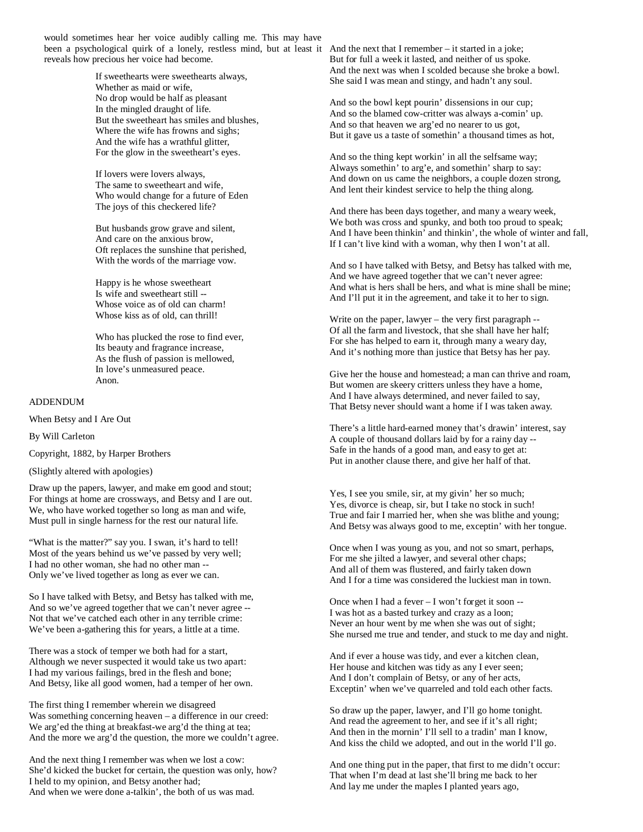would sometimes hear her voice audibly calling me. This may have been a psychological quirk of a lonely, restless mind, but at least it And the next that I remember – it started in a joke; reveals how precious her voice had become.

> If sweethearts were sweethearts always, Whether as maid or wife, No drop would be half as pleasant In the mingled draught of life. But the sweetheart has smiles and blushes, Where the wife has frowns and sighs; And the wife has a wrathful glitter, For the glow in the sweetheart's eyes.

If lovers were lovers always, The same to sweetheart and wife, Who would change for a future of Eden The joys of this checkered life?

But husbands grow grave and silent, And care on the anxious brow, Oft replaces the sunshine that perished, With the words of the marriage vow.

Happy is he whose sweetheart Is wife and sweetheart still -- Whose voice as of old can charm! Whose kiss as of old, can thrill!

Who has plucked the rose to find ever, Its beauty and fragrance increase, As the flush of passion is mellowed, In love's unmeasured peace. Anon.

ADDENDUM

When Betsy and I Are Out

By Will Carleton

Copyright, 1882, by Harper Brothers

(Slightly altered with apologies)

Draw up the papers, lawyer, and make em good and stout; For things at home are crossways, and Betsy and I are out. We, who have worked together so long as man and wife, Must pull in single harness for the rest our natural life.

"What is the matter?" say you. I swan, it's hard to tell! Most of the years behind us we've passed by very well; I had no other woman, she had no other man -- Only we've lived together as long as ever we can.

So I have talked with Betsy, and Betsy has talked with me, And so we've agreed together that we can't never agree -- Not that we've catched each other in any terrible crime: We've been a-gathering this for years, a little at a time.

There was a stock of temper we both had for a start, Although we never suspected it would take us two apart: I had my various failings, bred in the flesh and bone; And Betsy, like all good women, had a temper of her own.

The first thing I remember wherein we disagreed Was something concerning heaven – a difference in our creed: We arg'ed the thing at breakfast-we arg'd the thing at tea; And the more we arg'd the question, the more we couldn't agree.

And the next thing I remember was when we lost a cow: She'd kicked the bucket for certain, the question was only, how? I held to my opinion, and Betsy another had; And when we were done a-talkin', the both of us was mad.

But for full a week it lasted, and neither of us spoke. And the next was when I scolded because she broke a bowl. She said I was mean and stingy, and hadn't any soul.

And so the bowl kept pourin' dissensions in our cup; And so the blamed cow-critter was always a-comin' up. And so that heaven we arg'ed no nearer to us got, But it gave us a taste of somethin' a thousand times as hot,

And so the thing kept workin' in all the selfsame way; Always somethin' to arg'e, and somethin' sharp to say: And down on us came the neighbors, a couple dozen strong, And lent their kindest service to help the thing along.

And there has been days together, and many a weary week, We both was cross and spunky, and both too proud to speak; And I have been thinkin' and thinkin', the whole of winter and fall, If I can't live kind with a woman, why then I won't at all.

And so I have talked with Betsy, and Betsy has talked with me, And we have agreed together that we can't never agree: And what is hers shall be hers, and what is mine shall be mine; And I'll put it in the agreement, and take it to her to sign.

Write on the paper, lawyer – the very first paragraph -- Of all the farm and livestock, that she shall have her half; For she has helped to earn it, through many a weary day, And it's nothing more than justice that Betsy has her pay.

Give her the house and homestead; a man can thrive and roam, But women are skeery critters unless they have a home, And I have always determined, and never failed to say, That Betsy never should want a home if I was taken away.

There's a little hard-earned money that's drawin' interest, say A couple of thousand dollars laid by for a rainy day -- Safe in the hands of a good man, and easy to get at: Put in another clause there, and give her half of that.

Yes, I see you smile, sir, at my givin' her so much; Yes, divorce is cheap, sir, but I take no stock in such! True and fair I married her, when she was blithe and young; And Betsy was always good to me, exceptin' with her tongue.

Once when I was young as you, and not so smart, perhaps, For me she jilted a lawyer, and several other chaps; And all of them was flustered, and fairly taken down And I for a time was considered the luckiest man in town.

Once when I had a fever – I won't forget it soon -- I was hot as a basted turkey and crazy as a loon; Never an hour went by me when she was out of sight; She nursed me true and tender, and stuck to me day and night.

And if ever a house was tidy, and ever a kitchen clean, Her house and kitchen was tidy as any I ever seen; And I don't complain of Betsy, or any of her acts, Exceptin' when we've quarreled and told each other facts.

So draw up the paper, lawyer, and I'll go home tonight. And read the agreement to her, and see if it's all right; And then in the mornin' I'll sell to a tradin' man I know, And kiss the child we adopted, and out in the world I'll go.

And one thing put in the paper, that first to me didn't occur: That when I'm dead at last she'll bring me back to her And lay me under the maples I planted years ago,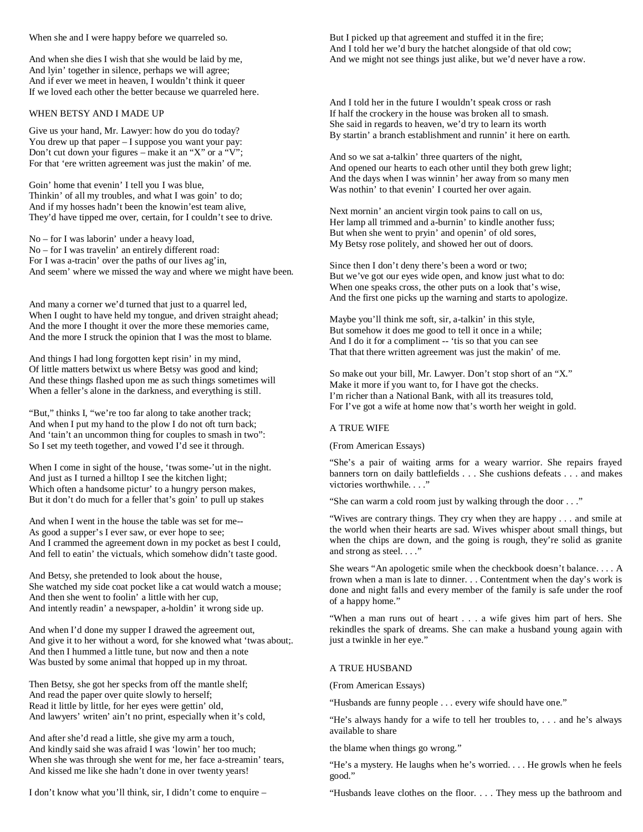When she and I were happy before we quarreled so.

And when she dies I wish that she would be laid by me, And lyin' together in silence, perhaps we will agree; And if ever we meet in heaven, I wouldn't think it queer If we loved each other the better because we quarreled here.

### WHEN BETSY AND I MADE UP

Give us your hand, Mr. Lawyer: how do you do today? You drew up that paper – I suppose you want your pay: Don't cut down your figures – make it an "X" or a "V"; For that 'ere written agreement was just the makin' of me.

Goin' home that evenin' I tell you I was blue, Thinkin' of all my troubles, and what I was goin' to do; And if my hosses hadn't been the knowin'est team alive, They'd have tipped me over, certain, for I couldn't see to drive.

No – for I was laborin' under a heavy load, No – for I was travelin' an entirely different road: For I was a-tracin' over the paths of our lives ag'in, And seem' where we missed the way and where we might have been.

And many a corner we'd turned that just to a quarrel led, When I ought to have held my tongue, and driven straight ahead; And the more I thought it over the more these memories came, And the more I struck the opinion that I was the most to blame.

And things I had long forgotten kept risin' in my mind, Of little matters betwixt us where Betsy was good and kind; And these things flashed upon me as such things sometimes will When a feller's alone in the darkness, and everything is still.

"But," thinks I, "we're too far along to take another track; And when I put my hand to the plow I do not oft turn back; And 'tain't an uncommon thing for couples to smash in two": So I set my teeth together, and vowed I'd see it through.

When I come in sight of the house, 'twas some-'ut in the night. And just as I turned a hilltop I see the kitchen light; Which often a handsome pictur' to a hungry person makes, But it don't do much for a feller that's goin' to pull up stakes

And when I went in the house the table was set for me-- As good a supper's I ever saw, or ever hope to see; And I crammed the agreement down in my pocket as best I could, And fell to eatin' the victuals, which somehow didn't taste good.

And Betsy, she pretended to look about the house, She watched my side coat pocket like a cat would watch a mouse; And then she went to foolin' a little with her cup, And intently readin' a newspaper, a-holdin' it wrong side up.

And when I'd done my supper I drawed the agreement out, And give it to her without a word, for she knowed what 'twas about;. And then I hummed a little tune, but now and then a note Was busted by some animal that hopped up in my throat.

Then Betsy, she got her specks from off the mantle shelf; And read the paper over quite slowly to herself; Read it little by little, for her eyes were gettin' old, And lawyers' writen' ain't no print, especially when it's cold,

And after she'd read a little, she give my arm a touch, And kindly said she was afraid I was 'lowin' her too much; When she was through she went for me, her face a-streamin' tears, And kissed me like she hadn't done in over twenty years!

I don't know what you'll think, sir, I didn't come to enquire –

But I picked up that agreement and stuffed it in the fire; And I told her we'd bury the hatchet alongside of that old cow; And we might not see things just alike, but we'd never have a row.

And I told her in the future I wouldn't speak cross or rash If half the crockery in the house was broken all to smash. She said in regards to heaven, we'd try to learn its worth By startin' a branch establishment and runnin' it here on earth.

And so we sat a-talkin' three quarters of the night, And opened our hearts to each other until they both grew light; And the days when I was winnin' her away from so many men Was nothin' to that evenin' I courted her over again.

Next mornin' an ancient virgin took pains to call on us, Her lamp all trimmed and a-burnin' to kindle another fuss; But when she went to pryin' and openin' of old sores, My Betsy rose politely, and showed her out of doors.

Since then I don't deny there's been a word or two; But we've got our eyes wide open, and know just what to do: When one speaks cross, the other puts on a look that's wise, And the first one picks up the warning and starts to apologize.

Maybe you'll think me soft, sir, a-talkin' in this style, But somehow it does me good to tell it once in a while; And I do it for a compliment -- 'tis so that you can see That that there written agreement was just the makin' of me.

So make out your bill, Mr. Lawyer. Don't stop short of an "X." Make it more if you want to, for I have got the checks. I'm richer than a National Bank, with all its treasures told, For I've got a wife at home now that's worth her weight in gold.

## A TRUE WIFE

(From American Essays)

"She's a pair of waiting arms for a weary warrior. She repairs frayed banners torn on daily battlefields . . . She cushions defeats . . . and makes victories worthwhile. . . ."

"She can warm a cold room just by walking through the door . . ."

"Wives are contrary things. They cry when they are happy . . . and smile at the world when their hearts are sad. Wives whisper about small things, but when the chips are down, and the going is rough, they're solid as granite and strong as steel. . . ."

She wears "An apologetic smile when the checkbook doesn't balance. . . . A frown when a man is late to dinner. . . Contentment when the day's work is done and night falls and every member of the family is safe under the roof of a happy home."

"When a man runs out of heart . . . a wife gives him part of hers. She rekindles the spark of dreams. She can make a husband young again with just a twinkle in her eye."

#### A TRUE HUSBAND

(From American Essays)

"Husbands are funny people . . . every wife should have one."

"He's always handy for a wife to tell her troubles to, . . . and he's always available to share

the blame when things go wrong."

"He's a mystery. He laughs when he's worried. . . . He growls when he feels good."

"Husbands leave clothes on the floor. . . . They mess up the bathroom and